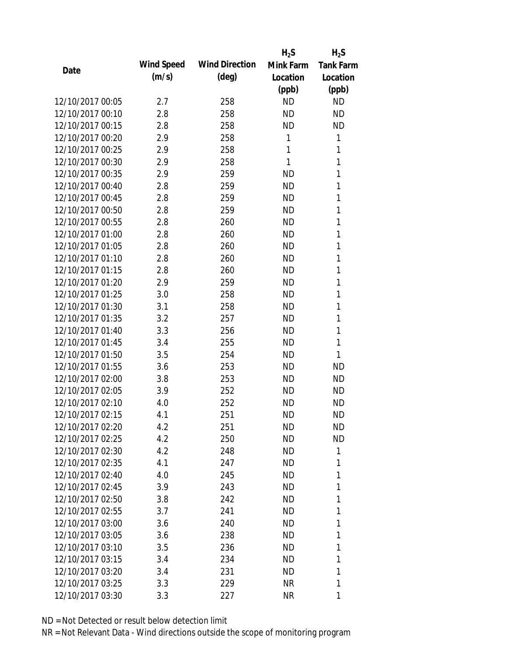|                  |            |                       | $H_2S$    | $H_2S$           |
|------------------|------------|-----------------------|-----------|------------------|
|                  | Wind Speed | <b>Wind Direction</b> | Mink Farm | <b>Tank Farm</b> |
| Date             | (m/s)      | $(\text{deg})$        | Location  | Location         |
|                  |            |                       | (ppb)     | (ppb)            |
| 12/10/2017 00:05 | 2.7        | 258                   | <b>ND</b> | <b>ND</b>        |
| 12/10/2017 00:10 | 2.8        | 258                   | <b>ND</b> | <b>ND</b>        |
| 12/10/2017 00:15 | 2.8        | 258                   | <b>ND</b> | <b>ND</b>        |
| 12/10/2017 00:20 | 2.9        | 258                   | 1         | 1                |
| 12/10/2017 00:25 | 2.9        | 258                   | 1         | 1                |
| 12/10/2017 00:30 | 2.9        | 258                   | 1         | 1                |
| 12/10/2017 00:35 | 2.9        | 259                   | <b>ND</b> | 1                |
| 12/10/2017 00:40 | 2.8        | 259                   | <b>ND</b> | 1                |
| 12/10/2017 00:45 | 2.8        | 259                   | <b>ND</b> | 1                |
| 12/10/2017 00:50 | 2.8        | 259                   | <b>ND</b> | 1                |
| 12/10/2017 00:55 | 2.8        | 260                   | <b>ND</b> | 1                |
| 12/10/2017 01:00 | 2.8        | 260                   | <b>ND</b> | 1                |
| 12/10/2017 01:05 | 2.8        | 260                   | <b>ND</b> | 1                |
| 12/10/2017 01:10 | 2.8        | 260                   | <b>ND</b> | 1                |
| 12/10/2017 01:15 | 2.8        | 260                   | <b>ND</b> | 1                |
| 12/10/2017 01:20 | 2.9        | 259                   | <b>ND</b> | 1                |
| 12/10/2017 01:25 | 3.0        | 258                   | <b>ND</b> | 1                |
| 12/10/2017 01:30 | 3.1        | 258                   | <b>ND</b> | 1                |
| 12/10/2017 01:35 | 3.2        | 257                   | <b>ND</b> | 1                |
| 12/10/2017 01:40 | 3.3        | 256                   | <b>ND</b> | 1                |
| 12/10/2017 01:45 | 3.4        | 255                   | <b>ND</b> | 1                |
| 12/10/2017 01:50 | 3.5        | 254                   | <b>ND</b> | 1                |
| 12/10/2017 01:55 | 3.6        | 253                   | <b>ND</b> | <b>ND</b>        |
| 12/10/2017 02:00 | 3.8        | 253                   | <b>ND</b> | <b>ND</b>        |
| 12/10/2017 02:05 | 3.9        | 252                   | <b>ND</b> | <b>ND</b>        |
| 12/10/2017 02:10 | 4.0        | 252                   | <b>ND</b> | <b>ND</b>        |
| 12/10/2017 02:15 | 4.1        | 251                   | <b>ND</b> | <b>ND</b>        |
| 12/10/2017 02:20 | 4.2        | 251                   | ND        | <b>ND</b>        |
| 12/10/2017 02:25 | 4.2        | 250                   | <b>ND</b> | <b>ND</b>        |
| 12/10/2017 02:30 | 4.2        | 248                   | <b>ND</b> | 1                |
| 12/10/2017 02:35 | 4.1        | 247                   | ND        | 1                |
| 12/10/2017 02:40 | 4.0        | 245                   | <b>ND</b> | 1                |
| 12/10/2017 02:45 | 3.9        | 243                   | ND        | 1                |
| 12/10/2017 02:50 | 3.8        | 242                   | <b>ND</b> | 1                |
| 12/10/2017 02:55 | 3.7        | 241                   | <b>ND</b> | 1                |
| 12/10/2017 03:00 | 3.6        | 240                   | ND        | 1                |
| 12/10/2017 03:05 | 3.6        | 238                   | ND        | 1                |
| 12/10/2017 03:10 | 3.5        | 236                   | ND        | 1                |
| 12/10/2017 03:15 | 3.4        | 234                   | <b>ND</b> | 1                |
| 12/10/2017 03:20 | 3.4        | 231                   | ND        | 1                |
| 12/10/2017 03:25 | 3.3        | 229                   | <b>NR</b> | 1                |
| 12/10/2017 03:30 | 3.3        | 227                   | <b>NR</b> | 1                |
|                  |            |                       |           |                  |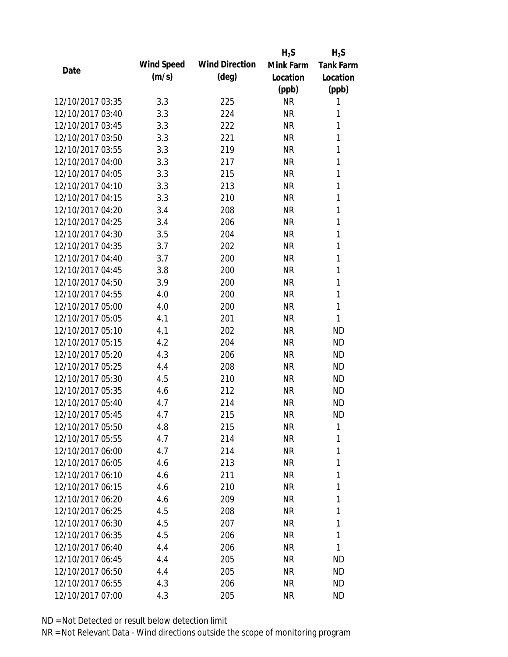|                  |            |                       | $H_2S$    | $H_2S$           |
|------------------|------------|-----------------------|-----------|------------------|
| Date             | Wind Speed | <b>Wind Direction</b> | Mink Farm | <b>Tank Farm</b> |
|                  | (m/s)      | $(\text{deg})$        | Location  | Location         |
|                  |            |                       | (ppb)     | (ppb)            |
| 12/10/2017 03:35 | 3.3        | 225                   | <b>NR</b> | 1                |
| 12/10/2017 03:40 | 3.3        | 224                   | <b>NR</b> | 1                |
| 12/10/2017 03:45 | 3.3        | 222                   | <b>NR</b> | 1                |
| 12/10/2017 03:50 | 3.3        | 221                   | <b>NR</b> | 1                |
| 12/10/2017 03:55 | 3.3        | 219                   | <b>NR</b> | $\mathbf{1}$     |
| 12/10/2017 04:00 | 3.3        | 217                   | <b>NR</b> | 1                |
| 12/10/2017 04:05 | 3.3        | 215                   | <b>NR</b> | 1                |
| 12/10/2017 04:10 | 3.3        | 213                   | <b>NR</b> | 1                |
| 12/10/2017 04:15 | 3.3        | 210                   | <b>NR</b> | $\mathbf{1}$     |
| 12/10/2017 04:20 | 3.4        | 208                   | <b>NR</b> | 1                |
| 12/10/2017 04:25 | 3.4        | 206                   | <b>NR</b> | 1                |
| 12/10/2017 04:30 | 3.5        | 204                   | <b>NR</b> | 1                |
| 12/10/2017 04:35 | 3.7        | 202                   | <b>NR</b> | 1                |
| 12/10/2017 04:40 | 3.7        | 200                   | <b>NR</b> | 1                |
| 12/10/2017 04:45 | 3.8        | 200                   | <b>NR</b> | $\mathbf{1}$     |
| 12/10/2017 04:50 | 3.9        | 200                   | <b>NR</b> | 1                |
| 12/10/2017 04:55 | 4.0        | 200                   | <b>NR</b> | 1                |
| 12/10/2017 05:00 | 4.0        | 200                   | <b>NR</b> | 1                |
| 12/10/2017 05:05 | 4.1        | 201                   | <b>NR</b> | 1                |
| 12/10/2017 05:10 | 4.1        | 202                   | <b>NR</b> | <b>ND</b>        |
| 12/10/2017 05:15 | 4.2        | 204                   | <b>NR</b> | <b>ND</b>        |
| 12/10/2017 05:20 | 4.3        | 206                   | <b>NR</b> | <b>ND</b>        |
| 12/10/2017 05:25 | 4.4        | 208                   | <b>NR</b> | <b>ND</b>        |
| 12/10/2017 05:30 | 4.5        | 210                   | <b>NR</b> | <b>ND</b>        |
| 12/10/2017 05:35 | 4.6        | 212                   | <b>NR</b> | <b>ND</b>        |
| 12/10/2017 05:40 | 4.7        | 214                   | <b>NR</b> | <b>ND</b>        |
| 12/10/2017 05:45 | 4.7        | 215                   | <b>NR</b> | <b>ND</b>        |
| 12/10/2017 05:50 | 4.8        | 215                   | NR        | 1                |
| 12/10/2017 05:55 | 4.7        | 214                   | <b>NR</b> | 1                |
| 12/10/2017 06:00 | 4.7        | 214                   | NR        | 1                |
| 12/10/2017 06:05 | 4.6        | 213                   | NR        | 1                |
| 12/10/2017 06:10 | 4.6        | 211                   | <b>NR</b> | 1                |
| 12/10/2017 06:15 | 4.6        | 210                   | NR        | 1                |
| 12/10/2017 06:20 | 4.6        | 209                   | <b>NR</b> | 1                |
| 12/10/2017 06:25 | 4.5        | 208                   | NR        | 1                |
| 12/10/2017 06:30 | 4.5        | 207                   | NR        | 1                |
| 12/10/2017 06:35 | 4.5        | 206                   | NR        | 1                |
| 12/10/2017 06:40 | 4.4        | 206                   | NR        | 1                |
| 12/10/2017 06:45 | 4.4        | 205                   | <b>NR</b> | <b>ND</b>        |
| 12/10/2017 06:50 | 4.4        | 205                   | <b>NR</b> | <b>ND</b>        |
| 12/10/2017 06:55 | 4.3        | 206                   | <b>NR</b> | <b>ND</b>        |
| 12/10/2017 07:00 | 4.3        | 205                   | <b>NR</b> | <b>ND</b>        |
|                  |            |                       |           |                  |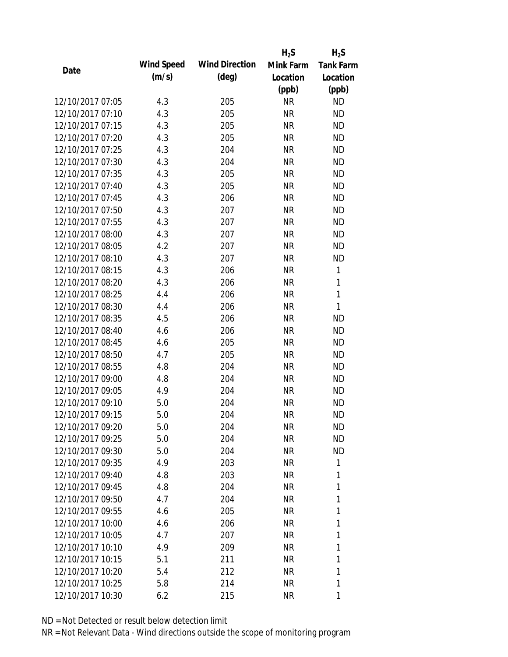|                  |            |                       | $H_2S$    | $H_2S$           |
|------------------|------------|-----------------------|-----------|------------------|
| Date             | Wind Speed | <b>Wind Direction</b> | Mink Farm | <b>Tank Farm</b> |
|                  | (m/s)      | $(\text{deg})$        | Location  | Location         |
|                  |            |                       | (ppb)     | (ppb)            |
| 12/10/2017 07:05 | 4.3        | 205                   | <b>NR</b> | <b>ND</b>        |
| 12/10/2017 07:10 | 4.3        | 205                   | <b>NR</b> | <b>ND</b>        |
| 12/10/2017 07:15 | 4.3        | 205                   | <b>NR</b> | <b>ND</b>        |
| 12/10/2017 07:20 | 4.3        | 205                   | <b>NR</b> | <b>ND</b>        |
| 12/10/2017 07:25 | 4.3        | 204                   | <b>NR</b> | <b>ND</b>        |
| 12/10/2017 07:30 | 4.3        | 204                   | <b>NR</b> | <b>ND</b>        |
| 12/10/2017 07:35 | 4.3        | 205                   | <b>NR</b> | <b>ND</b>        |
| 12/10/2017 07:40 | 4.3        | 205                   | <b>NR</b> | <b>ND</b>        |
| 12/10/2017 07:45 | 4.3        | 206                   | <b>NR</b> | <b>ND</b>        |
| 12/10/2017 07:50 | 4.3        | 207                   | <b>NR</b> | <b>ND</b>        |
| 12/10/2017 07:55 | 4.3        | 207                   | <b>NR</b> | <b>ND</b>        |
| 12/10/2017 08:00 | 4.3        | 207                   | <b>NR</b> | <b>ND</b>        |
| 12/10/2017 08:05 | 4.2        | 207                   | <b>NR</b> | <b>ND</b>        |
| 12/10/2017 08:10 | 4.3        | 207                   | <b>NR</b> | <b>ND</b>        |
| 12/10/2017 08:15 | 4.3        | 206                   | <b>NR</b> | $\mathbf{1}$     |
| 12/10/2017 08:20 | 4.3        | 206                   | <b>NR</b> | 1                |
| 12/10/2017 08:25 | 4.4        | 206                   | <b>NR</b> | $\mathbf{1}$     |
| 12/10/2017 08:30 | 4.4        | 206                   | <b>NR</b> | $\mathbf{1}$     |
| 12/10/2017 08:35 | 4.5        | 206                   | <b>NR</b> | <b>ND</b>        |
| 12/10/2017 08:40 | 4.6        | 206                   | <b>NR</b> | <b>ND</b>        |
| 12/10/2017 08:45 | 4.6        | 205                   | <b>NR</b> | <b>ND</b>        |
| 12/10/2017 08:50 | 4.7        | 205                   | <b>NR</b> | <b>ND</b>        |
| 12/10/2017 08:55 | 4.8        | 204                   | <b>NR</b> | <b>ND</b>        |
| 12/10/2017 09:00 | 4.8        | 204                   | <b>NR</b> | <b>ND</b>        |
| 12/10/2017 09:05 | 4.9        | 204                   | <b>NR</b> | <b>ND</b>        |
| 12/10/2017 09:10 | 5.0        | 204                   | <b>NR</b> | <b>ND</b>        |
| 12/10/2017 09:15 | 5.0        | 204                   | <b>NR</b> | <b>ND</b>        |
| 12/10/2017 09:20 | 5.0        | 204                   | NR        | <b>ND</b>        |
| 12/10/2017 09:25 | 5.0        | 204                   | <b>NR</b> | <b>ND</b>        |
| 12/10/2017 09:30 | 5.0        | 204                   | NR        | <b>ND</b>        |
| 12/10/2017 09:35 | 4.9        | 203                   | NR        | 1                |
| 12/10/2017 09:40 | 4.8        | 203                   | NR        | 1                |
| 12/10/2017 09:45 | 4.8        | 204                   | NR        | 1                |
| 12/10/2017 09:50 | 4.7        | 204                   | <b>NR</b> | 1                |
| 12/10/2017 09:55 | 4.6        | 205                   | NR        | 1                |
| 12/10/2017 10:00 | 4.6        | 206                   | <b>NR</b> | 1                |
| 12/10/2017 10:05 | 4.7        | 207                   | NR        | 1                |
| 12/10/2017 10:10 | 4.9        | 209                   | NR        | 1                |
| 12/10/2017 10:15 | 5.1        | 211                   | NR        | 1                |
| 12/10/2017 10:20 | 5.4        | 212                   | NR        | 1                |
| 12/10/2017 10:25 | 5.8        | 214                   | <b>NR</b> | 1                |
| 12/10/2017 10:30 | 6.2        | 215                   | <b>NR</b> | 1                |
|                  |            |                       |           |                  |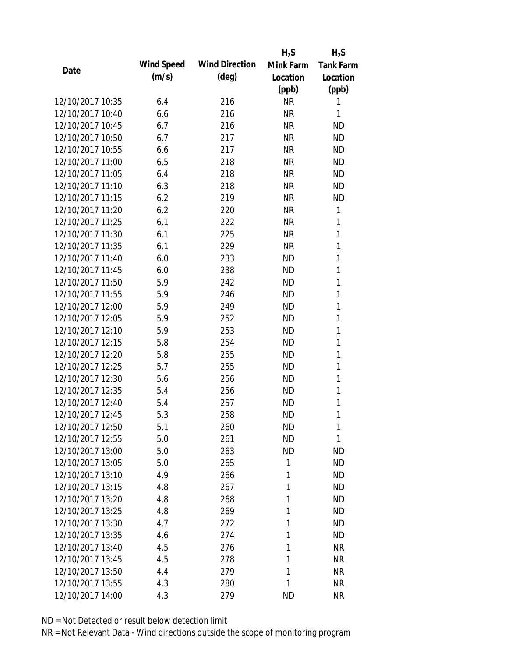|                  |            |                       | $H_2S$    | $H_2S$           |
|------------------|------------|-----------------------|-----------|------------------|
| Date             | Wind Speed | <b>Wind Direction</b> | Mink Farm | <b>Tank Farm</b> |
|                  | (m/s)      | $(\text{deg})$        | Location  | Location         |
|                  |            |                       | (ppb)     | (ppb)            |
| 12/10/2017 10:35 | 6.4        | 216                   | <b>NR</b> | 1                |
| 12/10/2017 10:40 | 6.6        | 216                   | <b>NR</b> | 1                |
| 12/10/2017 10:45 | 6.7        | 216                   | <b>NR</b> | <b>ND</b>        |
| 12/10/2017 10:50 | 6.7        | 217                   | <b>NR</b> | <b>ND</b>        |
| 12/10/2017 10:55 | 6.6        | 217                   | <b>NR</b> | <b>ND</b>        |
| 12/10/2017 11:00 | 6.5        | 218                   | <b>NR</b> | <b>ND</b>        |
| 12/10/2017 11:05 | 6.4        | 218                   | <b>NR</b> | <b>ND</b>        |
| 12/10/2017 11:10 | 6.3        | 218                   | <b>NR</b> | <b>ND</b>        |
| 12/10/2017 11:15 | 6.2        | 219                   | <b>NR</b> | <b>ND</b>        |
| 12/10/2017 11:20 | 6.2        | 220                   | <b>NR</b> | 1                |
| 12/10/2017 11:25 | 6.1        | 222                   | <b>NR</b> | 1                |
| 12/10/2017 11:30 | 6.1        | 225                   | <b>NR</b> | 1                |
| 12/10/2017 11:35 | 6.1        | 229                   | <b>NR</b> | 1                |
| 12/10/2017 11:40 | 6.0        | 233                   | <b>ND</b> | 1                |
| 12/10/2017 11:45 | 6.0        | 238                   | <b>ND</b> | 1                |
| 12/10/2017 11:50 | 5.9        | 242                   | <b>ND</b> | 1                |
| 12/10/2017 11:55 | 5.9        | 246                   | <b>ND</b> | 1                |
| 12/10/2017 12:00 | 5.9        | 249                   | <b>ND</b> | 1                |
| 12/10/2017 12:05 | 5.9        | 252                   | <b>ND</b> | $\mathbf{1}$     |
| 12/10/2017 12:10 | 5.9        | 253                   | <b>ND</b> | 1                |
| 12/10/2017 12:15 | 5.8        | 254                   | <b>ND</b> | 1                |
| 12/10/2017 12:20 | 5.8        | 255                   | <b>ND</b> | 1                |
| 12/10/2017 12:25 | 5.7        | 255                   | <b>ND</b> | 1                |
| 12/10/2017 12:30 | 5.6        | 256                   | <b>ND</b> | 1                |
| 12/10/2017 12:35 | 5.4        | 256                   | <b>ND</b> | 1                |
| 12/10/2017 12:40 | 5.4        | 257                   | <b>ND</b> | 1                |
| 12/10/2017 12:45 | 5.3        | 258                   | <b>ND</b> | 1                |
| 12/10/2017 12:50 | 5.1        | 260                   | <b>ND</b> | 1                |
| 12/10/2017 12:55 | 5.0        | 261                   | <b>ND</b> | 1                |
| 12/10/2017 13:00 | 5.0        | 263                   | <b>ND</b> | <b>ND</b>        |
| 12/10/2017 13:05 | 5.0        | 265                   | 1         | <b>ND</b>        |
| 12/10/2017 13:10 | 4.9        | 266                   | 1         | <b>ND</b>        |
| 12/10/2017 13:15 | 4.8        | 267                   | 1         | <b>ND</b>        |
| 12/10/2017 13:20 | 4.8        | 268                   | 1         | <b>ND</b>        |
| 12/10/2017 13:25 | 4.8        | 269                   | 1         | <b>ND</b>        |
| 12/10/2017 13:30 | 4.7        | 272                   | 1         | <b>ND</b>        |
| 12/10/2017 13:35 | 4.6        | 274                   |           | <b>ND</b>        |
| 12/10/2017 13:40 |            |                       | 1         |                  |
|                  | 4.5        | 276                   | 1         | <b>NR</b>        |
| 12/10/2017 13:45 | 4.5        | 278                   | 1         | <b>NR</b>        |
| 12/10/2017 13:50 | 4.4        | 279                   | 1         | <b>NR</b>        |
| 12/10/2017 13:55 | 4.3        | 280                   | 1         | <b>NR</b>        |
| 12/10/2017 14:00 | 4.3        | 279                   | <b>ND</b> | <b>NR</b>        |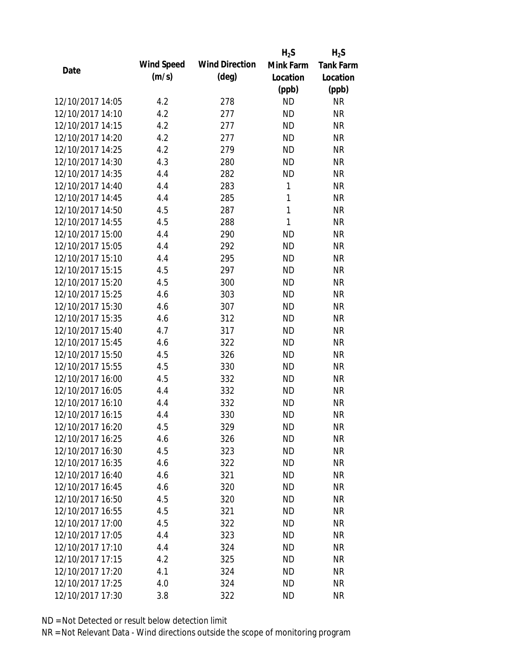|                  |            |                       | $H_2S$       | $H_2S$           |
|------------------|------------|-----------------------|--------------|------------------|
| Date             | Wind Speed | <b>Wind Direction</b> | Mink Farm    | <b>Tank Farm</b> |
|                  | (m/s)      | $(\text{deg})$        | Location     | Location         |
|                  |            |                       | (ppb)        | (ppb)            |
| 12/10/2017 14:05 | 4.2        | 278                   | <b>ND</b>    | <b>NR</b>        |
| 12/10/2017 14:10 | 4.2        | 277                   | <b>ND</b>    | <b>NR</b>        |
| 12/10/2017 14:15 | 4.2        | 277                   | <b>ND</b>    | <b>NR</b>        |
| 12/10/2017 14:20 | 4.2        | 277                   | <b>ND</b>    | <b>NR</b>        |
| 12/10/2017 14:25 | 4.2        | 279                   | <b>ND</b>    | <b>NR</b>        |
| 12/10/2017 14:30 | 4.3        | 280                   | <b>ND</b>    | <b>NR</b>        |
| 12/10/2017 14:35 | 4.4        | 282                   | <b>ND</b>    | <b>NR</b>        |
| 12/10/2017 14:40 | 4.4        | 283                   | $\mathbf{1}$ | <b>NR</b>        |
| 12/10/2017 14:45 | 4.4        | 285                   | 1            | <b>NR</b>        |
| 12/10/2017 14:50 | 4.5        | 287                   | 1            | <b>NR</b>        |
| 12/10/2017 14:55 | 4.5        | 288                   | 1            | <b>NR</b>        |
| 12/10/2017 15:00 | 4.4        | 290                   | <b>ND</b>    | <b>NR</b>        |
| 12/10/2017 15:05 | 4.4        | 292                   | <b>ND</b>    | <b>NR</b>        |
| 12/10/2017 15:10 | 4.4        | 295                   | <b>ND</b>    | <b>NR</b>        |
| 12/10/2017 15:15 | 4.5        | 297                   | <b>ND</b>    | <b>NR</b>        |
| 12/10/2017 15:20 | 4.5        | 300                   | <b>ND</b>    | <b>NR</b>        |
| 12/10/2017 15:25 | 4.6        | 303                   | <b>ND</b>    | <b>NR</b>        |
| 12/10/2017 15:30 | 4.6        | 307                   | <b>ND</b>    | <b>NR</b>        |
| 12/10/2017 15:35 | 4.6        | 312                   | <b>ND</b>    | <b>NR</b>        |
| 12/10/2017 15:40 | 4.7        | 317                   | <b>ND</b>    | <b>NR</b>        |
| 12/10/2017 15:45 | 4.6        | 322                   | <b>ND</b>    | <b>NR</b>        |
| 12/10/2017 15:50 | 4.5        | 326                   | <b>ND</b>    | <b>NR</b>        |
| 12/10/2017 15:55 | 4.5        | 330                   | <b>ND</b>    | <b>NR</b>        |
| 12/10/2017 16:00 | 4.5        | 332                   | <b>ND</b>    | <b>NR</b>        |
| 12/10/2017 16:05 | 4.4        | 332                   | <b>ND</b>    | <b>NR</b>        |
| 12/10/2017 16:10 | 4.4        | 332                   | <b>ND</b>    | <b>NR</b>        |
| 12/10/2017 16:15 | 4.4        | 330                   | <b>ND</b>    | <b>NR</b>        |
| 12/10/2017 16:20 | 4.5        | 329                   | ND           | <b>NR</b>        |
| 12/10/2017 16:25 | 4.6        | 326                   | <b>ND</b>    | <b>NR</b>        |
| 12/10/2017 16:30 | 4.5        | 323                   | ND           | <b>NR</b>        |
| 12/10/2017 16:35 | 4.6        | 322                   | <b>ND</b>    | <b>NR</b>        |
| 12/10/2017 16:40 | 4.6        | 321                   | <b>ND</b>    | <b>NR</b>        |
| 12/10/2017 16:45 | 4.6        | 320                   | <b>ND</b>    | <b>NR</b>        |
| 12/10/2017 16:50 | 4.5        | 320                   | <b>ND</b>    | <b>NR</b>        |
| 12/10/2017 16:55 | 4.5        |                       | <b>ND</b>    | <b>NR</b>        |
|                  |            | 321                   |              |                  |
| 12/10/2017 17:00 | 4.5        | 322                   | <b>ND</b>    | <b>NR</b>        |
| 12/10/2017 17:05 | 4.4        | 323                   | ND           | <b>NR</b>        |
| 12/10/2017 17:10 | 4.4        | 324                   | ND           | <b>NR</b>        |
| 12/10/2017 17:15 | 4.2        | 325                   | <b>ND</b>    | <b>NR</b>        |
| 12/10/2017 17:20 | 4.1        | 324                   | <b>ND</b>    | <b>NR</b>        |
| 12/10/2017 17:25 | 4.0        | 324                   | <b>ND</b>    | <b>NR</b>        |
| 12/10/2017 17:30 | 3.8        | 322                   | <b>ND</b>    | <b>NR</b>        |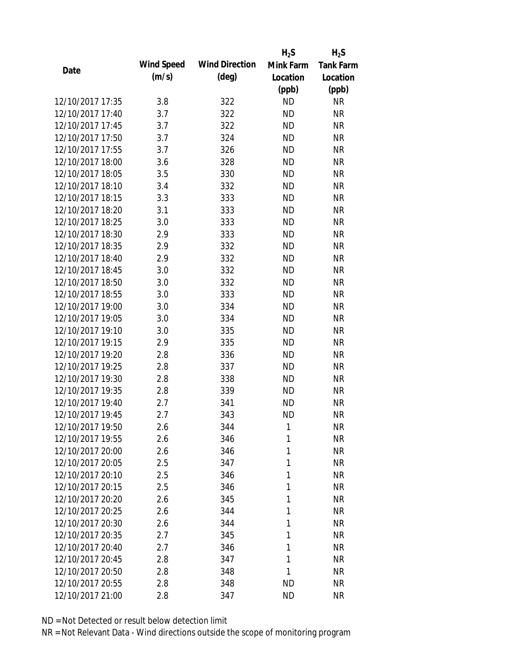|                  |            |                       | $H_2S$    | $H_2S$           |
|------------------|------------|-----------------------|-----------|------------------|
| Date             | Wind Speed | <b>Wind Direction</b> | Mink Farm | <b>Tank Farm</b> |
|                  | (m/s)      | $(\text{deg})$        | Location  | Location         |
|                  |            |                       | (ppb)     | (ppb)            |
| 12/10/2017 17:35 | 3.8        | 322                   | <b>ND</b> | <b>NR</b>        |
| 12/10/2017 17:40 | 3.7        | 322                   | <b>ND</b> | <b>NR</b>        |
| 12/10/2017 17:45 | 3.7        | 322                   | <b>ND</b> | <b>NR</b>        |
| 12/10/2017 17:50 | 3.7        | 324                   | <b>ND</b> | <b>NR</b>        |
| 12/10/2017 17:55 | 3.7        | 326                   | <b>ND</b> | <b>NR</b>        |
| 12/10/2017 18:00 | 3.6        | 328                   | <b>ND</b> | <b>NR</b>        |
| 12/10/2017 18:05 | 3.5        | 330                   | <b>ND</b> | <b>NR</b>        |
| 12/10/2017 18:10 | 3.4        | 332                   | <b>ND</b> | <b>NR</b>        |
| 12/10/2017 18:15 | 3.3        | 333                   | <b>ND</b> | <b>NR</b>        |
| 12/10/2017 18:20 | 3.1        | 333                   | <b>ND</b> | <b>NR</b>        |
| 12/10/2017 18:25 | 3.0        | 333                   | <b>ND</b> | <b>NR</b>        |
| 12/10/2017 18:30 | 2.9        | 333                   | <b>ND</b> | <b>NR</b>        |
| 12/10/2017 18:35 | 2.9        | 332                   | <b>ND</b> | <b>NR</b>        |
| 12/10/2017 18:40 | 2.9        | 332                   | <b>ND</b> | <b>NR</b>        |
| 12/10/2017 18:45 | 3.0        | 332                   | <b>ND</b> | <b>NR</b>        |
| 12/10/2017 18:50 | 3.0        | 332                   | <b>ND</b> | <b>NR</b>        |
| 12/10/2017 18:55 | 3.0        | 333                   | <b>ND</b> | <b>NR</b>        |
| 12/10/2017 19:00 | 3.0        | 334                   | <b>ND</b> | <b>NR</b>        |
| 12/10/2017 19:05 | 3.0        | 334                   | <b>ND</b> | <b>NR</b>        |
| 12/10/2017 19:10 | 3.0        | 335                   | <b>ND</b> | <b>NR</b>        |
| 12/10/2017 19:15 | 2.9        | 335                   | <b>ND</b> | <b>NR</b>        |
| 12/10/2017 19:20 | 2.8        | 336                   | <b>ND</b> | <b>NR</b>        |
| 12/10/2017 19:25 | 2.8        | 337                   | <b>ND</b> | <b>NR</b>        |
| 12/10/2017 19:30 | 2.8        | 338                   | <b>ND</b> | <b>NR</b>        |
| 12/10/2017 19:35 | 2.8        | 339                   | <b>ND</b> | <b>NR</b>        |
| 12/10/2017 19:40 | 2.7        | 341                   | <b>ND</b> | <b>NR</b>        |
| 12/10/2017 19:45 | 2.7        | 343                   | <b>ND</b> | <b>NR</b>        |
| 12/10/2017 19:50 | 2.6        | 344                   | 1         | NR               |
| 12/10/2017 19:55 | 2.6        | 346                   | 1         | <b>NR</b>        |
| 12/10/2017 20:00 | 2.6        | 346                   | 1         | <b>NR</b>        |
| 12/10/2017 20:05 | 2.5        | 347                   | 1         | <b>NR</b>        |
| 12/10/2017 20:10 | 2.5        | 346                   | 1         | <b>NR</b>        |
| 12/10/2017 20:15 | 2.5        | 346                   | 1         | <b>NR</b>        |
| 12/10/2017 20:20 | 2.6        | 345                   | 1         | <b>NR</b>        |
| 12/10/2017 20:25 | 2.6        | 344                   | 1         | <b>NR</b>        |
| 12/10/2017 20:30 | 2.6        | 344                   | 1         | <b>NR</b>        |
| 12/10/2017 20:35 | 2.7        | 345                   | 1         | <b>NR</b>        |
| 12/10/2017 20:40 | 2.7        | 346                   | 1         | <b>NR</b>        |
| 12/10/2017 20:45 | 2.8        | 347                   | 1         | <b>NR</b>        |
| 12/10/2017 20:50 | 2.8        | 348                   | 1         | <b>NR</b>        |
| 12/10/2017 20:55 | 2.8        | 348                   | <b>ND</b> | <b>NR</b>        |
| 12/10/2017 21:00 | 2.8        | 347                   | <b>ND</b> | <b>NR</b>        |
|                  |            |                       |           |                  |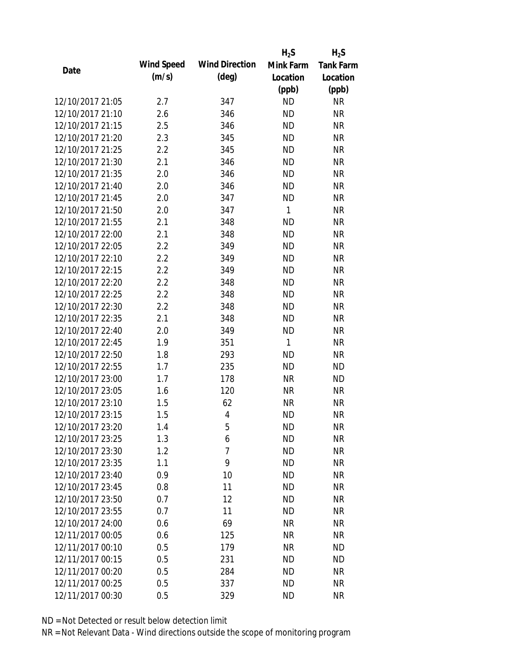|                  |            |                       | $H_2S$    | $H_2S$           |
|------------------|------------|-----------------------|-----------|------------------|
| Date             | Wind Speed | <b>Wind Direction</b> | Mink Farm | <b>Tank Farm</b> |
|                  | (m/s)      | $(\text{deg})$        | Location  | Location         |
|                  |            |                       | (ppb)     | (ppb)            |
| 12/10/2017 21:05 | 2.7        | 347                   | <b>ND</b> | <b>NR</b>        |
| 12/10/2017 21:10 | 2.6        | 346                   | <b>ND</b> | <b>NR</b>        |
| 12/10/2017 21:15 | 2.5        | 346                   | <b>ND</b> | <b>NR</b>        |
| 12/10/2017 21:20 | 2.3        | 345                   | <b>ND</b> | <b>NR</b>        |
| 12/10/2017 21:25 | 2.2        | 345                   | <b>ND</b> | <b>NR</b>        |
| 12/10/2017 21:30 | 2.1        | 346                   | <b>ND</b> | <b>NR</b>        |
| 12/10/2017 21:35 | 2.0        | 346                   | <b>ND</b> | <b>NR</b>        |
| 12/10/2017 21:40 | 2.0        | 346                   | <b>ND</b> | <b>NR</b>        |
| 12/10/2017 21:45 | 2.0        | 347                   | <b>ND</b> | <b>NR</b>        |
| 12/10/2017 21:50 | 2.0        | 347                   | 1         | <b>NR</b>        |
| 12/10/2017 21:55 | 2.1        | 348                   | <b>ND</b> | <b>NR</b>        |
| 12/10/2017 22:00 | 2.1        | 348                   | <b>ND</b> | <b>NR</b>        |
| 12/10/2017 22:05 | 2.2        | 349                   | <b>ND</b> | <b>NR</b>        |
| 12/10/2017 22:10 | 2.2        | 349                   | <b>ND</b> | <b>NR</b>        |
| 12/10/2017 22:15 | 2.2        | 349                   | <b>ND</b> | <b>NR</b>        |
| 12/10/2017 22:20 | 2.2        | 348                   | <b>ND</b> | <b>NR</b>        |
| 12/10/2017 22:25 | 2.2        | 348                   | <b>ND</b> | <b>NR</b>        |
| 12/10/2017 22:30 | 2.2        | 348                   | <b>ND</b> | <b>NR</b>        |
| 12/10/2017 22:35 | 2.1        | 348                   | <b>ND</b> | <b>NR</b>        |
| 12/10/2017 22:40 | 2.0        | 349                   | <b>ND</b> | <b>NR</b>        |
| 12/10/2017 22:45 | 1.9        | 351                   | 1         | <b>NR</b>        |
| 12/10/2017 22:50 | 1.8        | 293                   | <b>ND</b> | <b>NR</b>        |
| 12/10/2017 22:55 | 1.7        | 235                   | <b>ND</b> | <b>ND</b>        |
| 12/10/2017 23:00 | 1.7        | 178                   | <b>NR</b> | <b>ND</b>        |
| 12/10/2017 23:05 | 1.6        | 120                   | <b>NR</b> | <b>NR</b>        |
| 12/10/2017 23:10 | 1.5        | 62                    | <b>NR</b> | <b>NR</b>        |
| 12/10/2017 23:15 | 1.5        | 4                     | <b>ND</b> | <b>NR</b>        |
| 12/10/2017 23:20 | 1.4        | 5                     | <b>ND</b> | <b>NR</b>        |
| 12/10/2017 23:25 | 1.3        | 6                     | <b>ND</b> | <b>NR</b>        |
| 12/10/2017 23:30 | 1.2        | 7                     | <b>ND</b> | <b>NR</b>        |
| 12/10/2017 23:35 | 1.1        | 9                     | <b>ND</b> | <b>NR</b>        |
| 12/10/2017 23:40 | 0.9        | 10                    | <b>ND</b> | <b>NR</b>        |
| 12/10/2017 23:45 | 0.8        | 11                    | <b>ND</b> | <b>NR</b>        |
| 12/10/2017 23:50 | 0.7        | 12                    | <b>ND</b> | <b>NR</b>        |
| 12/10/2017 23:55 | 0.7        | 11                    | <b>ND</b> | <b>NR</b>        |
| 12/10/2017 24:00 | 0.6        | 69                    | <b>NR</b> | <b>NR</b>        |
| 12/11/2017 00:05 | 0.6        | 125                   | <b>NR</b> | <b>NR</b>        |
| 12/11/2017 00:10 | 0.5        | 179                   | NR        | <b>ND</b>        |
| 12/11/2017 00:15 | 0.5        | 231                   | <b>ND</b> | <b>ND</b>        |
| 12/11/2017 00:20 | 0.5        | 284                   | ND        | <b>NR</b>        |
| 12/11/2017 00:25 | 0.5        | 337                   | <b>ND</b> | <b>NR</b>        |
| 12/11/2017 00:30 | 0.5        | 329                   | <b>ND</b> | <b>NR</b>        |
|                  |            |                       |           |                  |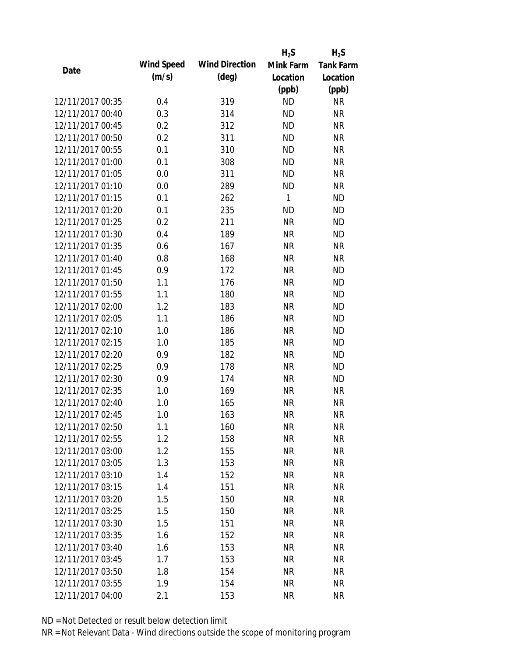|                  |            |                       | $H_2S$    | $H_2S$           |
|------------------|------------|-----------------------|-----------|------------------|
| Date             | Wind Speed | <b>Wind Direction</b> | Mink Farm | <b>Tank Farm</b> |
|                  | (m/s)      | $(\text{deg})$        | Location  | Location         |
|                  |            |                       | (ppb)     | (ppb)            |
| 12/11/2017 00:35 | 0.4        | 319                   | <b>ND</b> | <b>NR</b>        |
| 12/11/2017 00:40 | 0.3        | 314                   | <b>ND</b> | <b>NR</b>        |
| 12/11/2017 00:45 | 0.2        | 312                   | <b>ND</b> | <b>NR</b>        |
| 12/11/2017 00:50 | 0.2        | 311                   | <b>ND</b> | <b>NR</b>        |
| 12/11/2017 00:55 | 0.1        | 310                   | <b>ND</b> | <b>NR</b>        |
| 12/11/2017 01:00 | 0.1        | 308                   | <b>ND</b> | <b>NR</b>        |
| 12/11/2017 01:05 | 0.0        | 311                   | <b>ND</b> | <b>NR</b>        |
| 12/11/2017 01:10 | 0.0        | 289                   | <b>ND</b> | <b>NR</b>        |
| 12/11/2017 01:15 | 0.1        | 262                   | 1         | <b>ND</b>        |
| 12/11/2017 01:20 | 0.1        | 235                   | <b>ND</b> | <b>ND</b>        |
| 12/11/2017 01:25 | 0.2        | 211                   | <b>NR</b> | <b>ND</b>        |
| 12/11/2017 01:30 | 0.4        | 189                   | <b>NR</b> | <b>ND</b>        |
| 12/11/2017 01:35 | 0.6        | 167                   | <b>NR</b> | <b>NR</b>        |
| 12/11/2017 01:40 | 0.8        | 168                   | <b>NR</b> | <b>NR</b>        |
| 12/11/2017 01:45 | 0.9        | 172                   | <b>NR</b> | <b>ND</b>        |
| 12/11/2017 01:50 | 1.1        | 176                   | <b>NR</b> | <b>ND</b>        |
| 12/11/2017 01:55 | 1.1        | 180                   | <b>NR</b> | <b>ND</b>        |
| 12/11/2017 02:00 | 1.2        | 183                   | <b>NR</b> | <b>ND</b>        |
| 12/11/2017 02:05 | 1.1        | 186                   | <b>NR</b> | <b>ND</b>        |
| 12/11/2017 02:10 | 1.0        | 186                   | <b>NR</b> | <b>ND</b>        |
| 12/11/2017 02:15 | 1.0        | 185                   | <b>NR</b> | <b>ND</b>        |
| 12/11/2017 02:20 | 0.9        | 182                   | <b>NR</b> | <b>ND</b>        |
| 12/11/2017 02:25 | 0.9        | 178                   | <b>NR</b> | <b>ND</b>        |
| 12/11/2017 02:30 | 0.9        | 174                   | <b>NR</b> | <b>ND</b>        |
| 12/11/2017 02:35 | 1.0        | 169                   | <b>NR</b> | <b>NR</b>        |
| 12/11/2017 02:40 | 1.0        | 165                   | <b>NR</b> | <b>NR</b>        |
| 12/11/2017 02:45 | 1.0        | 163                   | <b>NR</b> | <b>NR</b>        |
| 12/11/2017 02:50 | 1.1        | 160                   | NR        | <b>NR</b>        |
| 12/11/2017 02:55 | 1.2        | 158                   | <b>NR</b> | <b>NR</b>        |
| 12/11/2017 03:00 | 1.2        | 155                   | <b>NR</b> | <b>NR</b>        |
| 12/11/2017 03:05 | 1.3        | 153                   | <b>NR</b> | <b>NR</b>        |
| 12/11/2017 03:10 | 1.4        | 152                   | <b>NR</b> | <b>NR</b>        |
| 12/11/2017 03:15 | 1.4        | 151                   | <b>NR</b> | <b>NR</b>        |
| 12/11/2017 03:20 | 1.5        | 150                   | <b>NR</b> | <b>NR</b>        |
| 12/11/2017 03:25 | 1.5        | 150                   | <b>NR</b> | <b>NR</b>        |
| 12/11/2017 03:30 | 1.5        | 151                   | <b>NR</b> | <b>NR</b>        |
| 12/11/2017 03:35 | 1.6        | 152                   | <b>NR</b> | <b>NR</b>        |
| 12/11/2017 03:40 | 1.6        | 153                   | NR        | <b>NR</b>        |
| 12/11/2017 03:45 | 1.7        | 153                   | <b>NR</b> | <b>NR</b>        |
| 12/11/2017 03:50 | 1.8        | 154                   | <b>NR</b> | <b>NR</b>        |
| 12/11/2017 03:55 | 1.9        | 154                   | <b>NR</b> | <b>NR</b>        |
| 12/11/2017 04:00 | 2.1        | 153                   | <b>NR</b> | <b>NR</b>        |
|                  |            |                       |           |                  |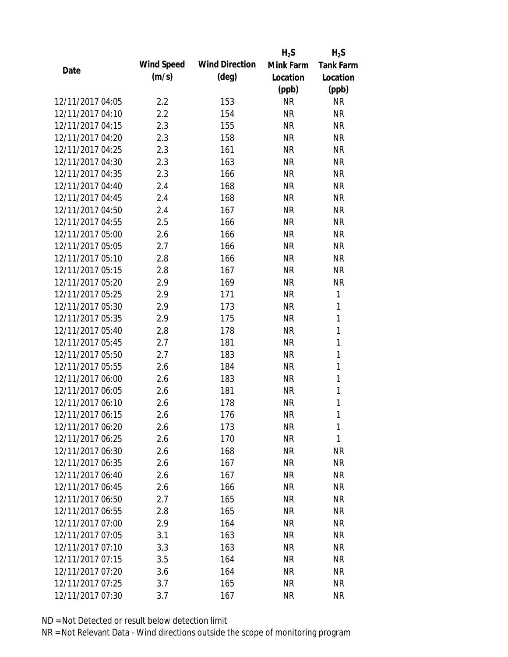|                  |            |                       | $H_2S$    | $H_2S$           |
|------------------|------------|-----------------------|-----------|------------------|
| Date             | Wind Speed | <b>Wind Direction</b> | Mink Farm | <b>Tank Farm</b> |
|                  | (m/s)      | $(\text{deg})$        | Location  | Location         |
|                  |            |                       | (ppb)     | (ppb)            |
| 12/11/2017 04:05 | 2.2        | 153                   | <b>NR</b> | <b>NR</b>        |
| 12/11/2017 04:10 | 2.2        | 154                   | <b>NR</b> | <b>NR</b>        |
| 12/11/2017 04:15 | 2.3        | 155                   | <b>NR</b> | <b>NR</b>        |
| 12/11/2017 04:20 | 2.3        | 158                   | <b>NR</b> | <b>NR</b>        |
| 12/11/2017 04:25 | 2.3        | 161                   | <b>NR</b> | <b>NR</b>        |
| 12/11/2017 04:30 | 2.3        | 163                   | <b>NR</b> | <b>NR</b>        |
| 12/11/2017 04:35 | 2.3        | 166                   | <b>NR</b> | <b>NR</b>        |
| 12/11/2017 04:40 | 2.4        | 168                   | <b>NR</b> | <b>NR</b>        |
| 12/11/2017 04:45 | 2.4        | 168                   | <b>NR</b> | <b>NR</b>        |
| 12/11/2017 04:50 | 2.4        | 167                   | <b>NR</b> | <b>NR</b>        |
| 12/11/2017 04:55 | 2.5        | 166                   | <b>NR</b> | <b>NR</b>        |
| 12/11/2017 05:00 | 2.6        | 166                   | <b>NR</b> | <b>NR</b>        |
| 12/11/2017 05:05 | 2.7        | 166                   | <b>NR</b> | <b>NR</b>        |
| 12/11/2017 05:10 | 2.8        | 166                   | <b>NR</b> | <b>NR</b>        |
| 12/11/2017 05:15 | 2.8        | 167                   | <b>NR</b> | <b>NR</b>        |
| 12/11/2017 05:20 | 2.9        | 169                   | <b>NR</b> | <b>NR</b>        |
| 12/11/2017 05:25 | 2.9        | 171                   | <b>NR</b> | 1                |
| 12/11/2017 05:30 | 2.9        | 173                   | <b>NR</b> | 1                |
| 12/11/2017 05:35 | 2.9        | 175                   | <b>NR</b> | $\mathbf{1}$     |
| 12/11/2017 05:40 | 2.8        | 178                   | <b>NR</b> | 1                |
| 12/11/2017 05:45 | 2.7        | 181                   | <b>NR</b> | $\mathbf{1}$     |
| 12/11/2017 05:50 | 2.7        | 183                   | <b>NR</b> | $\mathbf{1}$     |
| 12/11/2017 05:55 | 2.6        | 184                   | <b>NR</b> | 1                |
| 12/11/2017 06:00 | 2.6        | 183                   | <b>NR</b> | $\mathbf{1}$     |
| 12/11/2017 06:05 | 2.6        | 181                   | <b>NR</b> | 1                |
| 12/11/2017 06:10 | 2.6        | 178                   | <b>NR</b> | 1                |
| 12/11/2017 06:15 | 2.6        | 176                   | <b>NR</b> | 1                |
| 12/11/2017 06:20 | 2.6        | 173                   | <b>NR</b> | 1                |
| 12/11/2017 06:25 | 2.6        | 170                   | <b>NR</b> | 1                |
| 12/11/2017 06:30 | 2.6        | 168                   | NR        | ΝR               |
| 12/11/2017 06:35 | 2.6        | 167                   | NR        | <b>NR</b>        |
| 12/11/2017 06:40 | 2.6        | 167                   | <b>NR</b> | <b>NR</b>        |
| 12/11/2017 06:45 | 2.6        | 166                   | NR        | <b>NR</b>        |
| 12/11/2017 06:50 | 2.7        | 165                   | <b>NR</b> | <b>NR</b>        |
| 12/11/2017 06:55 | 2.8        | 165                   | NR        | <b>NR</b>        |
| 12/11/2017 07:00 | 2.9        | 164                   | <b>NR</b> | <b>NR</b>        |
| 12/11/2017 07:05 | 3.1        | 163                   | NR        | <b>NR</b>        |
| 12/11/2017 07:10 | 3.3        | 163                   | NR        | <b>NR</b>        |
| 12/11/2017 07:15 | 3.5        | 164                   | <b>NR</b> | NR               |
| 12/11/2017 07:20 | 3.6        | 164                   | <b>NR</b> | NR               |
| 12/11/2017 07:25 | 3.7        | 165                   | <b>NR</b> | <b>NR</b>        |
| 12/11/2017 07:30 | 3.7        | 167                   | <b>NR</b> | <b>NR</b>        |
|                  |            |                       |           |                  |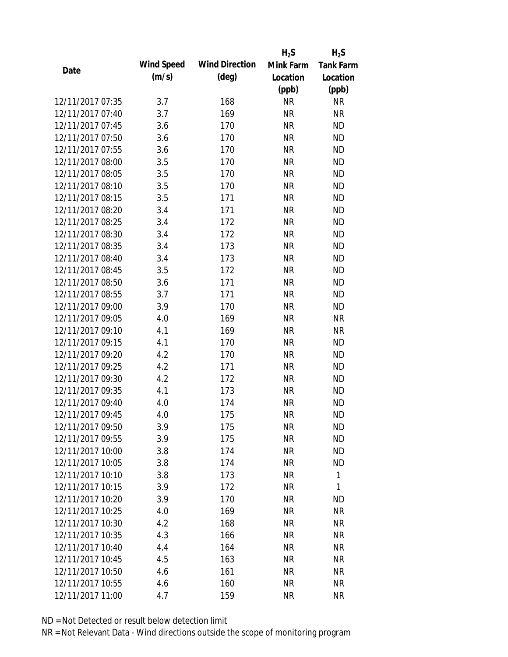|                  |            |                       | $H_2S$    | $H_2S$           |
|------------------|------------|-----------------------|-----------|------------------|
| Date             | Wind Speed | <b>Wind Direction</b> | Mink Farm | <b>Tank Farm</b> |
|                  | (m/s)      | $(\text{deg})$        | Location  | Location         |
|                  |            |                       | (ppb)     | (ppb)            |
| 12/11/2017 07:35 | 3.7        | 168                   | <b>NR</b> | <b>NR</b>        |
| 12/11/2017 07:40 | 3.7        | 169                   | <b>NR</b> | <b>NR</b>        |
| 12/11/2017 07:45 | 3.6        | 170                   | <b>NR</b> | <b>ND</b>        |
| 12/11/2017 07:50 | 3.6        | 170                   | <b>NR</b> | <b>ND</b>        |
| 12/11/2017 07:55 | 3.6        | 170                   | <b>NR</b> | <b>ND</b>        |
| 12/11/2017 08:00 | 3.5        | 170                   | <b>NR</b> | <b>ND</b>        |
| 12/11/2017 08:05 | 3.5        | 170                   | <b>NR</b> | <b>ND</b>        |
| 12/11/2017 08:10 | 3.5        | 170                   | <b>NR</b> | <b>ND</b>        |
| 12/11/2017 08:15 | 3.5        | 171                   | <b>NR</b> | <b>ND</b>        |
| 12/11/2017 08:20 | 3.4        | 171                   | <b>NR</b> | <b>ND</b>        |
| 12/11/2017 08:25 | 3.4        | 172                   | <b>NR</b> | <b>ND</b>        |
| 12/11/2017 08:30 | 3.4        | 172                   | <b>NR</b> | <b>ND</b>        |
| 12/11/2017 08:35 | 3.4        | 173                   | <b>NR</b> | <b>ND</b>        |
| 12/11/2017 08:40 | 3.4        | 173                   | <b>NR</b> | <b>ND</b>        |
| 12/11/2017 08:45 | 3.5        | 172                   | <b>NR</b> | <b>ND</b>        |
| 12/11/2017 08:50 | 3.6        | 171                   | <b>NR</b> | <b>ND</b>        |
| 12/11/2017 08:55 | 3.7        | 171                   | <b>NR</b> | <b>ND</b>        |
| 12/11/2017 09:00 | 3.9        | 170                   | <b>NR</b> | <b>ND</b>        |
| 12/11/2017 09:05 | 4.0        | 169                   | <b>NR</b> | <b>NR</b>        |
| 12/11/2017 09:10 | 4.1        | 169                   | <b>NR</b> | <b>NR</b>        |
| 12/11/2017 09:15 | 4.1        | 170                   | <b>NR</b> | <b>ND</b>        |
| 12/11/2017 09:20 | 4.2        | 170                   | <b>NR</b> | <b>ND</b>        |
| 12/11/2017 09:25 | 4.2        | 171                   | <b>NR</b> | <b>ND</b>        |
| 12/11/2017 09:30 | 4.2        | 172                   | <b>NR</b> | <b>ND</b>        |
| 12/11/2017 09:35 | 4.1        | 173                   | <b>NR</b> | <b>ND</b>        |
| 12/11/2017 09:40 | 4.0        | 174                   | <b>NR</b> | <b>ND</b>        |
| 12/11/2017 09:45 | 4.0        | 175                   | <b>NR</b> | <b>ND</b>        |
| 12/11/2017 09:50 | 3.9        | 175                   | <b>NR</b> | <b>ND</b>        |
| 12/11/2017 09:55 | 3.9        | 175                   | <b>NR</b> | <b>ND</b>        |
| 12/11/2017 10:00 | 3.8        | 174                   | <b>NR</b> | <b>ND</b>        |
| 12/11/2017 10:05 | 3.8        | 174                   | <b>NR</b> | <b>ND</b>        |
| 12/11/2017 10:10 | 3.8        | 173                   | <b>NR</b> | 1                |
| 12/11/2017 10:15 | 3.9        | 172                   | <b>NR</b> | 1                |
| 12/11/2017 10:20 | 3.9        | 170                   | <b>NR</b> | <b>ND</b>        |
| 12/11/2017 10:25 | 4.0        | 169                   | NR        | <b>NR</b>        |
| 12/11/2017 10:30 | 4.2        | 168                   | <b>NR</b> | <b>NR</b>        |
| 12/11/2017 10:35 | 4.3        | 166                   | NR        | <b>NR</b>        |
| 12/11/2017 10:40 | 4.4        | 164                   | NR        | <b>NR</b>        |
| 12/11/2017 10:45 | 4.5        | 163                   | NR        | <b>NR</b>        |
| 12/11/2017 10:50 | 4.6        | 161                   | NR        | <b>NR</b>        |
| 12/11/2017 10:55 | 4.6        | 160                   | <b>NR</b> | <b>NR</b>        |
| 12/11/2017 11:00 | 4.7        | 159                   | <b>NR</b> | <b>NR</b>        |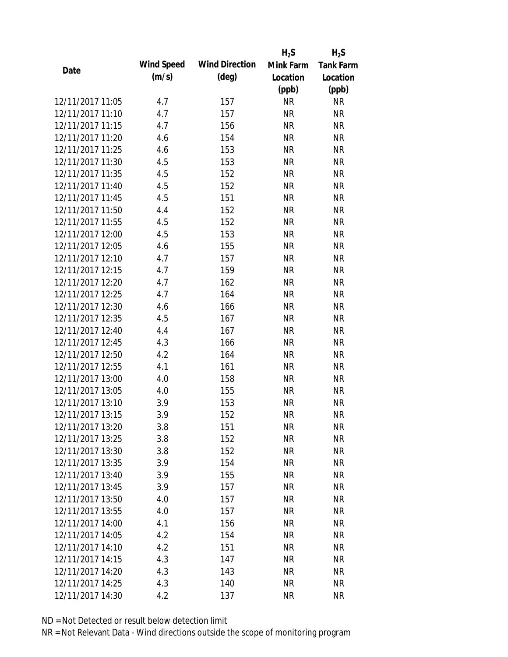|                  |            |                       | $H_2S$    | $H_2S$           |
|------------------|------------|-----------------------|-----------|------------------|
|                  | Wind Speed | <b>Wind Direction</b> | Mink Farm | <b>Tank Farm</b> |
| Date             | (m/s)      | $(\text{deg})$        | Location  | Location         |
|                  |            |                       | (ppb)     | (ppb)            |
| 12/11/2017 11:05 | 4.7        | 157                   | <b>NR</b> | <b>NR</b>        |
| 12/11/2017 11:10 | 4.7        | 157                   | <b>NR</b> | <b>NR</b>        |
| 12/11/2017 11:15 | 4.7        | 156                   | <b>NR</b> | <b>NR</b>        |
| 12/11/2017 11:20 | 4.6        | 154                   | <b>NR</b> | <b>NR</b>        |
| 12/11/2017 11:25 | 4.6        | 153                   | <b>NR</b> | <b>NR</b>        |
| 12/11/2017 11:30 | 4.5        | 153                   | <b>NR</b> | <b>NR</b>        |
| 12/11/2017 11:35 | 4.5        | 152                   | <b>NR</b> | <b>NR</b>        |
| 12/11/2017 11:40 | 4.5        | 152                   | <b>NR</b> | <b>NR</b>        |
| 12/11/2017 11:45 | 4.5        | 151                   | <b>NR</b> | <b>NR</b>        |
| 12/11/2017 11:50 | 4.4        | 152                   | <b>NR</b> | <b>NR</b>        |
| 12/11/2017 11:55 | 4.5        | 152                   | <b>NR</b> | <b>NR</b>        |
| 12/11/2017 12:00 | 4.5        | 153                   | <b>NR</b> | <b>NR</b>        |
| 12/11/2017 12:05 | 4.6        | 155                   | <b>NR</b> | <b>NR</b>        |
| 12/11/2017 12:10 | 4.7        | 157                   | <b>NR</b> | <b>NR</b>        |
| 12/11/2017 12:15 | 4.7        | 159                   | <b>NR</b> | <b>NR</b>        |
| 12/11/2017 12:20 | 4.7        | 162                   | <b>NR</b> | <b>NR</b>        |
| 12/11/2017 12:25 | 4.7        | 164                   | <b>NR</b> | <b>NR</b>        |
| 12/11/2017 12:30 | 4.6        | 166                   | <b>NR</b> | <b>NR</b>        |
| 12/11/2017 12:35 | 4.5        | 167                   | <b>NR</b> | <b>NR</b>        |
| 12/11/2017 12:40 | 4.4        | 167                   | <b>NR</b> | <b>NR</b>        |
| 12/11/2017 12:45 | 4.3        | 166                   | <b>NR</b> | <b>NR</b>        |
| 12/11/2017 12:50 | 4.2        | 164                   | <b>NR</b> | <b>NR</b>        |
| 12/11/2017 12:55 | 4.1        | 161                   | <b>NR</b> | <b>NR</b>        |
| 12/11/2017 13:00 | 4.0        | 158                   | <b>NR</b> | <b>NR</b>        |
| 12/11/2017 13:05 | 4.0        | 155                   | <b>NR</b> | <b>NR</b>        |
| 12/11/2017 13:10 | 3.9        | 153                   | <b>NR</b> | <b>NR</b>        |
| 12/11/2017 13:15 | 3.9        | 152                   | <b>NR</b> | <b>NR</b>        |
| 12/11/2017 13:20 | 3.8        | 151                   | <b>NR</b> | <b>NR</b>        |
| 12/11/2017 13:25 | 3.8        | 152                   | <b>NR</b> | <b>NR</b>        |
| 12/11/2017 13:30 | 3.8        | 152                   | NR        | <b>NR</b>        |
| 12/11/2017 13:35 | 3.9        | 154                   | <b>NR</b> | <b>NR</b>        |
| 12/11/2017 13:40 | 3.9        | 155                   | <b>NR</b> | <b>NR</b>        |
| 12/11/2017 13:45 | 3.9        | 157                   | <b>NR</b> | <b>NR</b>        |
| 12/11/2017 13:50 | 4.0        | 157                   | <b>NR</b> | <b>NR</b>        |
| 12/11/2017 13:55 | 4.0        | 157                   | <b>NR</b> | <b>NR</b>        |
| 12/11/2017 14:00 | 4.1        | 156                   | <b>NR</b> | <b>NR</b>        |
| 12/11/2017 14:05 | 4.2        | 154                   | <b>NR</b> | <b>NR</b>        |
| 12/11/2017 14:10 | 4.2        | 151                   | NR        | <b>NR</b>        |
| 12/11/2017 14:15 | 4.3        | 147                   | <b>NR</b> | <b>NR</b>        |
| 12/11/2017 14:20 | 4.3        | 143                   | <b>NR</b> | NR               |
| 12/11/2017 14:25 | 4.3        | 140                   | <b>NR</b> | <b>NR</b>        |
| 12/11/2017 14:30 | 4.2        | 137                   | <b>NR</b> | <b>NR</b>        |
|                  |            |                       |           |                  |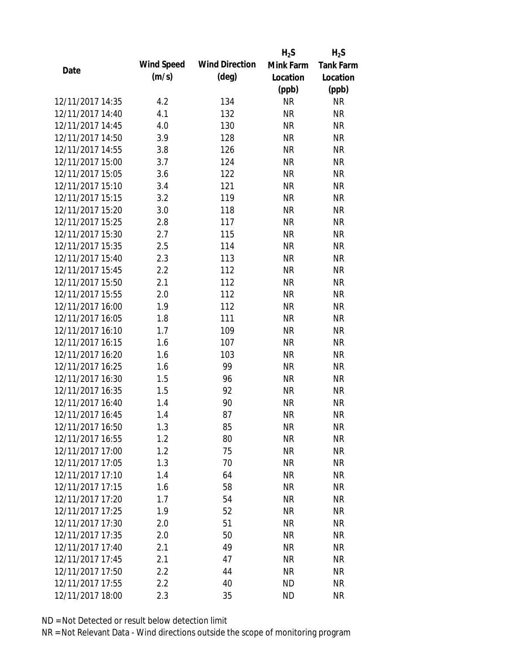|                  |            |                       | $H_2S$    | $H_2S$           |
|------------------|------------|-----------------------|-----------|------------------|
| Date             | Wind Speed | <b>Wind Direction</b> | Mink Farm | <b>Tank Farm</b> |
|                  | (m/s)      | $(\text{deg})$        | Location  | Location         |
|                  |            |                       | (ppb)     | (ppb)            |
| 12/11/2017 14:35 | 4.2        | 134                   | <b>NR</b> | <b>NR</b>        |
| 12/11/2017 14:40 | 4.1        | 132                   | <b>NR</b> | <b>NR</b>        |
| 12/11/2017 14:45 | 4.0        | 130                   | <b>NR</b> | <b>NR</b>        |
| 12/11/2017 14:50 | 3.9        | 128                   | <b>NR</b> | <b>NR</b>        |
| 12/11/2017 14:55 | 3.8        | 126                   | <b>NR</b> | <b>NR</b>        |
| 12/11/2017 15:00 | 3.7        | 124                   | <b>NR</b> | <b>NR</b>        |
| 12/11/2017 15:05 | 3.6        | 122                   | <b>NR</b> | <b>NR</b>        |
| 12/11/2017 15:10 | 3.4        | 121                   | <b>NR</b> | <b>NR</b>        |
| 12/11/2017 15:15 | 3.2        | 119                   | <b>NR</b> | <b>NR</b>        |
| 12/11/2017 15:20 | 3.0        | 118                   | <b>NR</b> | <b>NR</b>        |
| 12/11/2017 15:25 | 2.8        | 117                   | <b>NR</b> | <b>NR</b>        |
| 12/11/2017 15:30 | 2.7        | 115                   | <b>NR</b> | <b>NR</b>        |
| 12/11/2017 15:35 | 2.5        | 114                   | <b>NR</b> | <b>NR</b>        |
| 12/11/2017 15:40 | 2.3        | 113                   | <b>NR</b> | <b>NR</b>        |
| 12/11/2017 15:45 | 2.2        | 112                   | <b>NR</b> | <b>NR</b>        |
| 12/11/2017 15:50 | 2.1        | 112                   | <b>NR</b> | <b>NR</b>        |
| 12/11/2017 15:55 | 2.0        | 112                   | <b>NR</b> | <b>NR</b>        |
| 12/11/2017 16:00 | 1.9        | 112                   | <b>NR</b> | <b>NR</b>        |
| 12/11/2017 16:05 | 1.8        | 111                   | <b>NR</b> | <b>NR</b>        |
| 12/11/2017 16:10 | 1.7        | 109                   | <b>NR</b> | <b>NR</b>        |
| 12/11/2017 16:15 | 1.6        | 107                   | <b>NR</b> | <b>NR</b>        |
| 12/11/2017 16:20 | 1.6        | 103                   | <b>NR</b> | <b>NR</b>        |
| 12/11/2017 16:25 | 1.6        | 99                    | <b>NR</b> | <b>NR</b>        |
| 12/11/2017 16:30 | 1.5        | 96                    | <b>NR</b> | <b>NR</b>        |
| 12/11/2017 16:35 | 1.5        | 92                    | <b>NR</b> | <b>NR</b>        |
| 12/11/2017 16:40 | 1.4        | 90                    | <b>NR</b> | <b>NR</b>        |
| 12/11/2017 16:45 | 1.4        | 87                    | <b>NR</b> | <b>NR</b>        |
| 12/11/2017 16:50 | 1.3        | 85                    | <b>NR</b> | <b>NR</b>        |
| 12/11/2017 16:55 | 1.2        | 80                    | <b>NR</b> | <b>NR</b>        |
| 12/11/2017 17:00 | 1.2        | 75                    | <b>NR</b> | <b>NR</b>        |
| 12/11/2017 17:05 | 1.3        | 70                    | <b>NR</b> | <b>NR</b>        |
| 12/11/2017 17:10 | 1.4        | 64                    | <b>NR</b> | <b>NR</b>        |
| 12/11/2017 17:15 | 1.6        | 58                    | <b>NR</b> | <b>NR</b>        |
| 12/11/2017 17:20 | 1.7        | 54                    | <b>NR</b> | <b>NR</b>        |
| 12/11/2017 17:25 | 1.9        | 52                    | <b>NR</b> | <b>NR</b>        |
| 12/11/2017 17:30 | 2.0        | 51                    | <b>NR</b> | <b>NR</b>        |
| 12/11/2017 17:35 | 2.0        | 50                    | <b>NR</b> | <b>NR</b>        |
| 12/11/2017 17:40 |            | 49                    |           |                  |
|                  | 2.1        |                       | NR        | <b>NR</b>        |
| 12/11/2017 17:45 | 2.1        | 47                    | <b>NR</b> | <b>NR</b>        |
| 12/11/2017 17:50 | 2.2        | 44                    | <b>NR</b> | <b>NR</b>        |
| 12/11/2017 17:55 | 2.2        | 40                    | <b>ND</b> | <b>NR</b>        |
| 12/11/2017 18:00 | 2.3        | 35                    | <b>ND</b> | <b>NR</b>        |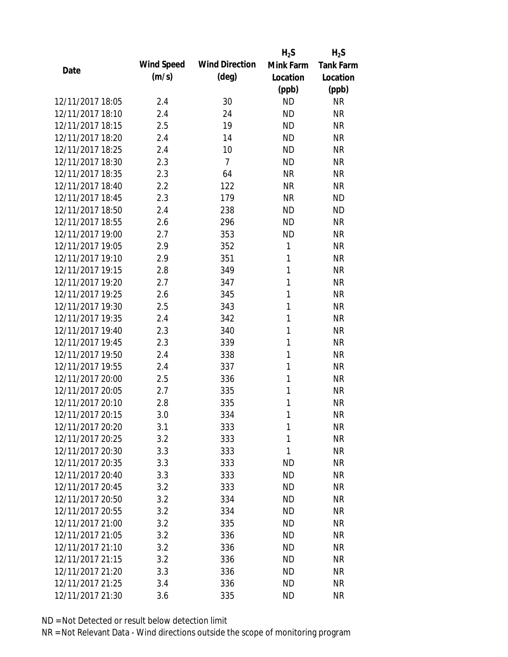|                  |            |                       | $H_2S$    | $H_2S$           |
|------------------|------------|-----------------------|-----------|------------------|
| Date             | Wind Speed | <b>Wind Direction</b> | Mink Farm | <b>Tank Farm</b> |
|                  | (m/s)      | $(\text{deg})$        | Location  | Location         |
|                  |            |                       | (ppb)     | (ppb)            |
| 12/11/2017 18:05 | 2.4        | 30                    | <b>ND</b> | <b>NR</b>        |
| 12/11/2017 18:10 | 2.4        | 24                    | <b>ND</b> | <b>NR</b>        |
| 12/11/2017 18:15 | 2.5        | 19                    | <b>ND</b> | <b>NR</b>        |
| 12/11/2017 18:20 | 2.4        | 14                    | <b>ND</b> | <b>NR</b>        |
| 12/11/2017 18:25 | 2.4        | 10                    | <b>ND</b> | <b>NR</b>        |
| 12/11/2017 18:30 | 2.3        | $\overline{7}$        | <b>ND</b> | <b>NR</b>        |
| 12/11/2017 18:35 | 2.3        | 64                    | <b>NR</b> | <b>NR</b>        |
| 12/11/2017 18:40 | 2.2        | 122                   | <b>NR</b> | <b>NR</b>        |
| 12/11/2017 18:45 | 2.3        | 179                   | <b>NR</b> | <b>ND</b>        |
| 12/11/2017 18:50 | 2.4        | 238                   | <b>ND</b> | <b>ND</b>        |
| 12/11/2017 18:55 | 2.6        | 296                   | <b>ND</b> | <b>NR</b>        |
| 12/11/2017 19:00 | 2.7        | 353                   | <b>ND</b> | <b>NR</b>        |
| 12/11/2017 19:05 | 2.9        | 352                   | 1         | <b>NR</b>        |
| 12/11/2017 19:10 | 2.9        | 351                   | 1         | <b>NR</b>        |
| 12/11/2017 19:15 | 2.8        | 349                   | 1         | <b>NR</b>        |
| 12/11/2017 19:20 | 2.7        | 347                   | 1         | <b>NR</b>        |
| 12/11/2017 19:25 | 2.6        | 345                   | 1         | <b>NR</b>        |
| 12/11/2017 19:30 | 2.5        | 343                   | 1         | <b>NR</b>        |
| 12/11/2017 19:35 | 2.4        | 342                   | 1         | <b>NR</b>        |
| 12/11/2017 19:40 | 2.3        | 340                   | 1         | <b>NR</b>        |
| 12/11/2017 19:45 | 2.3        | 339                   | 1         | <b>NR</b>        |
| 12/11/2017 19:50 | 2.4        | 338                   | 1         | <b>NR</b>        |
| 12/11/2017 19:55 | 2.4        | 337                   | 1         | <b>NR</b>        |
| 12/11/2017 20:00 | 2.5        | 336                   | 1         | <b>NR</b>        |
| 12/11/2017 20:05 | 2.7        | 335                   | 1         | <b>NR</b>        |
| 12/11/2017 20:10 | 2.8        | 335                   | 1         | <b>NR</b>        |
| 12/11/2017 20:15 | 3.0        | 334                   | 1         | <b>NR</b>        |
| 12/11/2017 20:20 | 3.1        | 333                   | 1         | <b>NR</b>        |
| 12/11/2017 20:25 | 3.2        | 333                   | 1         | <b>NR</b>        |
| 12/11/2017 20:30 | 3.3        | 333                   | 1         | <b>NR</b>        |
| 12/11/2017 20:35 | 3.3        | 333                   | <b>ND</b> | <b>NR</b>        |
| 12/11/2017 20:40 | 3.3        | 333                   | <b>ND</b> | <b>NR</b>        |
| 12/11/2017 20:45 | 3.2        | 333                   | <b>ND</b> | <b>NR</b>        |
| 12/11/2017 20:50 | 3.2        | 334                   | <b>ND</b> | <b>NR</b>        |
| 12/11/2017 20:55 | 3.2        | 334                   | <b>ND</b> | <b>NR</b>        |
| 12/11/2017 21:00 | 3.2        | 335                   | <b>ND</b> | <b>NR</b>        |
| 12/11/2017 21:05 | 3.2        | 336                   | ND.       | <b>NR</b>        |
| 12/11/2017 21:10 | 3.2        | 336                   | <b>ND</b> | <b>NR</b>        |
| 12/11/2017 21:15 | 3.2        | 336                   | <b>ND</b> | <b>NR</b>        |
| 12/11/2017 21:20 | 3.3        | 336                   | <b>ND</b> | <b>NR</b>        |
| 12/11/2017 21:25 | 3.4        | 336                   | <b>ND</b> | <b>NR</b>        |
| 12/11/2017 21:30 | 3.6        | 335                   | <b>ND</b> | <b>NR</b>        |
|                  |            |                       |           |                  |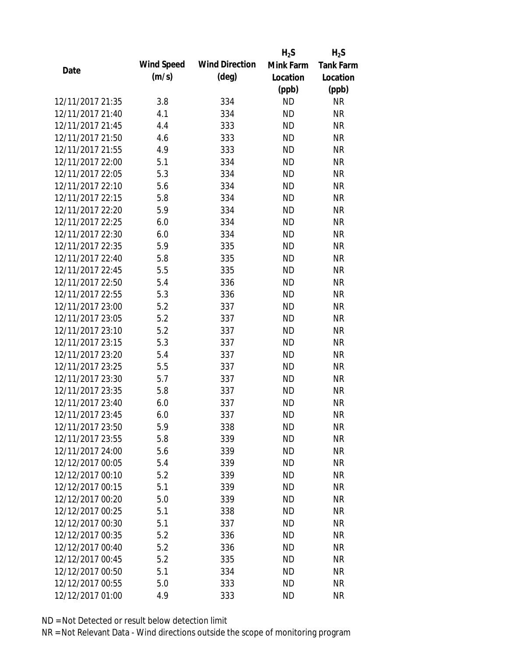|                  |            |                       | $H_2S$    | $H_2S$           |
|------------------|------------|-----------------------|-----------|------------------|
| Date             | Wind Speed | <b>Wind Direction</b> | Mink Farm | <b>Tank Farm</b> |
|                  | (m/s)      | $(\text{deg})$        | Location  | Location         |
|                  |            |                       | (ppb)     | (ppb)            |
| 12/11/2017 21:35 | 3.8        | 334                   | <b>ND</b> | <b>NR</b>        |
| 12/11/2017 21:40 | 4.1        | 334                   | <b>ND</b> | <b>NR</b>        |
| 12/11/2017 21:45 | 4.4        | 333                   | <b>ND</b> | <b>NR</b>        |
| 12/11/2017 21:50 | 4.6        | 333                   | <b>ND</b> | <b>NR</b>        |
| 12/11/2017 21:55 | 4.9        | 333                   | <b>ND</b> | <b>NR</b>        |
| 12/11/2017 22:00 | 5.1        | 334                   | <b>ND</b> | <b>NR</b>        |
| 12/11/2017 22:05 | 5.3        | 334                   | <b>ND</b> | <b>NR</b>        |
| 12/11/2017 22:10 | 5.6        | 334                   | <b>ND</b> | <b>NR</b>        |
| 12/11/2017 22:15 | 5.8        | 334                   | <b>ND</b> | <b>NR</b>        |
| 12/11/2017 22:20 | 5.9        | 334                   | <b>ND</b> | <b>NR</b>        |
| 12/11/2017 22:25 | 6.0        | 334                   | <b>ND</b> | <b>NR</b>        |
| 12/11/2017 22:30 | 6.0        | 334                   | <b>ND</b> | <b>NR</b>        |
| 12/11/2017 22:35 | 5.9        | 335                   | <b>ND</b> | <b>NR</b>        |
| 12/11/2017 22:40 | 5.8        | 335                   | <b>ND</b> | <b>NR</b>        |
| 12/11/2017 22:45 | 5.5        | 335                   | <b>ND</b> | <b>NR</b>        |
| 12/11/2017 22:50 | 5.4        | 336                   | <b>ND</b> | <b>NR</b>        |
| 12/11/2017 22:55 | 5.3        | 336                   | <b>ND</b> | <b>NR</b>        |
| 12/11/2017 23:00 | 5.2        | 337                   | <b>ND</b> | <b>NR</b>        |
| 12/11/2017 23:05 | 5.2        | 337                   | <b>ND</b> | <b>NR</b>        |
| 12/11/2017 23:10 | 5.2        | 337                   | <b>ND</b> | <b>NR</b>        |
| 12/11/2017 23:15 | 5.3        | 337                   | <b>ND</b> | <b>NR</b>        |
| 12/11/2017 23:20 | 5.4        | 337                   | <b>ND</b> | <b>NR</b>        |
| 12/11/2017 23:25 | 5.5        | 337                   | <b>ND</b> | <b>NR</b>        |
| 12/11/2017 23:30 | 5.7        | 337                   | <b>ND</b> | <b>NR</b>        |
| 12/11/2017 23:35 | 5.8        | 337                   | <b>ND</b> | <b>NR</b>        |
| 12/11/2017 23:40 | 6.0        | 337                   | <b>ND</b> | <b>NR</b>        |
| 12/11/2017 23:45 | 6.0        | 337                   | <b>ND</b> | <b>NR</b>        |
| 12/11/2017 23:50 | 5.9        | 338                   | <b>ND</b> | <b>NR</b>        |
| 12/11/2017 23:55 | 5.8        | 339                   | <b>ND</b> | <b>NR</b>        |
| 12/11/2017 24:00 | 5.6        | 339                   | <b>ND</b> | <b>NR</b>        |
| 12/12/2017 00:05 | 5.4        | 339                   | <b>ND</b> | <b>NR</b>        |
| 12/12/2017 00:10 | 5.2        | 339                   | <b>ND</b> | <b>NR</b>        |
| 12/12/2017 00:15 | 5.1        | 339                   | <b>ND</b> | <b>NR</b>        |
| 12/12/2017 00:20 | 5.0        | 339                   | <b>ND</b> | <b>NR</b>        |
| 12/12/2017 00:25 | 5.1        | 338                   | <b>ND</b> | <b>NR</b>        |
| 12/12/2017 00:30 | 5.1        | 337                   | <b>ND</b> | <b>NR</b>        |
| 12/12/2017 00:35 | 5.2        | 336                   | <b>ND</b> | <b>NR</b>        |
| 12/12/2017 00:40 | 5.2        | 336                   | <b>ND</b> | <b>NR</b>        |
| 12/12/2017 00:45 | 5.2        | 335                   | <b>ND</b> | <b>NR</b>        |
| 12/12/2017 00:50 | 5.1        | 334                   | <b>ND</b> | <b>NR</b>        |
| 12/12/2017 00:55 | 5.0        | 333                   | <b>ND</b> | <b>NR</b>        |
| 12/12/2017 01:00 | 4.9        | 333                   | <b>ND</b> | <b>NR</b>        |
|                  |            |                       |           |                  |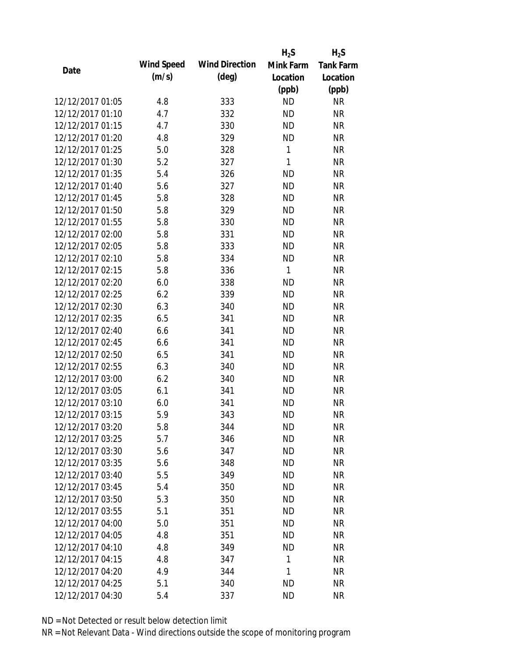|                  |            |                       | $H_2S$    | $H_2S$           |
|------------------|------------|-----------------------|-----------|------------------|
|                  | Wind Speed | <b>Wind Direction</b> | Mink Farm | <b>Tank Farm</b> |
| Date             | (m/s)      | $(\text{deg})$        | Location  | Location         |
|                  |            |                       | (ppb)     | (ppb)            |
| 12/12/2017 01:05 | 4.8        | 333                   | <b>ND</b> | <b>NR</b>        |
| 12/12/2017 01:10 | 4.7        | 332                   | <b>ND</b> | <b>NR</b>        |
| 12/12/2017 01:15 | 4.7        | 330                   | <b>ND</b> | <b>NR</b>        |
| 12/12/2017 01:20 | 4.8        | 329                   | <b>ND</b> | <b>NR</b>        |
| 12/12/2017 01:25 | 5.0        | 328                   | 1         | <b>NR</b>        |
| 12/12/2017 01:30 | 5.2        | 327                   | 1         | <b>NR</b>        |
| 12/12/2017 01:35 | 5.4        | 326                   | <b>ND</b> | <b>NR</b>        |
| 12/12/2017 01:40 | 5.6        | 327                   | <b>ND</b> | <b>NR</b>        |
| 12/12/2017 01:45 | 5.8        | 328                   | <b>ND</b> | <b>NR</b>        |
| 12/12/2017 01:50 | 5.8        | 329                   | <b>ND</b> | <b>NR</b>        |
| 12/12/2017 01:55 | 5.8        | 330                   | <b>ND</b> | <b>NR</b>        |
| 12/12/2017 02:00 | 5.8        | 331                   | <b>ND</b> | <b>NR</b>        |
| 12/12/2017 02:05 | 5.8        | 333                   | <b>ND</b> | <b>NR</b>        |
| 12/12/2017 02:10 | 5.8        | 334                   | <b>ND</b> | <b>NR</b>        |
| 12/12/2017 02:15 | 5.8        | 336                   | 1         | <b>NR</b>        |
| 12/12/2017 02:20 | 6.0        | 338                   | <b>ND</b> | <b>NR</b>        |
| 12/12/2017 02:25 | 6.2        | 339                   | <b>ND</b> | <b>NR</b>        |
| 12/12/2017 02:30 | 6.3        | 340                   | <b>ND</b> | <b>NR</b>        |
| 12/12/2017 02:35 | 6.5        | 341                   | <b>ND</b> | <b>NR</b>        |
| 12/12/2017 02:40 | 6.6        | 341                   | <b>ND</b> | <b>NR</b>        |
| 12/12/2017 02:45 | 6.6        | 341                   | <b>ND</b> | <b>NR</b>        |
| 12/12/2017 02:50 | 6.5        | 341                   | <b>ND</b> | <b>NR</b>        |
| 12/12/2017 02:55 | 6.3        | 340                   | <b>ND</b> | <b>NR</b>        |
| 12/12/2017 03:00 | 6.2        | 340                   | <b>ND</b> | <b>NR</b>        |
| 12/12/2017 03:05 | 6.1        | 341                   | <b>ND</b> | <b>NR</b>        |
| 12/12/2017 03:10 | 6.0        | 341                   | <b>ND</b> | <b>NR</b>        |
| 12/12/2017 03:15 | 5.9        | 343                   | <b>ND</b> | <b>NR</b>        |
| 12/12/2017 03:20 | 5.8        | 344                   | <b>ND</b> | <b>NR</b>        |
| 12/12/2017 03:25 | 5.7        | 346                   | <b>ND</b> | <b>NR</b>        |
| 12/12/2017 03:30 | 5.6        | 347                   | <b>ND</b> | <b>NR</b>        |
| 12/12/2017 03:35 | 5.6        | 348                   | <b>ND</b> | <b>NR</b>        |
| 12/12/2017 03:40 | 5.5        | 349                   | <b>ND</b> | <b>NR</b>        |
| 12/12/2017 03:45 | 5.4        | 350                   | <b>ND</b> | <b>NR</b>        |
| 12/12/2017 03:50 | 5.3        | 350                   | <b>ND</b> | <b>NR</b>        |
| 12/12/2017 03:55 | 5.1        | 351                   | <b>ND</b> | <b>NR</b>        |
| 12/12/2017 04:00 | 5.0        | 351                   | <b>ND</b> | <b>NR</b>        |
| 12/12/2017 04:05 | 4.8        | 351                   | <b>ND</b> | <b>NR</b>        |
| 12/12/2017 04:10 | 4.8        | 349                   | <b>ND</b> | <b>NR</b>        |
| 12/12/2017 04:15 | 4.8        | 347                   | 1         | <b>NR</b>        |
| 12/12/2017 04:20 | 4.9        | 344                   | 1         | <b>NR</b>        |
| 12/12/2017 04:25 | 5.1        | 340                   | <b>ND</b> | <b>NR</b>        |
| 12/12/2017 04:30 | 5.4        | 337                   | <b>ND</b> | <b>NR</b>        |
|                  |            |                       |           |                  |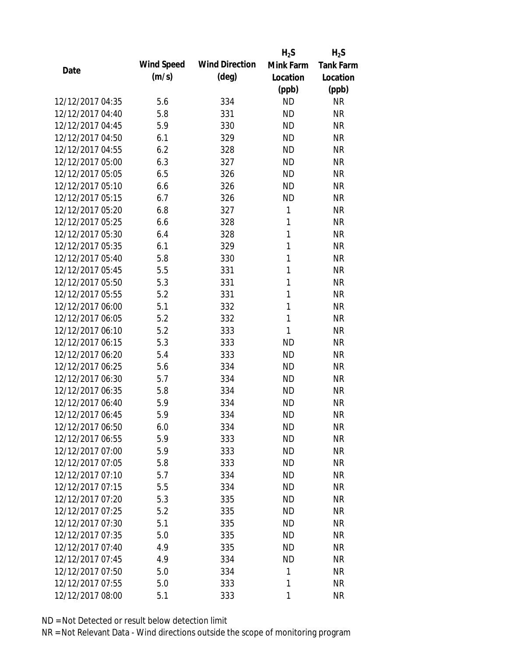|                  |            |                       | $H_2S$       | $H_2S$           |
|------------------|------------|-----------------------|--------------|------------------|
| Date             | Wind Speed | <b>Wind Direction</b> | Mink Farm    | <b>Tank Farm</b> |
|                  | (m/s)      | $(\text{deg})$        | Location     | Location         |
|                  |            |                       | (ppb)        | (ppb)            |
| 12/12/2017 04:35 | 5.6        | 334                   | <b>ND</b>    | <b>NR</b>        |
| 12/12/2017 04:40 | 5.8        | 331                   | <b>ND</b>    | <b>NR</b>        |
| 12/12/2017 04:45 | 5.9        | 330                   | <b>ND</b>    | <b>NR</b>        |
| 12/12/2017 04:50 | 6.1        | 329                   | <b>ND</b>    | <b>NR</b>        |
| 12/12/2017 04:55 | 6.2        | 328                   | <b>ND</b>    | <b>NR</b>        |
| 12/12/2017 05:00 | 6.3        | 327                   | <b>ND</b>    | <b>NR</b>        |
| 12/12/2017 05:05 | 6.5        | 326                   | <b>ND</b>    | <b>NR</b>        |
| 12/12/2017 05:10 | 6.6        | 326                   | <b>ND</b>    | <b>NR</b>        |
| 12/12/2017 05:15 | 6.7        | 326                   | <b>ND</b>    | <b>NR</b>        |
| 12/12/2017 05:20 | 6.8        | 327                   | 1            | <b>NR</b>        |
| 12/12/2017 05:25 | 6.6        | 328                   | 1            | <b>NR</b>        |
| 12/12/2017 05:30 | 6.4        | 328                   | 1            | <b>NR</b>        |
| 12/12/2017 05:35 | 6.1        | 329                   | $\mathbf{1}$ | <b>NR</b>        |
| 12/12/2017 05:40 | 5.8        | 330                   | 1            | <b>NR</b>        |
| 12/12/2017 05:45 | 5.5        | 331                   | 1            | <b>NR</b>        |
| 12/12/2017 05:50 | 5.3        | 331                   | 1            | <b>NR</b>        |
| 12/12/2017 05:55 | 5.2        | 331                   | 1            | <b>NR</b>        |
| 12/12/2017 06:00 | 5.1        | 332                   | $\mathbf{1}$ | <b>NR</b>        |
| 12/12/2017 06:05 | 5.2        | 332                   | 1            | <b>NR</b>        |
| 12/12/2017 06:10 | 5.2        | 333                   | 1            | <b>NR</b>        |
| 12/12/2017 06:15 | 5.3        | 333                   | <b>ND</b>    | <b>NR</b>        |
| 12/12/2017 06:20 | 5.4        | 333                   | <b>ND</b>    | <b>NR</b>        |
| 12/12/2017 06:25 | 5.6        | 334                   | <b>ND</b>    | <b>NR</b>        |
| 12/12/2017 06:30 | 5.7        | 334                   | <b>ND</b>    | <b>NR</b>        |
| 12/12/2017 06:35 | 5.8        | 334                   | <b>ND</b>    | <b>NR</b>        |
| 12/12/2017 06:40 | 5.9        | 334                   | <b>ND</b>    | <b>NR</b>        |
| 12/12/2017 06:45 | 5.9        | 334                   | <b>ND</b>    | <b>NR</b>        |
| 12/12/2017 06:50 | 6.0        | 334                   | ND           | <b>NR</b>        |
| 12/12/2017 06:55 | 5.9        | 333                   | <b>ND</b>    | <b>NR</b>        |
| 12/12/2017 07:00 | 5.9        | 333                   | <b>ND</b>    | <b>NR</b>        |
| 12/12/2017 07:05 | 5.8        | 333                   | <b>ND</b>    | <b>NR</b>        |
| 12/12/2017 07:10 | 5.7        | 334                   | <b>ND</b>    | <b>NR</b>        |
| 12/12/2017 07:15 | 5.5        | 334                   | <b>ND</b>    | <b>NR</b>        |
| 12/12/2017 07:20 | 5.3        | 335                   | <b>ND</b>    | <b>NR</b>        |
| 12/12/2017 07:25 | 5.2        | 335                   | <b>ND</b>    | <b>NR</b>        |
| 12/12/2017 07:30 | 5.1        | 335                   | <b>ND</b>    | <b>NR</b>        |
| 12/12/2017 07:35 | 5.0        | 335                   | <b>ND</b>    | <b>NR</b>        |
| 12/12/2017 07:40 | 4.9        | 335                   | <b>ND</b>    | <b>NR</b>        |
| 12/12/2017 07:45 | 4.9        | 334                   | <b>ND</b>    | <b>NR</b>        |
| 12/12/2017 07:50 | 5.0        | 334                   | 1            | <b>NR</b>        |
| 12/12/2017 07:55 | 5.0        | 333                   | 1            | <b>NR</b>        |
| 12/12/2017 08:00 | 5.1        | 333                   | 1            | <b>NR</b>        |
|                  |            |                       |              |                  |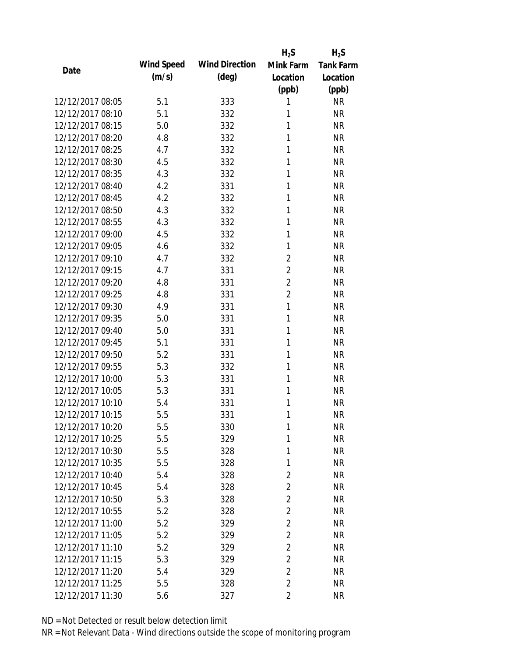|                  |            |                       | $H_2S$         | $H_2S$           |
|------------------|------------|-----------------------|----------------|------------------|
| Date             | Wind Speed | <b>Wind Direction</b> | Mink Farm      | <b>Tank Farm</b> |
|                  | (m/s)      | $(\text{deg})$        | Location       | Location         |
|                  |            |                       | (ppb)          | (ppb)            |
| 12/12/2017 08:05 | 5.1        | 333                   | 1              | <b>NR</b>        |
| 12/12/2017 08:10 | 5.1        | 332                   | 1              | <b>NR</b>        |
| 12/12/2017 08:15 | 5.0        | 332                   | 1              | <b>NR</b>        |
| 12/12/2017 08:20 | 4.8        | 332                   | 1              | <b>NR</b>        |
| 12/12/2017 08:25 | 4.7        | 332                   | 1              | <b>NR</b>        |
| 12/12/2017 08:30 | 4.5        | 332                   | 1              | <b>NR</b>        |
| 12/12/2017 08:35 | 4.3        | 332                   | 1              | <b>NR</b>        |
| 12/12/2017 08:40 | 4.2        | 331                   | 1              | <b>NR</b>        |
| 12/12/2017 08:45 | 4.2        | 332                   | 1              | <b>NR</b>        |
| 12/12/2017 08:50 | 4.3        | 332                   | 1              | <b>NR</b>        |
| 12/12/2017 08:55 | 4.3        | 332                   | 1              | <b>NR</b>        |
| 12/12/2017 09:00 | 4.5        | 332                   | 1              | <b>NR</b>        |
| 12/12/2017 09:05 | 4.6        | 332                   | 1              | <b>NR</b>        |
| 12/12/2017 09:10 | 4.7        | 332                   | $\overline{2}$ | <b>NR</b>        |
| 12/12/2017 09:15 | 4.7        | 331                   | $\overline{2}$ | <b>NR</b>        |
| 12/12/2017 09:20 | 4.8        | 331                   | $\overline{2}$ | <b>NR</b>        |
| 12/12/2017 09:25 | 4.8        | 331                   | $\overline{2}$ | <b>NR</b>        |
| 12/12/2017 09:30 | 4.9        | 331                   | 1              | <b>NR</b>        |
| 12/12/2017 09:35 | 5.0        | 331                   | 1              | <b>NR</b>        |
| 12/12/2017 09:40 | 5.0        | 331                   | 1              | <b>NR</b>        |
| 12/12/2017 09:45 | 5.1        | 331                   | 1              | <b>NR</b>        |
| 12/12/2017 09:50 | 5.2        | 331                   | 1              | <b>NR</b>        |
| 12/12/2017 09:55 | 5.3        | 332                   | 1              | <b>NR</b>        |
| 12/12/2017 10:00 | 5.3        | 331                   | 1              | <b>NR</b>        |
| 12/12/2017 10:05 | 5.3        | 331                   | 1              | <b>NR</b>        |
| 12/12/2017 10:10 | 5.4        | 331                   | 1              | <b>NR</b>        |
| 12/12/2017 10:15 | 5.5        | 331                   | 1              | <b>NR</b>        |
| 12/12/2017 10:20 | 5.5        | 330                   | 1              | <b>NR</b>        |
| 12/12/2017 10:25 | 5.5        | 329                   | 1              | <b>NR</b>        |
| 12/12/2017 10:30 | 5.5        | 328                   | 1              | <b>NR</b>        |
| 12/12/2017 10:35 | 5.5        | 328                   | 1              | <b>NR</b>        |
| 12/12/2017 10:40 | 5.4        | 328                   | $\overline{2}$ | <b>NR</b>        |
| 12/12/2017 10:45 | 5.4        | 328                   | $\overline{2}$ | <b>NR</b>        |
| 12/12/2017 10:50 | 5.3        | 328                   | $\overline{2}$ | <b>NR</b>        |
| 12/12/2017 10:55 | 5.2        | 328                   | $\overline{2}$ | <b>NR</b>        |
| 12/12/2017 11:00 | 5.2        | 329                   | $\overline{2}$ | <b>NR</b>        |
| 12/12/2017 11:05 | 5.2        | 329                   | $\overline{2}$ | <b>NR</b>        |
| 12/12/2017 11:10 | 5.2        | 329                   | $\overline{2}$ | <b>NR</b>        |
| 12/12/2017 11:15 | 5.3        | 329                   | $\overline{2}$ | <b>NR</b>        |
| 12/12/2017 11:20 | 5.4        | 329                   | $\overline{2}$ | <b>NR</b>        |
| 12/12/2017 11:25 | 5.5        | 328                   | $\overline{2}$ | <b>NR</b>        |
| 12/12/2017 11:30 | 5.6        | 327                   | $\overline{2}$ | <b>NR</b>        |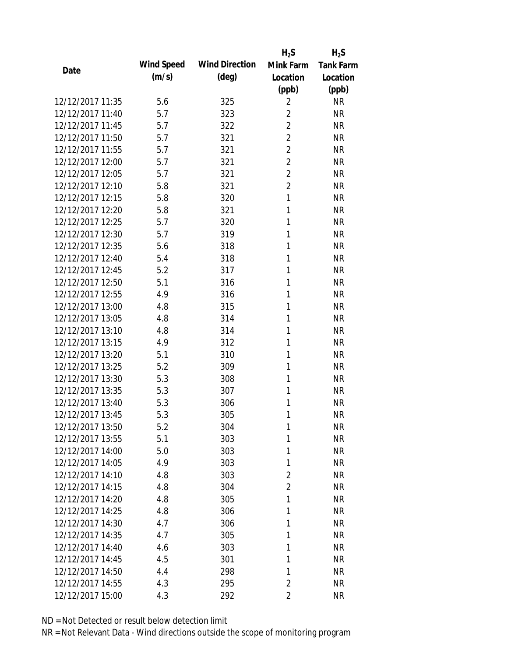|                  |            |                       | $H_2S$         | $H_2S$           |
|------------------|------------|-----------------------|----------------|------------------|
| Date             | Wind Speed | <b>Wind Direction</b> | Mink Farm      | <b>Tank Farm</b> |
|                  | (m/s)      | $(\text{deg})$        | Location       | Location         |
|                  |            |                       | (ppb)          | (ppb)            |
| 12/12/2017 11:35 | 5.6        | 325                   | $\overline{2}$ | <b>NR</b>        |
| 12/12/2017 11:40 | 5.7        | 323                   | $\overline{2}$ | <b>NR</b>        |
| 12/12/2017 11:45 | 5.7        | 322                   | $\overline{2}$ | <b>NR</b>        |
| 12/12/2017 11:50 | 5.7        | 321                   | $\overline{2}$ | <b>NR</b>        |
| 12/12/2017 11:55 | 5.7        | 321                   | $\overline{2}$ | <b>NR</b>        |
| 12/12/2017 12:00 | 5.7        | 321                   | $\overline{2}$ | <b>NR</b>        |
| 12/12/2017 12:05 | 5.7        | 321                   | $\overline{2}$ | <b>NR</b>        |
| 12/12/2017 12:10 | 5.8        | 321                   | $\overline{2}$ | <b>NR</b>        |
| 12/12/2017 12:15 | 5.8        | 320                   | $\mathbf{1}$   | <b>NR</b>        |
| 12/12/2017 12:20 | 5.8        | 321                   | 1              | <b>NR</b>        |
| 12/12/2017 12:25 | 5.7        | 320                   | 1              | <b>NR</b>        |
| 12/12/2017 12:30 | 5.7        | 319                   | 1              | <b>NR</b>        |
| 12/12/2017 12:35 | 5.6        | 318                   | 1              | <b>NR</b>        |
| 12/12/2017 12:40 | 5.4        | 318                   | 1              | <b>NR</b>        |
| 12/12/2017 12:45 | 5.2        | 317                   | 1              | <b>NR</b>        |
| 12/12/2017 12:50 | 5.1        | 316                   | 1              | <b>NR</b>        |
| 12/12/2017 12:55 | 4.9        | 316                   | 1              | <b>NR</b>        |
| 12/12/2017 13:00 | 4.8        | 315                   | 1              | <b>NR</b>        |
| 12/12/2017 13:05 | 4.8        | 314                   | 1              | <b>NR</b>        |
| 12/12/2017 13:10 | 4.8        | 314                   | 1              | <b>NR</b>        |
| 12/12/2017 13:15 | 4.9        | 312                   | 1              | <b>NR</b>        |
| 12/12/2017 13:20 | 5.1        | 310                   | 1              | <b>NR</b>        |
| 12/12/2017 13:25 | 5.2        | 309                   | 1              | <b>NR</b>        |
| 12/12/2017 13:30 | 5.3        | 308                   | 1              | <b>NR</b>        |
| 12/12/2017 13:35 | 5.3        | 307                   | 1              | <b>NR</b>        |
| 12/12/2017 13:40 | 5.3        | 306                   | 1              | <b>NR</b>        |
| 12/12/2017 13:45 | 5.3        | 305                   | 1              | <b>NR</b>        |
| 12/12/2017 13:50 | 5.2        | 304                   | 1              | <b>NR</b>        |
| 12/12/2017 13:55 | 5.1        | 303                   | 1              | <b>NR</b>        |
| 12/12/2017 14:00 | 5.0        | 303                   | 1              | <b>NR</b>        |
| 12/12/2017 14:05 | 4.9        | 303                   | 1              | <b>NR</b>        |
| 12/12/2017 14:10 | 4.8        | 303                   | $\overline{2}$ | <b>NR</b>        |
| 12/12/2017 14:15 | 4.8        | 304                   | $\overline{2}$ | <b>NR</b>        |
| 12/12/2017 14:20 | 4.8        | 305                   | 1              | <b>NR</b>        |
| 12/12/2017 14:25 | 4.8        |                       | 1              | <b>NR</b>        |
| 12/12/2017 14:30 | 4.7        | 306                   | 1              | <b>NR</b>        |
| 12/12/2017 14:35 |            | 306                   |                |                  |
|                  | 4.7        | 305                   | 1              | <b>NR</b>        |
| 12/12/2017 14:40 | 4.6        | 303                   | 1              | <b>NR</b>        |
| 12/12/2017 14:45 | 4.5        | 301                   | 1              | <b>NR</b>        |
| 12/12/2017 14:50 | 4.4        | 298                   | 1              | <b>NR</b>        |
| 12/12/2017 14:55 | 4.3        | 295                   | $\overline{2}$ | <b>NR</b>        |
| 12/12/2017 15:00 | 4.3        | 292                   | $\overline{2}$ | <b>NR</b>        |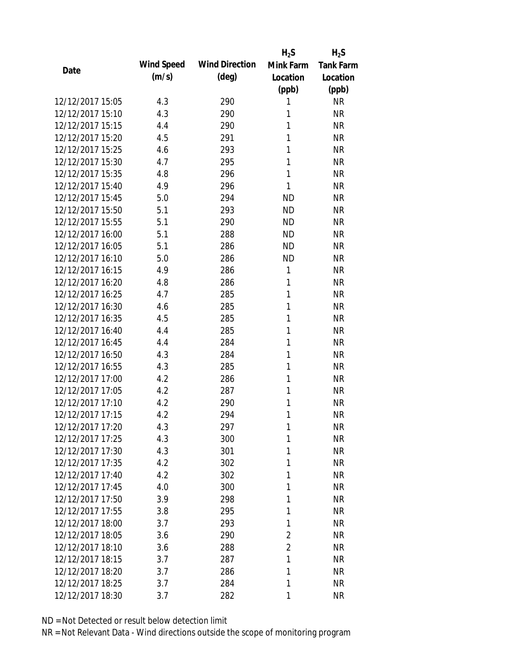|                  |            |                       | $H_2S$         | $H_2S$           |
|------------------|------------|-----------------------|----------------|------------------|
| Date             | Wind Speed | <b>Wind Direction</b> | Mink Farm      | <b>Tank Farm</b> |
|                  | (m/s)      | $(\text{deg})$        | Location       | Location         |
|                  |            |                       | (ppb)          | (ppb)            |
| 12/12/2017 15:05 | 4.3        | 290                   | 1              | <b>NR</b>        |
| 12/12/2017 15:10 | 4.3        | 290                   | 1              | <b>NR</b>        |
| 12/12/2017 15:15 | 4.4        | 290                   | 1              | <b>NR</b>        |
| 12/12/2017 15:20 | 4.5        | 291                   | 1              | <b>NR</b>        |
| 12/12/2017 15:25 | 4.6        | 293                   | 1              | <b>NR</b>        |
| 12/12/2017 15:30 | 4.7        | 295                   | 1              | <b>NR</b>        |
| 12/12/2017 15:35 | 4.8        | 296                   | 1              | <b>NR</b>        |
| 12/12/2017 15:40 | 4.9        | 296                   | 1              | <b>NR</b>        |
| 12/12/2017 15:45 | 5.0        | 294                   | <b>ND</b>      | <b>NR</b>        |
| 12/12/2017 15:50 | 5.1        | 293                   | <b>ND</b>      | <b>NR</b>        |
| 12/12/2017 15:55 | 5.1        | 290                   | <b>ND</b>      | <b>NR</b>        |
| 12/12/2017 16:00 | 5.1        | 288                   | <b>ND</b>      | <b>NR</b>        |
| 12/12/2017 16:05 | 5.1        | 286                   | <b>ND</b>      | <b>NR</b>        |
| 12/12/2017 16:10 | 5.0        | 286                   | <b>ND</b>      | <b>NR</b>        |
| 12/12/2017 16:15 | 4.9        | 286                   | 1              | <b>NR</b>        |
| 12/12/2017 16:20 | 4.8        | 286                   | 1              | <b>NR</b>        |
| 12/12/2017 16:25 | 4.7        | 285                   | 1              | <b>NR</b>        |
| 12/12/2017 16:30 | 4.6        | 285                   | 1              | <b>NR</b>        |
| 12/12/2017 16:35 | 4.5        | 285                   | 1              | <b>NR</b>        |
| 12/12/2017 16:40 | 4.4        | 285                   | 1              | <b>NR</b>        |
| 12/12/2017 16:45 | 4.4        | 284                   | 1              | <b>NR</b>        |
| 12/12/2017 16:50 | 4.3        | 284                   | 1              | <b>NR</b>        |
| 12/12/2017 16:55 | 4.3        | 285                   | 1              | <b>NR</b>        |
| 12/12/2017 17:00 | 4.2        | 286                   | 1              | <b>NR</b>        |
| 12/12/2017 17:05 | 4.2        | 287                   | 1              | <b>NR</b>        |
| 12/12/2017 17:10 | 4.2        | 290                   | 1              | <b>NR</b>        |
| 12/12/2017 17:15 | 4.2        | 294                   | 1              | <b>NR</b>        |
| 12/12/2017 17:20 | 4.3        | 297                   | 1              | NR               |
| 12/12/2017 17:25 | 4.3        | 300                   | 1              | <b>NR</b>        |
| 12/12/2017 17:30 | 4.3        | 301                   | 1              | <b>NR</b>        |
| 12/12/2017 17:35 | 4.2        | 302                   | 1              | <b>NR</b>        |
| 12/12/2017 17:40 | 4.2        | 302                   | 1              | <b>NR</b>        |
| 12/12/2017 17:45 | 4.0        | 300                   | 1              | <b>NR</b>        |
| 12/12/2017 17:50 | 3.9        | 298                   | 1              | <b>NR</b>        |
| 12/12/2017 17:55 | 3.8        | 295                   | 1              | <b>NR</b>        |
| 12/12/2017 18:00 | 3.7        | 293                   | 1              | <b>NR</b>        |
| 12/12/2017 18:05 | 3.6        | 290                   | $\overline{2}$ | <b>NR</b>        |
| 12/12/2017 18:10 | 3.6        | 288                   | $\overline{2}$ | <b>NR</b>        |
| 12/12/2017 18:15 | 3.7        | 287                   | 1              | <b>NR</b>        |
| 12/12/2017 18:20 | 3.7        | 286                   | 1              | <b>NR</b>        |
| 12/12/2017 18:25 | 3.7        | 284                   | 1              | <b>NR</b>        |
| 12/12/2017 18:30 | 3.7        | 282                   | 1              | <b>NR</b>        |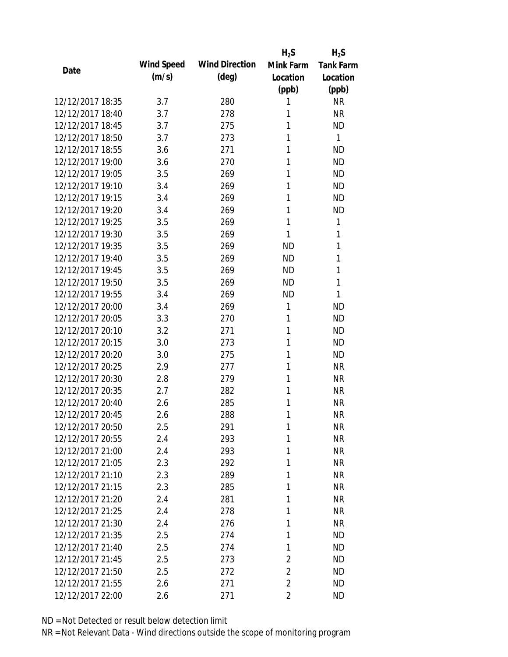|                  |            |                       | $H_2S$         | $H_2S$           |
|------------------|------------|-----------------------|----------------|------------------|
| Date             | Wind Speed | <b>Wind Direction</b> | Mink Farm      | <b>Tank Farm</b> |
|                  | (m/s)      | $(\text{deg})$        | Location       | Location         |
|                  |            |                       | (ppb)          | (ppb)            |
| 12/12/2017 18:35 | 3.7        | 280                   | 1              | <b>NR</b>        |
| 12/12/2017 18:40 | 3.7        | 278                   | 1              | <b>NR</b>        |
| 12/12/2017 18:45 | 3.7        | 275                   | 1              | <b>ND</b>        |
| 12/12/2017 18:50 | 3.7        | 273                   | 1              | 1                |
| 12/12/2017 18:55 | 3.6        | 271                   | 1              | <b>ND</b>        |
| 12/12/2017 19:00 | 3.6        | 270                   | 1              | <b>ND</b>        |
| 12/12/2017 19:05 | 3.5        | 269                   | 1              | <b>ND</b>        |
| 12/12/2017 19:10 | 3.4        | 269                   | 1              | <b>ND</b>        |
| 12/12/2017 19:15 | 3.4        | 269                   | 1              | <b>ND</b>        |
| 12/12/2017 19:20 | 3.4        | 269                   | 1              | <b>ND</b>        |
| 12/12/2017 19:25 | 3.5        | 269                   | 1              | 1                |
| 12/12/2017 19:30 | 3.5        | 269                   | 1              | 1                |
| 12/12/2017 19:35 | 3.5        | 269                   | <b>ND</b>      | 1                |
| 12/12/2017 19:40 | 3.5        | 269                   | <b>ND</b>      | 1                |
| 12/12/2017 19:45 | 3.5        | 269                   | <b>ND</b>      | 1                |
| 12/12/2017 19:50 | 3.5        | 269                   | <b>ND</b>      | 1                |
| 12/12/2017 19:55 | 3.4        | 269                   | <b>ND</b>      | 1                |
| 12/12/2017 20:00 | 3.4        | 269                   | 1              | <b>ND</b>        |
| 12/12/2017 20:05 | 3.3        | 270                   | 1              | <b>ND</b>        |
| 12/12/2017 20:10 | 3.2        | 271                   | 1              | <b>ND</b>        |
| 12/12/2017 20:15 | 3.0        | 273                   | 1              | <b>ND</b>        |
| 12/12/2017 20:20 | 3.0        | 275                   | 1              | <b>ND</b>        |
| 12/12/2017 20:25 | 2.9        | 277                   | 1              | <b>NR</b>        |
| 12/12/2017 20:30 | 2.8        | 279                   | 1              | <b>NR</b>        |
| 12/12/2017 20:35 | 2.7        | 282                   | 1              | <b>NR</b>        |
| 12/12/2017 20:40 | 2.6        | 285                   | 1              | <b>NR</b>        |
| 12/12/2017 20:45 | 2.6        | 288                   | 1              | <b>NR</b>        |
| 12/12/2017 20:50 | 2.5        | 291                   | 1              | <b>NR</b>        |
| 12/12/2017 20:55 | 2.4        | 293                   | 1              | <b>NR</b>        |
| 12/12/2017 21:00 | 2.4        | 293                   | 1              | <b>NR</b>        |
| 12/12/2017 21:05 | 2.3        | 292                   | 1              | <b>NR</b>        |
| 12/12/2017 21:10 | 2.3        | 289                   | 1              | <b>NR</b>        |
| 12/12/2017 21:15 | 2.3        | 285                   | 1              | <b>NR</b>        |
| 12/12/2017 21:20 | 2.4        | 281                   | 1              | <b>NR</b>        |
| 12/12/2017 21:25 | 2.4        | 278                   | 1              | <b>NR</b>        |
| 12/12/2017 21:30 | 2.4        | 276                   | 1              | <b>NR</b>        |
| 12/12/2017 21:35 | 2.5        | 274                   | 1              | <b>ND</b>        |
| 12/12/2017 21:40 | 2.5        | 274                   | 1              | <b>ND</b>        |
| 12/12/2017 21:45 | 2.5        | 273                   | 2              | <b>ND</b>        |
| 12/12/2017 21:50 | 2.5        | 272                   | $\overline{2}$ | <b>ND</b>        |
| 12/12/2017 21:55 | 2.6        | 271                   | $\overline{2}$ | <b>ND</b>        |
| 12/12/2017 22:00 | 2.6        | 271                   | $\overline{2}$ | <b>ND</b>        |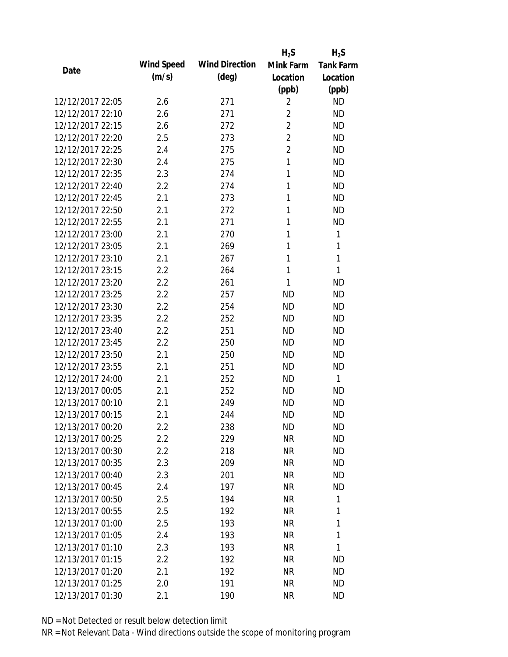|                  |            |                       | $H_2S$         | $H_2S$           |
|------------------|------------|-----------------------|----------------|------------------|
| Date             | Wind Speed | <b>Wind Direction</b> | Mink Farm      | <b>Tank Farm</b> |
|                  | (m/s)      | $(\text{deg})$        | Location       | Location         |
|                  |            |                       | (ppb)          | (ppb)            |
| 12/12/2017 22:05 | 2.6        | 271                   | $\overline{2}$ | <b>ND</b>        |
| 12/12/2017 22:10 | 2.6        | 271                   | $\overline{2}$ | <b>ND</b>        |
| 12/12/2017 22:15 | 2.6        | 272                   | $\overline{2}$ | <b>ND</b>        |
| 12/12/2017 22:20 | 2.5        | 273                   | $\overline{2}$ | <b>ND</b>        |
| 12/12/2017 22:25 | 2.4        | 275                   | $\overline{2}$ | <b>ND</b>        |
| 12/12/2017 22:30 | 2.4        | 275                   | 1              | <b>ND</b>        |
| 12/12/2017 22:35 | 2.3        | 274                   | 1              | <b>ND</b>        |
| 12/12/2017 22:40 | 2.2        | 274                   | 1              | <b>ND</b>        |
| 12/12/2017 22:45 | 2.1        | 273                   | 1              | <b>ND</b>        |
| 12/12/2017 22:50 | 2.1        | 272                   | 1              | <b>ND</b>        |
| 12/12/2017 22:55 | 2.1        | 271                   | 1              | <b>ND</b>        |
| 12/12/2017 23:00 | 2.1        | 270                   | 1              | 1                |
| 12/12/2017 23:05 | 2.1        | 269                   | 1              | 1                |
| 12/12/2017 23:10 | 2.1        | 267                   | 1              | 1                |
| 12/12/2017 23:15 | 2.2        | 264                   | 1              | 1                |
| 12/12/2017 23:20 | 2.2        | 261                   | 1              | <b>ND</b>        |
| 12/12/2017 23:25 | 2.2        | 257                   | <b>ND</b>      | <b>ND</b>        |
| 12/12/2017 23:30 | 2.2        | 254                   | <b>ND</b>      | <b>ND</b>        |
| 12/12/2017 23:35 | 2.2        | 252                   | <b>ND</b>      | <b>ND</b>        |
| 12/12/2017 23:40 | 2.2        | 251                   | <b>ND</b>      | <b>ND</b>        |
| 12/12/2017 23:45 | 2.2        | 250                   | <b>ND</b>      | <b>ND</b>        |
| 12/12/2017 23:50 | 2.1        | 250                   | <b>ND</b>      | <b>ND</b>        |
| 12/12/2017 23:55 | 2.1        | 251                   | <b>ND</b>      | <b>ND</b>        |
| 12/12/2017 24:00 | 2.1        | 252                   | <b>ND</b>      | $\mathbf{1}$     |
| 12/13/2017 00:05 | 2.1        | 252                   | <b>ND</b>      | <b>ND</b>        |
| 12/13/2017 00:10 | 2.1        | 249                   | <b>ND</b>      | <b>ND</b>        |
| 12/13/2017 00:15 | 2.1        | 244                   | <b>ND</b>      | <b>ND</b>        |
| 12/13/2017 00:20 | $2.2\,$    | 238                   | ND             | <b>ND</b>        |
| 12/13/2017 00:25 | 2.2        | 229                   | <b>NR</b>      | <b>ND</b>        |
| 12/13/2017 00:30 | 2.2        | 218                   | NR             | <b>ND</b>        |
| 12/13/2017 00:35 | 2.3        | 209                   | <b>NR</b>      | <b>ND</b>        |
| 12/13/2017 00:40 | 2.3        | 201                   | <b>NR</b>      | <b>ND</b>        |
| 12/13/2017 00:45 | 2.4        | 197                   | <b>NR</b>      | <b>ND</b>        |
| 12/13/2017 00:50 | 2.5        | 194                   | <b>NR</b>      | 1                |
| 12/13/2017 00:55 | 2.5        | 192                   | <b>NR</b>      | 1                |
| 12/13/2017 01:00 | 2.5        | 193                   | <b>NR</b>      | 1                |
| 12/13/2017 01:05 | 2.4        | 193                   | <b>NR</b>      | 1                |
| 12/13/2017 01:10 | 2.3        | 193                   | <b>NR</b>      | 1                |
| 12/13/2017 01:15 | 2.2        | 192                   | NR             | <b>ND</b>        |
| 12/13/2017 01:20 | 2.1        | 192                   | NR             | <b>ND</b>        |
| 12/13/2017 01:25 | 2.0        | 191                   | <b>NR</b>      | ND               |
| 12/13/2017 01:30 | 2.1        | 190                   | <b>NR</b>      | <b>ND</b>        |
|                  |            |                       |                |                  |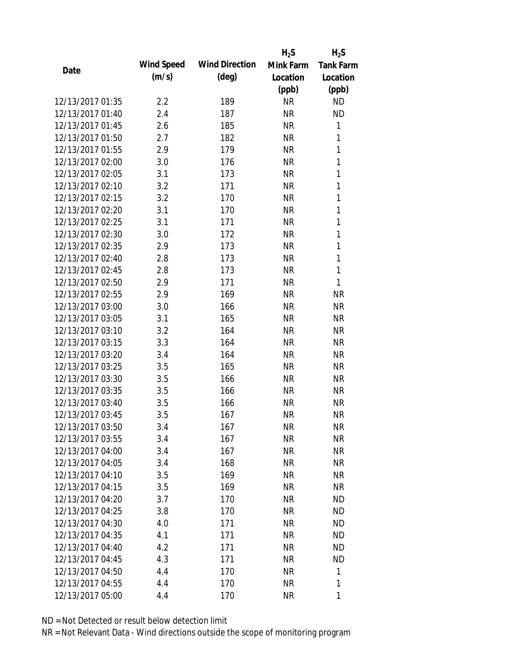|                  |            |                       | $H_2S$    | $H_2S$           |
|------------------|------------|-----------------------|-----------|------------------|
| Date             | Wind Speed | <b>Wind Direction</b> | Mink Farm | <b>Tank Farm</b> |
|                  | (m/s)      | $(\text{deg})$        | Location  | Location         |
|                  |            |                       | (ppb)     | (ppb)            |
| 12/13/2017 01:35 | 2.2        | 189                   | <b>NR</b> | <b>ND</b>        |
| 12/13/2017 01:40 | 2.4        | 187                   | <b>NR</b> | <b>ND</b>        |
| 12/13/2017 01:45 | 2.6        | 185                   | <b>NR</b> | 1                |
| 12/13/2017 01:50 | 2.7        | 182                   | <b>NR</b> | 1                |
| 12/13/2017 01:55 | 2.9        | 179                   | <b>NR</b> | $\mathbf{1}$     |
| 12/13/2017 02:00 | 3.0        | 176                   | <b>NR</b> | 1                |
| 12/13/2017 02:05 | 3.1        | 173                   | <b>NR</b> | 1                |
| 12/13/2017 02:10 | 3.2        | 171                   | <b>NR</b> | $\mathbf{1}$     |
| 12/13/2017 02:15 | 3.2        | 170                   | <b>NR</b> | $\mathbf{1}$     |
| 12/13/2017 02:20 | 3.1        | 170                   | <b>NR</b> | $\mathbf{1}$     |
| 12/13/2017 02:25 | 3.1        | 171                   | <b>NR</b> | 1                |
| 12/13/2017 02:30 | 3.0        | 172                   | <b>NR</b> | $\mathbf{1}$     |
| 12/13/2017 02:35 | 2.9        | 173                   | <b>NR</b> | 1                |
| 12/13/2017 02:40 | 2.8        | 173                   | <b>NR</b> | $\mathbf{1}$     |
| 12/13/2017 02:45 | 2.8        | 173                   | <b>NR</b> | $\mathbf{1}$     |
| 12/13/2017 02:50 | 2.9        | 171                   | <b>NR</b> | 1                |
| 12/13/2017 02:55 | 2.9        | 169                   | <b>NR</b> | <b>NR</b>        |
| 12/13/2017 03:00 | 3.0        | 166                   | <b>NR</b> | <b>NR</b>        |
| 12/13/2017 03:05 | 3.1        | 165                   | <b>NR</b> | <b>NR</b>        |
| 12/13/2017 03:10 | 3.2        | 164                   | <b>NR</b> | <b>NR</b>        |
| 12/13/2017 03:15 | 3.3        | 164                   | <b>NR</b> | <b>NR</b>        |
| 12/13/2017 03:20 | 3.4        | 164                   | <b>NR</b> | <b>NR</b>        |
| 12/13/2017 03:25 | 3.5        | 165                   | <b>NR</b> | <b>NR</b>        |
| 12/13/2017 03:30 | 3.5        | 166                   | <b>NR</b> | <b>NR</b>        |
| 12/13/2017 03:35 | 3.5        | 166                   | <b>NR</b> | <b>NR</b>        |
| 12/13/2017 03:40 | 3.5        | 166                   | <b>NR</b> | <b>NR</b>        |
| 12/13/2017 03:45 | 3.5        | 167                   | <b>NR</b> | <b>NR</b>        |
| 12/13/2017 03:50 | 3.4        | 167                   | <b>NR</b> | <b>NR</b>        |
| 12/13/2017 03:55 | 3.4        | 167                   | <b>NR</b> | <b>NR</b>        |
| 12/13/2017 04:00 | 3.4        | 167                   | NR        | <b>NR</b>        |
| 12/13/2017 04:05 | 3.4        | 168                   | <b>NR</b> | <b>NR</b>        |
| 12/13/2017 04:10 | 3.5        | 169                   | <b>NR</b> | <b>NR</b>        |
| 12/13/2017 04:15 | 3.5        | 169                   | <b>NR</b> | <b>NR</b>        |
| 12/13/2017 04:20 | 3.7        | 170                   | <b>NR</b> | <b>ND</b>        |
| 12/13/2017 04:25 | 3.8        | 170                   | <b>NR</b> | <b>ND</b>        |
| 12/13/2017 04:30 | 4.0        | 171                   | <b>NR</b> | <b>ND</b>        |
| 12/13/2017 04:35 | 4.1        | 171                   | <b>NR</b> | <b>ND</b>        |
| 12/13/2017 04:40 | 4.2        | 171                   | NR        | <b>ND</b>        |
| 12/13/2017 04:45 | 4.3        | 171                   | <b>NR</b> | <b>ND</b>        |
| 12/13/2017 04:50 | 4.4        | 170                   | <b>NR</b> | 1                |
| 12/13/2017 04:55 | 4.4        | 170                   | <b>NR</b> | 1                |
| 12/13/2017 05:00 | 4.4        | 170                   | <b>NR</b> | 1                |
|                  |            |                       |           |                  |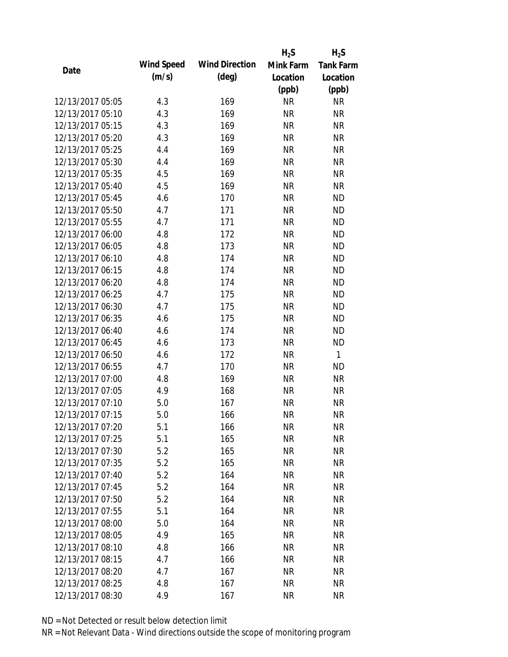|                  |            |                       | $H_2S$    | $H_2S$           |
|------------------|------------|-----------------------|-----------|------------------|
| Date             | Wind Speed | <b>Wind Direction</b> | Mink Farm | <b>Tank Farm</b> |
|                  | (m/s)      | $(\text{deg})$        | Location  | Location         |
|                  |            |                       | (ppb)     | (ppb)            |
| 12/13/2017 05:05 | 4.3        | 169                   | <b>NR</b> | <b>NR</b>        |
| 12/13/2017 05:10 | 4.3        | 169                   | <b>NR</b> | <b>NR</b>        |
| 12/13/2017 05:15 | 4.3        | 169                   | <b>NR</b> | <b>NR</b>        |
| 12/13/2017 05:20 | 4.3        | 169                   | <b>NR</b> | <b>NR</b>        |
| 12/13/2017 05:25 | 4.4        | 169                   | <b>NR</b> | <b>NR</b>        |
| 12/13/2017 05:30 | 4.4        | 169                   | <b>NR</b> | <b>NR</b>        |
| 12/13/2017 05:35 | 4.5        | 169                   | <b>NR</b> | <b>NR</b>        |
| 12/13/2017 05:40 | 4.5        | 169                   | <b>NR</b> | <b>NR</b>        |
| 12/13/2017 05:45 | 4.6        | 170                   | <b>NR</b> | <b>ND</b>        |
| 12/13/2017 05:50 | 4.7        | 171                   | <b>NR</b> | <b>ND</b>        |
| 12/13/2017 05:55 | 4.7        | 171                   | <b>NR</b> | <b>ND</b>        |
| 12/13/2017 06:00 | 4.8        | 172                   | <b>NR</b> | <b>ND</b>        |
| 12/13/2017 06:05 | 4.8        | 173                   | <b>NR</b> | <b>ND</b>        |
| 12/13/2017 06:10 | 4.8        | 174                   | <b>NR</b> | <b>ND</b>        |
| 12/13/2017 06:15 | 4.8        | 174                   | <b>NR</b> | <b>ND</b>        |
| 12/13/2017 06:20 | 4.8        | 174                   | <b>NR</b> | <b>ND</b>        |
| 12/13/2017 06:25 | 4.7        | 175                   | <b>NR</b> | <b>ND</b>        |
| 12/13/2017 06:30 | 4.7        | 175                   | <b>NR</b> | <b>ND</b>        |
| 12/13/2017 06:35 | 4.6        | 175                   | <b>NR</b> | <b>ND</b>        |
| 12/13/2017 06:40 | 4.6        | 174                   | <b>NR</b> | <b>ND</b>        |
| 12/13/2017 06:45 | 4.6        | 173                   | <b>NR</b> | <b>ND</b>        |
| 12/13/2017 06:50 | 4.6        | 172                   | <b>NR</b> | $\mathbf{1}$     |
| 12/13/2017 06:55 | 4.7        | 170                   | <b>NR</b> | <b>ND</b>        |
| 12/13/2017 07:00 | 4.8        | 169                   | <b>NR</b> | <b>NR</b>        |
| 12/13/2017 07:05 | 4.9        | 168                   | <b>NR</b> | <b>NR</b>        |
| 12/13/2017 07:10 | 5.0        | 167                   | <b>NR</b> | <b>NR</b>        |
| 12/13/2017 07:15 | 5.0        | 166                   | <b>NR</b> | <b>NR</b>        |
| 12/13/2017 07:20 | 5.1        | 166                   | NR        | <b>NR</b>        |
| 12/13/2017 07:25 | 5.1        | 165                   | <b>NR</b> | <b>NR</b>        |
| 12/13/2017 07:30 | 5.2        | 165                   | NR        | <b>NR</b>        |
| 12/13/2017 07:35 | 5.2        | 165                   | <b>NR</b> | <b>NR</b>        |
| 12/13/2017 07:40 | 5.2        | 164                   | <b>NR</b> | <b>NR</b>        |
| 12/13/2017 07:45 | 5.2        | 164                   | NR        | <b>NR</b>        |
| 12/13/2017 07:50 | 5.2        | 164                   | <b>NR</b> | <b>NR</b>        |
| 12/13/2017 07:55 | 5.1        | 164                   | <b>NR</b> | <b>NR</b>        |
| 12/13/2017 08:00 | 5.0        | 164                   | <b>NR</b> | <b>NR</b>        |
| 12/13/2017 08:05 | 4.9        | 165                   | NR        | <b>NR</b>        |
| 12/13/2017 08:10 | 4.8        | 166                   | NR        | <b>NR</b>        |
| 12/13/2017 08:15 | 4.7        | 166                   | <b>NR</b> | <b>NR</b>        |
| 12/13/2017 08:20 | 4.7        | 167                   | <b>NR</b> | <b>NR</b>        |
| 12/13/2017 08:25 | 4.8        | 167                   | <b>NR</b> | <b>NR</b>        |
| 12/13/2017 08:30 |            |                       |           |                  |
|                  | 4.9        | 167                   | <b>NR</b> | <b>NR</b>        |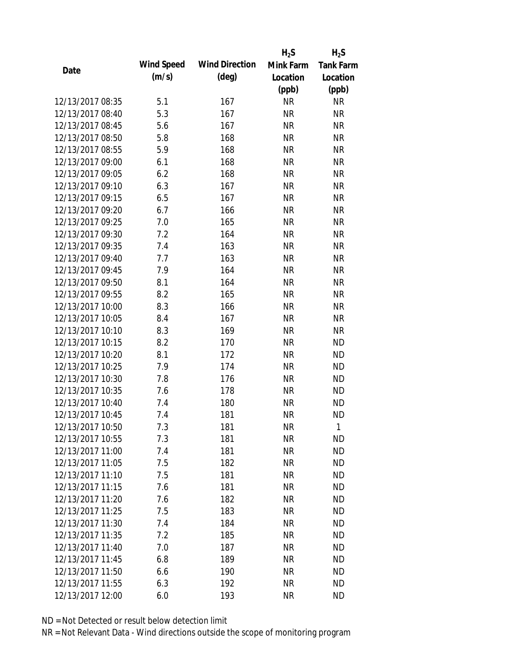|                  |            |                       | $H_2S$    | $H_2S$           |
|------------------|------------|-----------------------|-----------|------------------|
| Date             | Wind Speed | <b>Wind Direction</b> | Mink Farm | <b>Tank Farm</b> |
|                  | (m/s)      | $(\text{deg})$        | Location  | Location         |
|                  |            |                       | (ppb)     | (ppb)            |
| 12/13/2017 08:35 | 5.1        | 167                   | <b>NR</b> | <b>NR</b>        |
| 12/13/2017 08:40 | 5.3        | 167                   | <b>NR</b> | <b>NR</b>        |
| 12/13/2017 08:45 | 5.6        | 167                   | <b>NR</b> | <b>NR</b>        |
| 12/13/2017 08:50 | 5.8        | 168                   | <b>NR</b> | <b>NR</b>        |
| 12/13/2017 08:55 | 5.9        | 168                   | <b>NR</b> | <b>NR</b>        |
| 12/13/2017 09:00 | 6.1        | 168                   | <b>NR</b> | <b>NR</b>        |
| 12/13/2017 09:05 | 6.2        | 168                   | <b>NR</b> | <b>NR</b>        |
| 12/13/2017 09:10 | 6.3        | 167                   | <b>NR</b> | <b>NR</b>        |
| 12/13/2017 09:15 | 6.5        | 167                   | <b>NR</b> | <b>NR</b>        |
| 12/13/2017 09:20 | 6.7        | 166                   | <b>NR</b> | <b>NR</b>        |
| 12/13/2017 09:25 | 7.0        | 165                   | <b>NR</b> | <b>NR</b>        |
| 12/13/2017 09:30 | 7.2        | 164                   | <b>NR</b> | <b>NR</b>        |
| 12/13/2017 09:35 | 7.4        | 163                   | <b>NR</b> | <b>NR</b>        |
| 12/13/2017 09:40 | 7.7        | 163                   | <b>NR</b> | <b>NR</b>        |
| 12/13/2017 09:45 | 7.9        | 164                   | <b>NR</b> | <b>NR</b>        |
| 12/13/2017 09:50 | 8.1        | 164                   | <b>NR</b> | <b>NR</b>        |
| 12/13/2017 09:55 | 8.2        | 165                   | <b>NR</b> | <b>NR</b>        |
| 12/13/2017 10:00 | 8.3        | 166                   | <b>NR</b> | <b>NR</b>        |
| 12/13/2017 10:05 | 8.4        | 167                   | <b>NR</b> | <b>NR</b>        |
| 12/13/2017 10:10 | 8.3        | 169                   | <b>NR</b> | <b>NR</b>        |
| 12/13/2017 10:15 | 8.2        | 170                   | <b>NR</b> | <b>ND</b>        |
| 12/13/2017 10:20 | 8.1        | 172                   | <b>NR</b> | <b>ND</b>        |
| 12/13/2017 10:25 | 7.9        | 174                   | <b>NR</b> | <b>ND</b>        |
| 12/13/2017 10:30 | 7.8        | 176                   | <b>NR</b> | <b>ND</b>        |
| 12/13/2017 10:35 | 7.6        | 178                   | <b>NR</b> | <b>ND</b>        |
| 12/13/2017 10:40 | 7.4        | 180                   | <b>NR</b> | <b>ND</b>        |
| 12/13/2017 10:45 | 7.4        | 181                   | <b>NR</b> | <b>ND</b>        |
| 12/13/2017 10:50 | 7.3        | 181                   | <b>NR</b> | 1                |
| 12/13/2017 10:55 | 7.3        | 181                   | <b>NR</b> | <b>ND</b>        |
| 12/13/2017 11:00 | 7.4        | 181                   | NR        | <b>ND</b>        |
| 12/13/2017 11:05 | 7.5        | 182                   | <b>NR</b> | <b>ND</b>        |
| 12/13/2017 11:10 | 7.5        | 181                   | <b>NR</b> | <b>ND</b>        |
| 12/13/2017 11:15 | 7.6        | 181                   | <b>NR</b> | <b>ND</b>        |
| 12/13/2017 11:20 | 7.6        | 182                   | <b>NR</b> | <b>ND</b>        |
| 12/13/2017 11:25 | 7.5        | 183                   | <b>NR</b> | <b>ND</b>        |
| 12/13/2017 11:30 | 7.4        | 184                   | <b>NR</b> | <b>ND</b>        |
| 12/13/2017 11:35 | 7.2        | 185                   | NR        | <b>ND</b>        |
| 12/13/2017 11:40 | 7.0        | 187                   | NR        | <b>ND</b>        |
| 12/13/2017 11:45 | 6.8        | 189                   | <b>NR</b> | <b>ND</b>        |
| 12/13/2017 11:50 | 6.6        | 190                   | <b>NR</b> | <b>ND</b>        |
| 12/13/2017 11:55 | 6.3        | 192                   | <b>NR</b> | <b>ND</b>        |
| 12/13/2017 12:00 | 6.0        | 193                   | <b>NR</b> | <b>ND</b>        |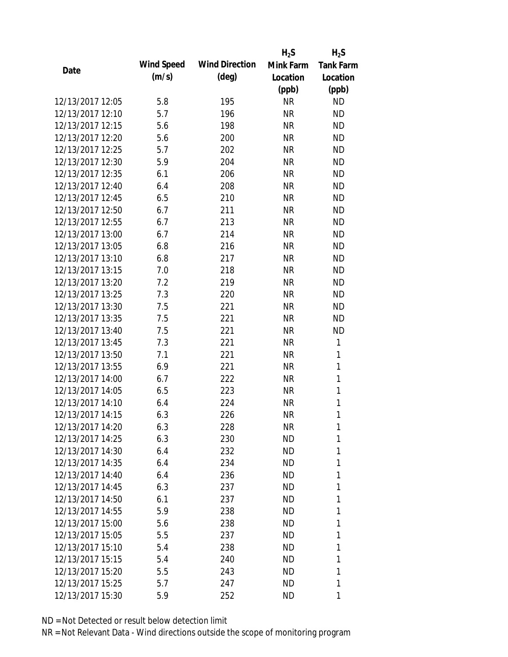|                  |                   |                       | $H_2S$    | $H_2S$           |
|------------------|-------------------|-----------------------|-----------|------------------|
| Date             | <b>Wind Speed</b> | <b>Wind Direction</b> | Mink Farm | <b>Tank Farm</b> |
|                  | (m/s)             | $(\text{deg})$        | Location  | Location         |
|                  |                   |                       | (ppb)     | (ppb)            |
| 12/13/2017 12:05 | 5.8               | 195                   | <b>NR</b> | <b>ND</b>        |
| 12/13/2017 12:10 | 5.7               | 196                   | <b>NR</b> | <b>ND</b>        |
| 12/13/2017 12:15 | 5.6               | 198                   | <b>NR</b> | <b>ND</b>        |
| 12/13/2017 12:20 | 5.6               | 200                   | <b>NR</b> | <b>ND</b>        |
| 12/13/2017 12:25 | 5.7               | 202                   | <b>NR</b> | <b>ND</b>        |
| 12/13/2017 12:30 | 5.9               | 204                   | <b>NR</b> | <b>ND</b>        |
| 12/13/2017 12:35 | 6.1               | 206                   | <b>NR</b> | <b>ND</b>        |
| 12/13/2017 12:40 | 6.4               | 208                   | <b>NR</b> | <b>ND</b>        |
| 12/13/2017 12:45 | 6.5               | 210                   | <b>NR</b> | <b>ND</b>        |
| 12/13/2017 12:50 | 6.7               | 211                   | <b>NR</b> | <b>ND</b>        |
| 12/13/2017 12:55 | 6.7               | 213                   | <b>NR</b> | <b>ND</b>        |
| 12/13/2017 13:00 | 6.7               | 214                   | <b>NR</b> | <b>ND</b>        |
| 12/13/2017 13:05 | 6.8               | 216                   | <b>NR</b> | <b>ND</b>        |
| 12/13/2017 13:10 | 6.8               | 217                   | <b>NR</b> | <b>ND</b>        |
| 12/13/2017 13:15 | 7.0               | 218                   | <b>NR</b> | <b>ND</b>        |
| 12/13/2017 13:20 | 7.2               | 219                   | <b>NR</b> | <b>ND</b>        |
| 12/13/2017 13:25 | 7.3               | 220                   | <b>NR</b> | <b>ND</b>        |
| 12/13/2017 13:30 | 7.5               | 221                   | <b>NR</b> | <b>ND</b>        |
| 12/13/2017 13:35 | 7.5               | 221                   | <b>NR</b> | <b>ND</b>        |
| 12/13/2017 13:40 | 7.5               | 221                   | <b>NR</b> | <b>ND</b>        |
| 12/13/2017 13:45 | 7.3               | 221                   | <b>NR</b> | 1                |
| 12/13/2017 13:50 | 7.1               | 221                   | <b>NR</b> | 1                |
| 12/13/2017 13:55 | 6.9               | 221                   | <b>NR</b> | 1                |
| 12/13/2017 14:00 | 6.7               | 222                   | <b>NR</b> | $\mathbf{1}$     |
| 12/13/2017 14:05 | 6.5               | 223                   | <b>NR</b> | 1                |
| 12/13/2017 14:10 | 6.4               | 224                   | <b>NR</b> | 1                |
| 12/13/2017 14:15 | 6.3               | 226                   | <b>NR</b> | $\mathbf{1}$     |
| 12/13/2017 14:20 | 6.3               | 228                   | <b>NR</b> | 1                |
| 12/13/2017 14:25 | 6.3               | 230                   | <b>ND</b> | 1                |
| 12/13/2017 14:30 | 6.4               | 232                   | ND        | 1                |
| 12/13/2017 14:35 | 6.4               | 234                   | <b>ND</b> | 1                |
| 12/13/2017 14:40 | 6.4               | 236                   | <b>ND</b> | 1                |
| 12/13/2017 14:45 | 6.3               | 237                   | ND        | 1                |
| 12/13/2017 14:50 | 6.1               | 237                   | <b>ND</b> | 1                |
| 12/13/2017 14:55 | 5.9               | 238                   | ND        | 1                |
| 12/13/2017 15:00 | 5.6               | 238                   | ND        | 1                |
| 12/13/2017 15:05 | 5.5               | 237                   | ND        | 1                |
| 12/13/2017 15:10 | 5.4               | 238                   | ND        | 1                |
| 12/13/2017 15:15 | 5.4               | 240                   | <b>ND</b> | 1                |
| 12/13/2017 15:20 | 5.5               | 243                   | ND        | 1                |
| 12/13/2017 15:25 | 5.7               | 247                   | ND        | 1                |
| 12/13/2017 15:30 | 5.9               | 252                   | ND        | 1                |
|                  |                   |                       |           |                  |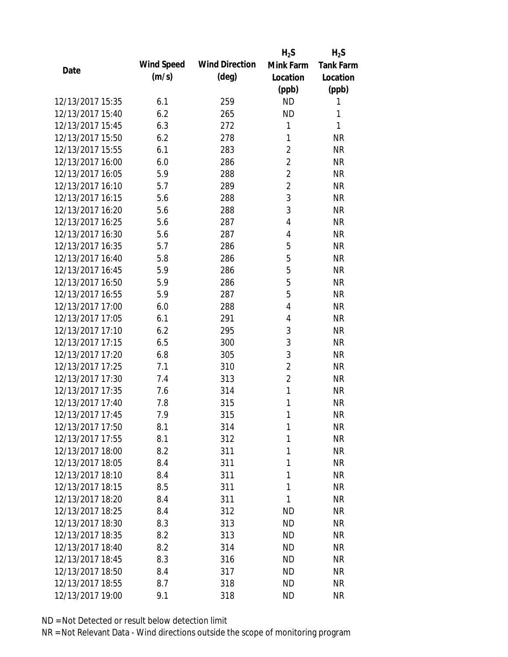|                  |            |                       | $H_2S$         | $H_2S$           |
|------------------|------------|-----------------------|----------------|------------------|
| Date             | Wind Speed | <b>Wind Direction</b> | Mink Farm      | <b>Tank Farm</b> |
|                  | (m/s)      | $(\text{deg})$        | Location       | Location         |
|                  |            |                       | (ppb)          | (ppb)            |
| 12/13/2017 15:35 | 6.1        | 259                   | <b>ND</b>      | 1                |
| 12/13/2017 15:40 | 6.2        | 265                   | <b>ND</b>      | 1                |
| 12/13/2017 15:45 | 6.3        | 272                   | 1              | 1                |
| 12/13/2017 15:50 | 6.2        | 278                   | 1              | <b>NR</b>        |
| 12/13/2017 15:55 | 6.1        | 283                   | $\overline{2}$ | <b>NR</b>        |
| 12/13/2017 16:00 | 6.0        | 286                   | $\overline{2}$ | <b>NR</b>        |
| 12/13/2017 16:05 | 5.9        | 288                   | $\overline{2}$ | <b>NR</b>        |
| 12/13/2017 16:10 | 5.7        | 289                   | $\overline{2}$ | <b>NR</b>        |
| 12/13/2017 16:15 | 5.6        | 288                   | 3              | <b>NR</b>        |
| 12/13/2017 16:20 | 5.6        | 288                   | 3              | <b>NR</b>        |
| 12/13/2017 16:25 | 5.6        | 287                   | 4              | <b>NR</b>        |
| 12/13/2017 16:30 | 5.6        | 287                   | 4              | <b>NR</b>        |
| 12/13/2017 16:35 | 5.7        | 286                   | 5              | <b>NR</b>        |
| 12/13/2017 16:40 | 5.8        | 286                   | 5              | <b>NR</b>        |
| 12/13/2017 16:45 | 5.9        | 286                   | 5              | <b>NR</b>        |
| 12/13/2017 16:50 | 5.9        | 286                   | 5              | <b>NR</b>        |
| 12/13/2017 16:55 | 5.9        | 287                   | 5              | <b>NR</b>        |
| 12/13/2017 17:00 | 6.0        | 288                   | 4              | <b>NR</b>        |
| 12/13/2017 17:05 | 6.1        | 291                   | 4              | <b>NR</b>        |
| 12/13/2017 17:10 | 6.2        | 295                   | 3              | <b>NR</b>        |
| 12/13/2017 17:15 | 6.5        | 300                   | 3              | <b>NR</b>        |
| 12/13/2017 17:20 | 6.8        | 305                   | 3              | <b>NR</b>        |
| 12/13/2017 17:25 | 7.1        | 310                   | $\overline{2}$ | <b>NR</b>        |
| 12/13/2017 17:30 | 7.4        | 313                   | $\overline{2}$ | <b>NR</b>        |
| 12/13/2017 17:35 | 7.6        | 314                   | 1              | <b>NR</b>        |
| 12/13/2017 17:40 | 7.8        | 315                   | 1              | <b>NR</b>        |
| 12/13/2017 17:45 | 7.9        | 315                   | 1              | <b>NR</b>        |
| 12/13/2017 17:50 | 8.1        | 314                   | 1              | <b>NR</b>        |
| 12/13/2017 17:55 | 8.1        | 312                   | 1              | <b>NR</b>        |
| 12/13/2017 18:00 | 8.2        | 311                   | 1              | <b>NR</b>        |
| 12/13/2017 18:05 | 8.4        | 311                   | 1              | <b>NR</b>        |
| 12/13/2017 18:10 | 8.4        | 311                   | 1              | <b>NR</b>        |
| 12/13/2017 18:15 | 8.5        | 311                   | 1              | <b>NR</b>        |
| 12/13/2017 18:20 | 8.4        | 311                   | 1              | <b>NR</b>        |
| 12/13/2017 18:25 | 8.4        | 312                   | <b>ND</b>      | <b>NR</b>        |
| 12/13/2017 18:30 | 8.3        | 313                   | <b>ND</b>      | <b>NR</b>        |
| 12/13/2017 18:35 | 8.2        | 313                   | ND.            | <b>NR</b>        |
| 12/13/2017 18:40 | 8.2        | 314                   | <b>ND</b>      | <b>NR</b>        |
| 12/13/2017 18:45 | 8.3        | 316                   | <b>ND</b>      | <b>NR</b>        |
| 12/13/2017 18:50 | 8.4        | 317                   | <b>ND</b>      | <b>NR</b>        |
| 12/13/2017 18:55 | 8.7        | 318                   | <b>ND</b>      | <b>NR</b>        |
| 12/13/2017 19:00 | 9.1        | 318                   | <b>ND</b>      | <b>NR</b>        |
|                  |            |                       |                |                  |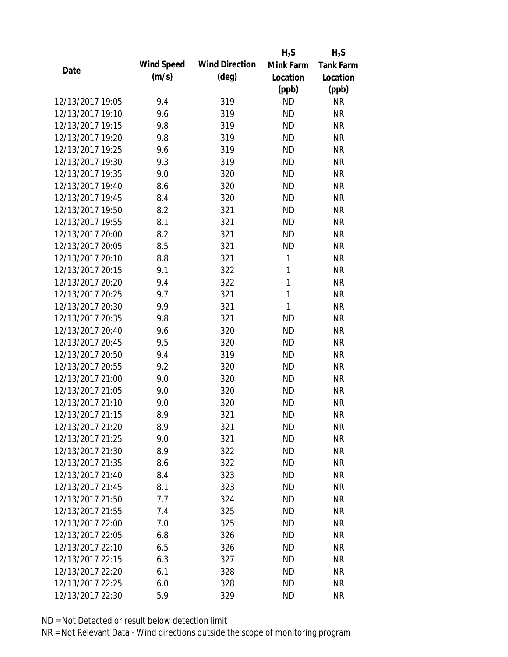|                  |            |                       | $H_2S$       | $H_2S$           |
|------------------|------------|-----------------------|--------------|------------------|
| Date             | Wind Speed | <b>Wind Direction</b> | Mink Farm    | <b>Tank Farm</b> |
|                  | (m/s)      | $(\text{deg})$        | Location     | Location         |
|                  |            |                       | (ppb)        | (ppb)            |
| 12/13/2017 19:05 | 9.4        | 319                   | <b>ND</b>    | <b>NR</b>        |
| 12/13/2017 19:10 | 9.6        | 319                   | <b>ND</b>    | <b>NR</b>        |
| 12/13/2017 19:15 | 9.8        | 319                   | <b>ND</b>    | <b>NR</b>        |
| 12/13/2017 19:20 | 9.8        | 319                   | <b>ND</b>    | <b>NR</b>        |
| 12/13/2017 19:25 | 9.6        | 319                   | <b>ND</b>    | <b>NR</b>        |
| 12/13/2017 19:30 | 9.3        | 319                   | <b>ND</b>    | <b>NR</b>        |
| 12/13/2017 19:35 | 9.0        | 320                   | <b>ND</b>    | <b>NR</b>        |
| 12/13/2017 19:40 | 8.6        | 320                   | <b>ND</b>    | <b>NR</b>        |
| 12/13/2017 19:45 | 8.4        | 320                   | <b>ND</b>    | <b>NR</b>        |
| 12/13/2017 19:50 | 8.2        | 321                   | <b>ND</b>    | <b>NR</b>        |
| 12/13/2017 19:55 | 8.1        | 321                   | <b>ND</b>    | <b>NR</b>        |
| 12/13/2017 20:00 | 8.2        | 321                   | <b>ND</b>    | <b>NR</b>        |
| 12/13/2017 20:05 | 8.5        | 321                   | <b>ND</b>    | <b>NR</b>        |
| 12/13/2017 20:10 | 8.8        | 321                   | 1            | <b>NR</b>        |
| 12/13/2017 20:15 | 9.1        | 322                   | 1            | <b>NR</b>        |
| 12/13/2017 20:20 | 9.4        | 322                   | 1            | <b>NR</b>        |
| 12/13/2017 20:25 | 9.7        | 321                   | $\mathbf{1}$ | <b>NR</b>        |
| 12/13/2017 20:30 | 9.9        | 321                   | $\mathbf{1}$ | <b>NR</b>        |
| 12/13/2017 20:35 | 9.8        | 321                   | <b>ND</b>    | <b>NR</b>        |
| 12/13/2017 20:40 | 9.6        | 320                   | <b>ND</b>    | <b>NR</b>        |
| 12/13/2017 20:45 | 9.5        | 320                   | <b>ND</b>    | <b>NR</b>        |
| 12/13/2017 20:50 | 9.4        | 319                   | <b>ND</b>    | <b>NR</b>        |
| 12/13/2017 20:55 | 9.2        | 320                   | <b>ND</b>    | <b>NR</b>        |
| 12/13/2017 21:00 | 9.0        | 320                   | <b>ND</b>    | <b>NR</b>        |
| 12/13/2017 21:05 | 9.0        | 320                   | <b>ND</b>    | <b>NR</b>        |
| 12/13/2017 21:10 | 9.0        | 320                   | <b>ND</b>    | <b>NR</b>        |
| 12/13/2017 21:15 | 8.9        | 321                   | <b>ND</b>    | <b>NR</b>        |
| 12/13/2017 21:20 | 8.9        | 321                   | <b>ND</b>    | <b>NR</b>        |
| 12/13/2017 21:25 | 9.0        | 321                   | <b>ND</b>    | <b>NR</b>        |
| 12/13/2017 21:30 | 8.9        | 322                   | ND           | <b>NR</b>        |
| 12/13/2017 21:35 | 8.6        | 322                   | <b>ND</b>    | <b>NR</b>        |
| 12/13/2017 21:40 | 8.4        | 323                   | <b>ND</b>    | <b>NR</b>        |
| 12/13/2017 21:45 | 8.1        | 323                   | <b>ND</b>    | <b>NR</b>        |
| 12/13/2017 21:50 | 7.7        | 324                   | <b>ND</b>    | <b>NR</b>        |
| 12/13/2017 21:55 | 7.4        | 325                   | <b>ND</b>    | <b>NR</b>        |
| 12/13/2017 22:00 | 7.0        | 325                   | <b>ND</b>    | <b>NR</b>        |
| 12/13/2017 22:05 | 6.8        | 326                   | <b>ND</b>    | <b>NR</b>        |
| 12/13/2017 22:10 | 6.5        | 326                   | <b>ND</b>    | <b>NR</b>        |
| 12/13/2017 22:15 | 6.3        | 327                   | <b>ND</b>    | <b>NR</b>        |
| 12/13/2017 22:20 | 6.1        | 328                   | <b>ND</b>    | <b>NR</b>        |
| 12/13/2017 22:25 | 6.0        | 328                   | <b>ND</b>    | <b>NR</b>        |
| 12/13/2017 22:30 | 5.9        | 329                   | <b>ND</b>    | <b>NR</b>        |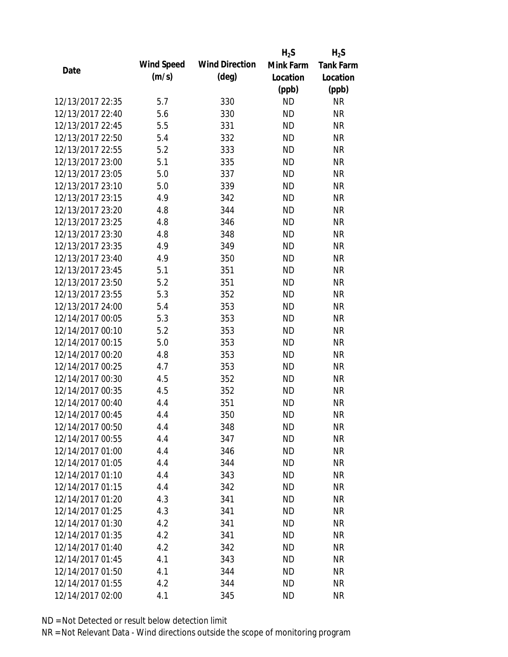|                  |            |                       | $H_2S$    | $H_2S$           |
|------------------|------------|-----------------------|-----------|------------------|
| Date             | Wind Speed | <b>Wind Direction</b> | Mink Farm | <b>Tank Farm</b> |
|                  | (m/s)      | $(\text{deg})$        | Location  | Location         |
|                  |            |                       | (ppb)     | (ppb)            |
| 12/13/2017 22:35 | 5.7        | 330                   | <b>ND</b> | <b>NR</b>        |
| 12/13/2017 22:40 | 5.6        | 330                   | <b>ND</b> | <b>NR</b>        |
| 12/13/2017 22:45 | 5.5        | 331                   | <b>ND</b> | <b>NR</b>        |
| 12/13/2017 22:50 | 5.4        | 332                   | <b>ND</b> | <b>NR</b>        |
| 12/13/2017 22:55 | 5.2        | 333                   | <b>ND</b> | <b>NR</b>        |
| 12/13/2017 23:00 | 5.1        | 335                   | <b>ND</b> | <b>NR</b>        |
| 12/13/2017 23:05 | 5.0        | 337                   | <b>ND</b> | <b>NR</b>        |
| 12/13/2017 23:10 | 5.0        | 339                   | <b>ND</b> | <b>NR</b>        |
| 12/13/2017 23:15 | 4.9        | 342                   | <b>ND</b> | <b>NR</b>        |
| 12/13/2017 23:20 | 4.8        | 344                   | <b>ND</b> | <b>NR</b>        |
| 12/13/2017 23:25 | 4.8        | 346                   | <b>ND</b> | <b>NR</b>        |
| 12/13/2017 23:30 | 4.8        | 348                   | <b>ND</b> | <b>NR</b>        |
| 12/13/2017 23:35 | 4.9        | 349                   | <b>ND</b> | <b>NR</b>        |
| 12/13/2017 23:40 | 4.9        | 350                   | <b>ND</b> | <b>NR</b>        |
| 12/13/2017 23:45 | 5.1        | 351                   | <b>ND</b> | <b>NR</b>        |
| 12/13/2017 23:50 | 5.2        | 351                   | <b>ND</b> | <b>NR</b>        |
| 12/13/2017 23:55 | 5.3        | 352                   | <b>ND</b> | <b>NR</b>        |
| 12/13/2017 24:00 | 5.4        | 353                   | <b>ND</b> | <b>NR</b>        |
| 12/14/2017 00:05 | 5.3        | 353                   | <b>ND</b> | <b>NR</b>        |
| 12/14/2017 00:10 | 5.2        | 353                   | <b>ND</b> | <b>NR</b>        |
| 12/14/2017 00:15 | 5.0        | 353                   | <b>ND</b> | <b>NR</b>        |
| 12/14/2017 00:20 | 4.8        | 353                   | <b>ND</b> | <b>NR</b>        |
| 12/14/2017 00:25 | 4.7        | 353                   | <b>ND</b> | <b>NR</b>        |
| 12/14/2017 00:30 | 4.5        | 352                   | <b>ND</b> | <b>NR</b>        |
| 12/14/2017 00:35 | 4.5        | 352                   | <b>ND</b> | <b>NR</b>        |
| 12/14/2017 00:40 | 4.4        | 351                   | <b>ND</b> | <b>NR</b>        |
| 12/14/2017 00:45 | 4.4        | 350                   | <b>ND</b> | <b>NR</b>        |
| 12/14/2017 00:50 | 4.4        | 348                   | <b>ND</b> | <b>NR</b>        |
| 12/14/2017 00:55 | 4.4        | 347                   | <b>ND</b> | <b>NR</b>        |
| 12/14/2017 01:00 | 4.4        | 346                   | <b>ND</b> | <b>NR</b>        |
| 12/14/2017 01:05 | 4.4        | 344                   | <b>ND</b> | <b>NR</b>        |
| 12/14/2017 01:10 | 4.4        | 343                   | <b>ND</b> | <b>NR</b>        |
| 12/14/2017 01:15 | 4.4        | 342                   | <b>ND</b> | <b>NR</b>        |
| 12/14/2017 01:20 | 4.3        | 341                   | <b>ND</b> | <b>NR</b>        |
| 12/14/2017 01:25 | 4.3        | 341                   | <b>ND</b> | <b>NR</b>        |
| 12/14/2017 01:30 | 4.2        | 341                   | <b>ND</b> | <b>NR</b>        |
| 12/14/2017 01:35 | 4.2        | 341                   | <b>ND</b> | <b>NR</b>        |
| 12/14/2017 01:40 | 4.2        | 342                   | <b>ND</b> | <b>NR</b>        |
| 12/14/2017 01:45 | 4.1        | 343                   | <b>ND</b> | <b>NR</b>        |
| 12/14/2017 01:50 | 4.1        | 344                   | <b>ND</b> | <b>NR</b>        |
| 12/14/2017 01:55 | 4.2        | 344                   | <b>ND</b> | <b>NR</b>        |
| 12/14/2017 02:00 | 4.1        | 345                   | <b>ND</b> | <b>NR</b>        |
|                  |            |                       |           |                  |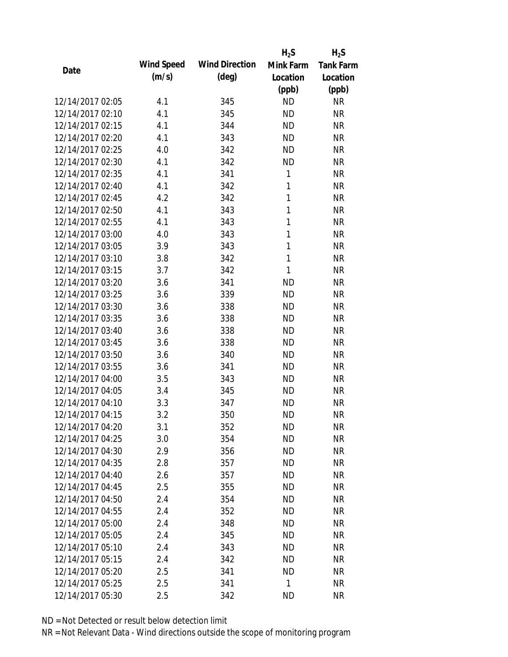|                  |            |                       | $H_2S$       | $H_2S$           |
|------------------|------------|-----------------------|--------------|------------------|
| Date             | Wind Speed | <b>Wind Direction</b> | Mink Farm    | <b>Tank Farm</b> |
|                  | (m/s)      | $(\text{deg})$        | Location     | Location         |
|                  |            |                       | (ppb)        | (ppb)            |
| 12/14/2017 02:05 | 4.1        | 345                   | <b>ND</b>    | <b>NR</b>        |
| 12/14/2017 02:10 | 4.1        | 345                   | <b>ND</b>    | <b>NR</b>        |
| 12/14/2017 02:15 | 4.1        | 344                   | <b>ND</b>    | <b>NR</b>        |
| 12/14/2017 02:20 | 4.1        | 343                   | <b>ND</b>    | <b>NR</b>        |
| 12/14/2017 02:25 | 4.0        | 342                   | <b>ND</b>    | <b>NR</b>        |
| 12/14/2017 02:30 | 4.1        | 342                   | <b>ND</b>    | <b>NR</b>        |
| 12/14/2017 02:35 | 4.1        | 341                   | 1            | <b>NR</b>        |
| 12/14/2017 02:40 | 4.1        | 342                   | $\mathbf{1}$ | <b>NR</b>        |
| 12/14/2017 02:45 | 4.2        | 342                   | $\mathbf{1}$ | <b>NR</b>        |
| 12/14/2017 02:50 | 4.1        | 343                   | 1            | <b>NR</b>        |
| 12/14/2017 02:55 | 4.1        | 343                   | 1            | <b>NR</b>        |
| 12/14/2017 03:00 | 4.0        | 343                   | 1            | <b>NR</b>        |
| 12/14/2017 03:05 | 3.9        | 343                   | 1            | <b>NR</b>        |
| 12/14/2017 03:10 | 3.8        | 342                   | $\mathbf{1}$ | <b>NR</b>        |
| 12/14/2017 03:15 | 3.7        | 342                   | 1            | <b>NR</b>        |
| 12/14/2017 03:20 | 3.6        | 341                   | <b>ND</b>    | <b>NR</b>        |
| 12/14/2017 03:25 | 3.6        | 339                   | <b>ND</b>    | <b>NR</b>        |
| 12/14/2017 03:30 | 3.6        | 338                   | <b>ND</b>    | <b>NR</b>        |
| 12/14/2017 03:35 | 3.6        | 338                   | <b>ND</b>    | <b>NR</b>        |
| 12/14/2017 03:40 | 3.6        | 338                   | <b>ND</b>    | <b>NR</b>        |
| 12/14/2017 03:45 | 3.6        | 338                   | <b>ND</b>    | <b>NR</b>        |
| 12/14/2017 03:50 | 3.6        | 340                   | <b>ND</b>    | <b>NR</b>        |
| 12/14/2017 03:55 | 3.6        | 341                   | <b>ND</b>    | <b>NR</b>        |
| 12/14/2017 04:00 | 3.5        | 343                   | <b>ND</b>    | <b>NR</b>        |
| 12/14/2017 04:05 | 3.4        | 345                   | <b>ND</b>    | <b>NR</b>        |
| 12/14/2017 04:10 | 3.3        | 347                   | <b>ND</b>    | <b>NR</b>        |
| 12/14/2017 04:15 | 3.2        | 350                   | <b>ND</b>    | <b>NR</b>        |
| 12/14/2017 04:20 | 3.1        | 352                   | <b>ND</b>    | <b>NR</b>        |
| 12/14/2017 04:25 | 3.0        | 354                   | <b>ND</b>    | <b>NR</b>        |
| 12/14/2017 04:30 | 2.9        | 356                   | ND           | <b>NR</b>        |
| 12/14/2017 04:35 | 2.8        | 357                   | <b>ND</b>    | <b>NR</b>        |
| 12/14/2017 04:40 | 2.6        | 357                   | <b>ND</b>    | <b>NR</b>        |
| 12/14/2017 04:45 | 2.5        | 355                   | <b>ND</b>    | <b>NR</b>        |
| 12/14/2017 04:50 | 2.4        | 354                   | <b>ND</b>    | <b>NR</b>        |
| 12/14/2017 04:55 | 2.4        | 352                   | <b>ND</b>    | <b>NR</b>        |
| 12/14/2017 05:00 | 2.4        | 348                   | <b>ND</b>    | <b>NR</b>        |
| 12/14/2017 05:05 | 2.4        | 345                   | <b>ND</b>    | <b>NR</b>        |
| 12/14/2017 05:10 | 2.4        | 343                   | ND           | <b>NR</b>        |
| 12/14/2017 05:15 | 2.4        | 342                   | <b>ND</b>    | <b>NR</b>        |
| 12/14/2017 05:20 | 2.5        | 341                   | <b>ND</b>    | <b>NR</b>        |
| 12/14/2017 05:25 | 2.5        | 341                   | 1            | <b>NR</b>        |
| 12/14/2017 05:30 | 2.5        | 342                   | <b>ND</b>    | <b>NR</b>        |
|                  |            |                       |              |                  |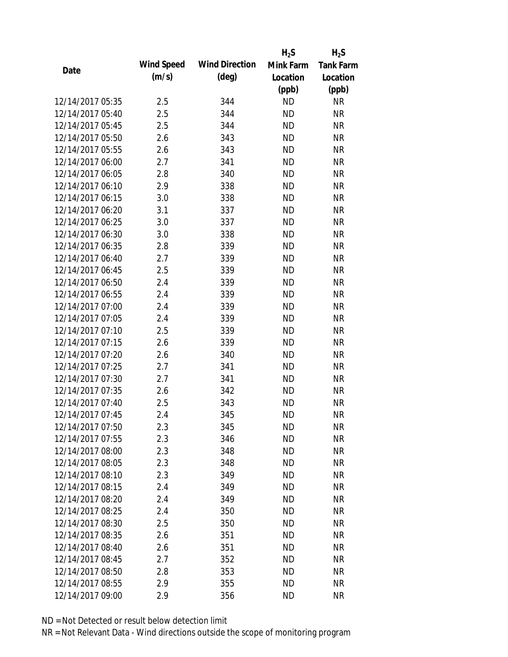|                  |            |                       | $H_2S$    | $H_2S$           |
|------------------|------------|-----------------------|-----------|------------------|
| Date             | Wind Speed | <b>Wind Direction</b> | Mink Farm | <b>Tank Farm</b> |
|                  | (m/s)      | $(\text{deg})$        | Location  | Location         |
|                  |            |                       | (ppb)     | (ppb)            |
| 12/14/2017 05:35 | 2.5        | 344                   | <b>ND</b> | <b>NR</b>        |
| 12/14/2017 05:40 | 2.5        | 344                   | <b>ND</b> | <b>NR</b>        |
| 12/14/2017 05:45 | 2.5        | 344                   | <b>ND</b> | <b>NR</b>        |
| 12/14/2017 05:50 | 2.6        | 343                   | <b>ND</b> | <b>NR</b>        |
| 12/14/2017 05:55 | 2.6        | 343                   | <b>ND</b> | <b>NR</b>        |
| 12/14/2017 06:00 | 2.7        | 341                   | <b>ND</b> | <b>NR</b>        |
| 12/14/2017 06:05 | 2.8        | 340                   | <b>ND</b> | <b>NR</b>        |
| 12/14/2017 06:10 | 2.9        | 338                   | <b>ND</b> | <b>NR</b>        |
| 12/14/2017 06:15 | 3.0        | 338                   | <b>ND</b> | <b>NR</b>        |
| 12/14/2017 06:20 | 3.1        | 337                   | <b>ND</b> | <b>NR</b>        |
| 12/14/2017 06:25 | 3.0        | 337                   | <b>ND</b> | <b>NR</b>        |
| 12/14/2017 06:30 | 3.0        | 338                   | <b>ND</b> | <b>NR</b>        |
| 12/14/2017 06:35 | 2.8        | 339                   | <b>ND</b> | <b>NR</b>        |
| 12/14/2017 06:40 | 2.7        | 339                   | <b>ND</b> | <b>NR</b>        |
| 12/14/2017 06:45 | 2.5        | 339                   | <b>ND</b> | <b>NR</b>        |
| 12/14/2017 06:50 | 2.4        | 339                   | <b>ND</b> | <b>NR</b>        |
| 12/14/2017 06:55 | 2.4        | 339                   | <b>ND</b> | <b>NR</b>        |
| 12/14/2017 07:00 | 2.4        | 339                   | <b>ND</b> | <b>NR</b>        |
| 12/14/2017 07:05 | 2.4        | 339                   | <b>ND</b> | <b>NR</b>        |
| 12/14/2017 07:10 | 2.5        | 339                   | <b>ND</b> | <b>NR</b>        |
| 12/14/2017 07:15 | 2.6        | 339                   | <b>ND</b> | <b>NR</b>        |
| 12/14/2017 07:20 | 2.6        | 340                   | <b>ND</b> | <b>NR</b>        |
| 12/14/2017 07:25 | 2.7        | 341                   | <b>ND</b> | <b>NR</b>        |
| 12/14/2017 07:30 | 2.7        | 341                   | <b>ND</b> | <b>NR</b>        |
| 12/14/2017 07:35 | 2.6        | 342                   | <b>ND</b> | <b>NR</b>        |
| 12/14/2017 07:40 | 2.5        | 343                   | <b>ND</b> | <b>NR</b>        |
| 12/14/2017 07:45 | 2.4        | 345                   | <b>ND</b> | <b>NR</b>        |
| 12/14/2017 07:50 | 2.3        | 345                   | <b>ND</b> | <b>NR</b>        |
| 12/14/2017 07:55 | 2.3        | 346                   | <b>ND</b> | <b>NR</b>        |
| 12/14/2017 08:00 | 2.3        | 348                   | ND        | <b>NR</b>        |
| 12/14/2017 08:05 | 2.3        | 348                   | <b>ND</b> | <b>NR</b>        |
| 12/14/2017 08:10 | 2.3        | 349                   | <b>ND</b> | <b>NR</b>        |
| 12/14/2017 08:15 | 2.4        | 349                   | <b>ND</b> | <b>NR</b>        |
| 12/14/2017 08:20 | 2.4        | 349                   | <b>ND</b> | <b>NR</b>        |
| 12/14/2017 08:25 | 2.4        | 350                   | <b>ND</b> | <b>NR</b>        |
| 12/14/2017 08:30 | 2.5        | 350                   | <b>ND</b> | <b>NR</b>        |
| 12/14/2017 08:35 | 2.6        | 351                   | <b>ND</b> | <b>NR</b>        |
| 12/14/2017 08:40 | 2.6        | 351                   | <b>ND</b> | <b>NR</b>        |
| 12/14/2017 08:45 | 2.7        | 352                   | <b>ND</b> | <b>NR</b>        |
| 12/14/2017 08:50 | 2.8        | 353                   | <b>ND</b> | <b>NR</b>        |
| 12/14/2017 08:55 | 2.9        | 355                   | <b>ND</b> | <b>NR</b>        |
| 12/14/2017 09:00 | 2.9        | 356                   | <b>ND</b> | <b>NR</b>        |
|                  |            |                       |           |                  |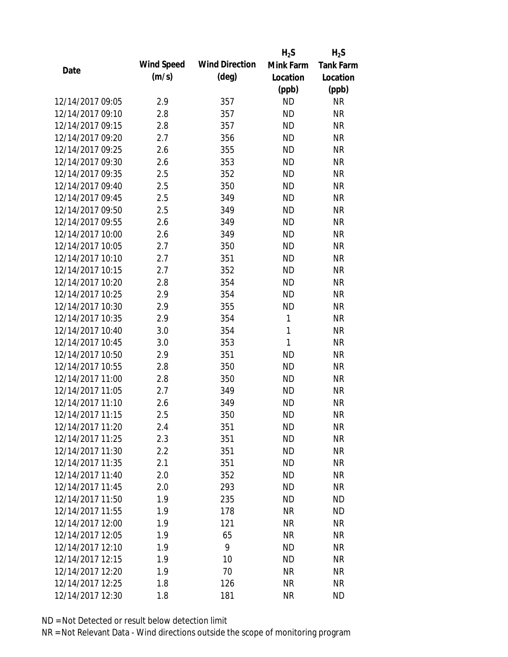|                  |            |                       | $H_2S$    | $H_2S$           |
|------------------|------------|-----------------------|-----------|------------------|
| Date             | Wind Speed | <b>Wind Direction</b> | Mink Farm | <b>Tank Farm</b> |
|                  | (m/s)      | $(\text{deg})$        | Location  | Location         |
|                  |            |                       | (ppb)     | (ppb)            |
| 12/14/2017 09:05 | 2.9        | 357                   | <b>ND</b> | <b>NR</b>        |
| 12/14/2017 09:10 | 2.8        | 357                   | <b>ND</b> | <b>NR</b>        |
| 12/14/2017 09:15 | 2.8        | 357                   | <b>ND</b> | <b>NR</b>        |
| 12/14/2017 09:20 | 2.7        | 356                   | <b>ND</b> | <b>NR</b>        |
| 12/14/2017 09:25 | 2.6        | 355                   | <b>ND</b> | <b>NR</b>        |
| 12/14/2017 09:30 | 2.6        | 353                   | <b>ND</b> | <b>NR</b>        |
| 12/14/2017 09:35 | 2.5        | 352                   | <b>ND</b> | <b>NR</b>        |
| 12/14/2017 09:40 | 2.5        | 350                   | <b>ND</b> | <b>NR</b>        |
| 12/14/2017 09:45 | 2.5        | 349                   | <b>ND</b> | <b>NR</b>        |
| 12/14/2017 09:50 | 2.5        | 349                   | <b>ND</b> | <b>NR</b>        |
| 12/14/2017 09:55 | 2.6        | 349                   | <b>ND</b> | <b>NR</b>        |
| 12/14/2017 10:00 | 2.6        | 349                   | <b>ND</b> | <b>NR</b>        |
| 12/14/2017 10:05 | 2.7        | 350                   | <b>ND</b> | <b>NR</b>        |
| 12/14/2017 10:10 | 2.7        | 351                   | <b>ND</b> | <b>NR</b>        |
| 12/14/2017 10:15 | 2.7        | 352                   | <b>ND</b> | <b>NR</b>        |
| 12/14/2017 10:20 | 2.8        | 354                   | <b>ND</b> | <b>NR</b>        |
| 12/14/2017 10:25 | 2.9        | 354                   | <b>ND</b> | <b>NR</b>        |
| 12/14/2017 10:30 | 2.9        | 355                   | <b>ND</b> | <b>NR</b>        |
| 12/14/2017 10:35 | 2.9        | 354                   | 1         | <b>NR</b>        |
| 12/14/2017 10:40 | 3.0        | 354                   | 1         | <b>NR</b>        |
| 12/14/2017 10:45 | 3.0        | 353                   | 1         | <b>NR</b>        |
| 12/14/2017 10:50 | 2.9        | 351                   | <b>ND</b> | <b>NR</b>        |
| 12/14/2017 10:55 | 2.8        | 350                   | <b>ND</b> | <b>NR</b>        |
| 12/14/2017 11:00 | 2.8        | 350                   | <b>ND</b> | <b>NR</b>        |
| 12/14/2017 11:05 | 2.7        | 349                   | <b>ND</b> | <b>NR</b>        |
| 12/14/2017 11:10 | 2.6        | 349                   | <b>ND</b> | <b>NR</b>        |
| 12/14/2017 11:15 | 2.5        | 350                   | <b>ND</b> | <b>NR</b>        |
| 12/14/2017 11:20 | 2.4        | 351                   | <b>ND</b> | <b>NR</b>        |
| 12/14/2017 11:25 | 2.3        | 351                   | <b>ND</b> | <b>NR</b>        |
| 12/14/2017 11:30 | 2.2        | 351                   | <b>ND</b> | <b>NR</b>        |
| 12/14/2017 11:35 | 2.1        | 351                   | <b>ND</b> | <b>NR</b>        |
| 12/14/2017 11:40 | 2.0        | 352                   | <b>ND</b> | <b>NR</b>        |
| 12/14/2017 11:45 | 2.0        | 293                   | <b>ND</b> | <b>NR</b>        |
| 12/14/2017 11:50 | 1.9        | 235                   | <b>ND</b> | <b>ND</b>        |
| 12/14/2017 11:55 | 1.9        | 178                   | <b>NR</b> | <b>ND</b>        |
| 12/14/2017 12:00 | 1.9        | 121                   | <b>NR</b> | <b>NR</b>        |
| 12/14/2017 12:05 | 1.9        | 65                    | <b>NR</b> | <b>NR</b>        |
| 12/14/2017 12:10 | 1.9        | 9                     | <b>ND</b> | <b>NR</b>        |
|                  |            |                       |           |                  |
| 12/14/2017 12:15 | 1.9        | 10                    | <b>ND</b> | <b>NR</b>        |
| 12/14/2017 12:20 | 1.9        | 70                    | <b>NR</b> | <b>NR</b>        |
| 12/14/2017 12:25 | 1.8        | 126                   | <b>NR</b> | <b>NR</b>        |
| 12/14/2017 12:30 | 1.8        | 181                   | <b>NR</b> | <b>ND</b>        |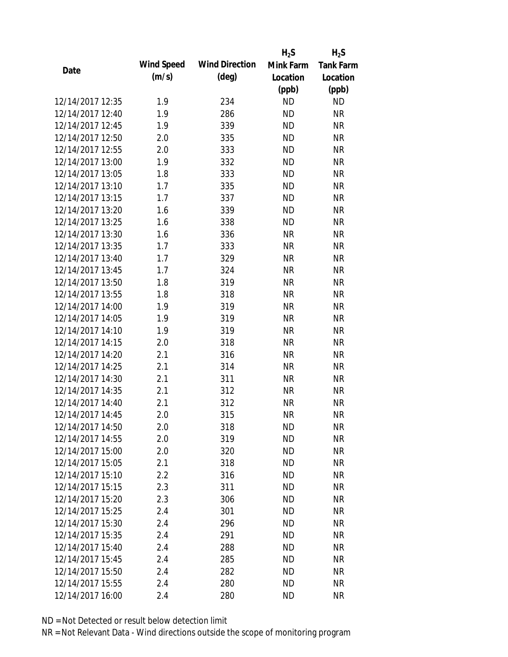|                  |            |                       | $H_2S$    | $H_2S$           |
|------------------|------------|-----------------------|-----------|------------------|
| Date             | Wind Speed | <b>Wind Direction</b> | Mink Farm | <b>Tank Farm</b> |
|                  | (m/s)      | $(\text{deg})$        | Location  | Location         |
|                  |            |                       | (ppb)     | (ppb)            |
| 12/14/2017 12:35 | 1.9        | 234                   | <b>ND</b> | <b>ND</b>        |
| 12/14/2017 12:40 | 1.9        | 286                   | <b>ND</b> | <b>NR</b>        |
| 12/14/2017 12:45 | 1.9        | 339                   | <b>ND</b> | <b>NR</b>        |
| 12/14/2017 12:50 | 2.0        | 335                   | <b>ND</b> | <b>NR</b>        |
| 12/14/2017 12:55 | 2.0        | 333                   | <b>ND</b> | <b>NR</b>        |
| 12/14/2017 13:00 | 1.9        | 332                   | <b>ND</b> | <b>NR</b>        |
| 12/14/2017 13:05 | 1.8        | 333                   | <b>ND</b> | <b>NR</b>        |
| 12/14/2017 13:10 | 1.7        | 335                   | <b>ND</b> | <b>NR</b>        |
| 12/14/2017 13:15 | 1.7        | 337                   | <b>ND</b> | <b>NR</b>        |
| 12/14/2017 13:20 | 1.6        | 339                   | <b>ND</b> | <b>NR</b>        |
| 12/14/2017 13:25 | 1.6        | 338                   | <b>ND</b> | <b>NR</b>        |
| 12/14/2017 13:30 | 1.6        | 336                   | <b>NR</b> | <b>NR</b>        |
| 12/14/2017 13:35 | 1.7        | 333                   | <b>NR</b> | <b>NR</b>        |
| 12/14/2017 13:40 | 1.7        | 329                   | <b>NR</b> | <b>NR</b>        |
| 12/14/2017 13:45 | 1.7        | 324                   | <b>NR</b> | <b>NR</b>        |
| 12/14/2017 13:50 | 1.8        | 319                   | <b>NR</b> | <b>NR</b>        |
| 12/14/2017 13:55 | 1.8        | 318                   | <b>NR</b> | <b>NR</b>        |
| 12/14/2017 14:00 | 1.9        | 319                   | <b>NR</b> | <b>NR</b>        |
| 12/14/2017 14:05 | 1.9        | 319                   | <b>NR</b> | <b>NR</b>        |
| 12/14/2017 14:10 | 1.9        | 319                   | <b>NR</b> | <b>NR</b>        |
| 12/14/2017 14:15 | 2.0        | 318                   | <b>NR</b> | <b>NR</b>        |
| 12/14/2017 14:20 | 2.1        | 316                   | <b>NR</b> | <b>NR</b>        |
| 12/14/2017 14:25 | 2.1        | 314                   | <b>NR</b> | <b>NR</b>        |
| 12/14/2017 14:30 | 2.1        | 311                   | <b>NR</b> | <b>NR</b>        |
| 12/14/2017 14:35 | 2.1        | 312                   | <b>NR</b> | <b>NR</b>        |
| 12/14/2017 14:40 | 2.1        | 312                   | <b>NR</b> | <b>NR</b>        |
| 12/14/2017 14:45 | 2.0        | 315                   | <b>NR</b> | <b>NR</b>        |
| 12/14/2017 14:50 | 2.0        | 318                   | <b>ND</b> | <b>NR</b>        |
| 12/14/2017 14:55 | 2.0        | 319                   | <b>ND</b> | <b>NR</b>        |
| 12/14/2017 15:00 | 2.0        | 320                   | ND        | <b>NR</b>        |
| 12/14/2017 15:05 | 2.1        | 318                   | <b>ND</b> | <b>NR</b>        |
| 12/14/2017 15:10 | 2.2        | 316                   | <b>ND</b> | <b>NR</b>        |
| 12/14/2017 15:15 | 2.3        | 311                   | <b>ND</b> | <b>NR</b>        |
| 12/14/2017 15:20 | 2.3        | 306                   | <b>ND</b> | <b>NR</b>        |
| 12/14/2017 15:25 | 2.4        | 301                   | <b>ND</b> | <b>NR</b>        |
| 12/14/2017 15:30 | 2.4        | 296                   | <b>ND</b> | <b>NR</b>        |
| 12/14/2017 15:35 | 2.4        | 291                   | ND.       | <b>NR</b>        |
| 12/14/2017 15:40 | 2.4        | 288                   | <b>ND</b> | <b>NR</b>        |
| 12/14/2017 15:45 | 2.4        | 285                   | <b>ND</b> | <b>NR</b>        |
| 12/14/2017 15:50 | 2.4        | 282                   | <b>ND</b> | <b>NR</b>        |
| 12/14/2017 15:55 | 2.4        | 280                   | <b>ND</b> | <b>NR</b>        |
| 12/14/2017 16:00 | 2.4        | 280                   | <b>ND</b> | <b>NR</b>        |
|                  |            |                       |           |                  |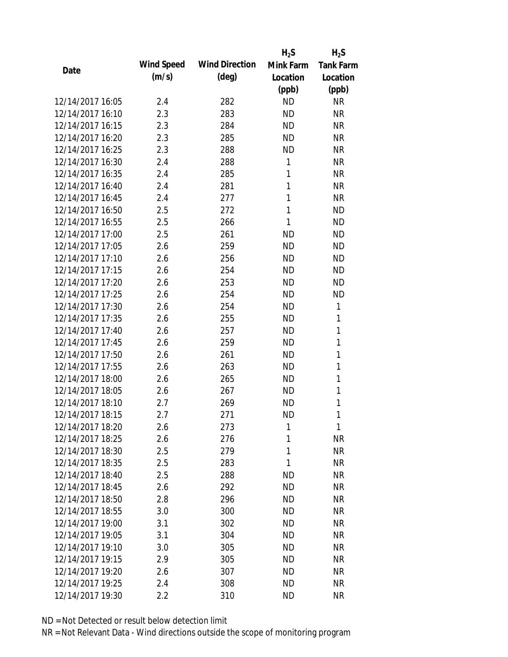|                  |            |                       | $H_2S$    | $H_2S$           |
|------------------|------------|-----------------------|-----------|------------------|
|                  | Wind Speed | <b>Wind Direction</b> | Mink Farm | <b>Tank Farm</b> |
| Date             | (m/s)      | $(\text{deg})$        | Location  | Location         |
|                  |            |                       | (ppb)     | (ppb)            |
| 12/14/2017 16:05 | 2.4        | 282                   | <b>ND</b> | <b>NR</b>        |
| 12/14/2017 16:10 | 2.3        | 283                   | <b>ND</b> | <b>NR</b>        |
| 12/14/2017 16:15 | 2.3        | 284                   | <b>ND</b> | <b>NR</b>        |
| 12/14/2017 16:20 | 2.3        | 285                   | <b>ND</b> | <b>NR</b>        |
| 12/14/2017 16:25 | 2.3        | 288                   | <b>ND</b> | <b>NR</b>        |
| 12/14/2017 16:30 | 2.4        | 288                   | 1         | <b>NR</b>        |
| 12/14/2017 16:35 | 2.4        | 285                   | 1         | <b>NR</b>        |
| 12/14/2017 16:40 | 2.4        | 281                   | 1         | <b>NR</b>        |
| 12/14/2017 16:45 | 2.4        | 277                   | 1         | <b>NR</b>        |
| 12/14/2017 16:50 | 2.5        | 272                   | 1         | <b>ND</b>        |
| 12/14/2017 16:55 | 2.5        | 266                   | 1         | <b>ND</b>        |
| 12/14/2017 17:00 | 2.5        | 261                   | <b>ND</b> | <b>ND</b>        |
| 12/14/2017 17:05 | 2.6        | 259                   | <b>ND</b> | <b>ND</b>        |
| 12/14/2017 17:10 | 2.6        | 256                   | <b>ND</b> | <b>ND</b>        |
| 12/14/2017 17:15 | 2.6        | 254                   | <b>ND</b> | <b>ND</b>        |
| 12/14/2017 17:20 | 2.6        | 253                   | <b>ND</b> | <b>ND</b>        |
| 12/14/2017 17:25 | 2.6        | 254                   | <b>ND</b> | <b>ND</b>        |
| 12/14/2017 17:30 | 2.6        | 254                   | <b>ND</b> | 1                |
| 12/14/2017 17:35 | 2.6        | 255                   | <b>ND</b> | 1                |
| 12/14/2017 17:40 | 2.6        | 257                   | <b>ND</b> | 1                |
| 12/14/2017 17:45 | 2.6        | 259                   | <b>ND</b> | 1                |
| 12/14/2017 17:50 | 2.6        | 261                   | <b>ND</b> | 1                |
| 12/14/2017 17:55 | 2.6        | 263                   | <b>ND</b> | 1                |
| 12/14/2017 18:00 | 2.6        | 265                   | <b>ND</b> | 1                |
| 12/14/2017 18:05 | 2.6        | 267                   | <b>ND</b> | 1                |
| 12/14/2017 18:10 | 2.7        | 269                   | <b>ND</b> | 1                |
| 12/14/2017 18:15 | 2.7        | 271                   | <b>ND</b> | 1                |
| 12/14/2017 18:20 | 2.6        | 273                   | 1         | 1                |
| 12/14/2017 18:25 | 2.6        | 276                   | 1         | <b>NR</b>        |
| 12/14/2017 18:30 | 2.5        | 279                   | 1         | <b>NR</b>        |
| 12/14/2017 18:35 | 2.5        | 283                   | 1         | <b>NR</b>        |
| 12/14/2017 18:40 | 2.5        | 288                   | <b>ND</b> | <b>NR</b>        |
| 12/14/2017 18:45 | 2.6        | 292                   | <b>ND</b> | <b>NR</b>        |
| 12/14/2017 18:50 | 2.8        | 296                   | <b>ND</b> | <b>NR</b>        |
| 12/14/2017 18:55 | 3.0        | 300                   | ND        | <b>NR</b>        |
| 12/14/2017 19:00 | 3.1        | 302                   | <b>ND</b> | <b>NR</b>        |
| 12/14/2017 19:05 | 3.1        | 304                   | <b>ND</b> | <b>NR</b>        |
| 12/14/2017 19:10 | 3.0        | 305                   | <b>ND</b> | <b>NR</b>        |
| 12/14/2017 19:15 | 2.9        | 305                   | <b>ND</b> | <b>NR</b>        |
| 12/14/2017 19:20 | 2.6        | 307                   | <b>ND</b> | <b>NR</b>        |
| 12/14/2017 19:25 | 2.4        | 308                   | <b>ND</b> | <b>NR</b>        |
| 12/14/2017 19:30 | 2.2        | 310                   | <b>ND</b> | <b>NR</b>        |
|                  |            |                       |           |                  |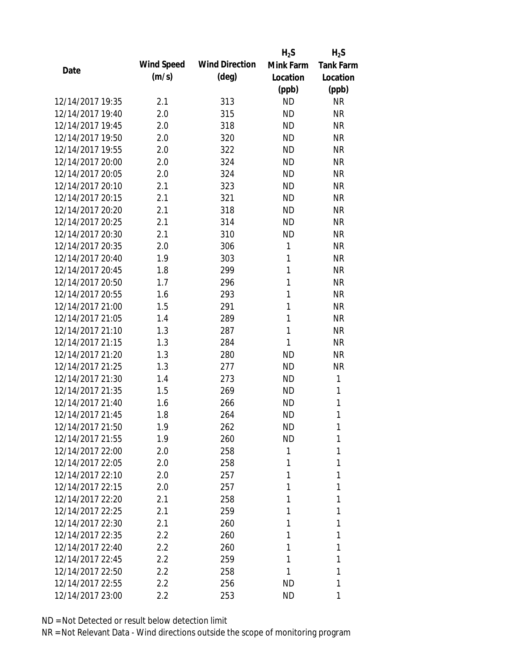|                  |            |                       | $H_2S$       | $H_2S$           |
|------------------|------------|-----------------------|--------------|------------------|
| Date             | Wind Speed | <b>Wind Direction</b> | Mink Farm    | <b>Tank Farm</b> |
|                  | (m/s)      | $(\text{deg})$        | Location     | Location         |
|                  |            |                       | (ppb)        | (ppb)            |
| 12/14/2017 19:35 | 2.1        | 313                   | <b>ND</b>    | <b>NR</b>        |
| 12/14/2017 19:40 | 2.0        | 315                   | <b>ND</b>    | <b>NR</b>        |
| 12/14/2017 19:45 | 2.0        | 318                   | <b>ND</b>    | <b>NR</b>        |
| 12/14/2017 19:50 | 2.0        | 320                   | <b>ND</b>    | <b>NR</b>        |
| 12/14/2017 19:55 | 2.0        | 322                   | <b>ND</b>    | <b>NR</b>        |
| 12/14/2017 20:00 | 2.0        | 324                   | <b>ND</b>    | <b>NR</b>        |
| 12/14/2017 20:05 | 2.0        | 324                   | <b>ND</b>    | <b>NR</b>        |
| 12/14/2017 20:10 | 2.1        | 323                   | <b>ND</b>    | <b>NR</b>        |
| 12/14/2017 20:15 | 2.1        | 321                   | <b>ND</b>    | <b>NR</b>        |
| 12/14/2017 20:20 | 2.1        | 318                   | <b>ND</b>    | <b>NR</b>        |
| 12/14/2017 20:25 | 2.1        | 314                   | <b>ND</b>    | <b>NR</b>        |
| 12/14/2017 20:30 | 2.1        | 310                   | <b>ND</b>    | <b>NR</b>        |
| 12/14/2017 20:35 | 2.0        | 306                   | 1            | <b>NR</b>        |
| 12/14/2017 20:40 | 1.9        | 303                   | 1            | <b>NR</b>        |
| 12/14/2017 20:45 | 1.8        | 299                   | 1            | <b>NR</b>        |
| 12/14/2017 20:50 | 1.7        | 296                   | 1            | <b>NR</b>        |
| 12/14/2017 20:55 | 1.6        | 293                   | 1            | <b>NR</b>        |
| 12/14/2017 21:00 | 1.5        | 291                   | $\mathbf{1}$ | <b>NR</b>        |
| 12/14/2017 21:05 | 1.4        | 289                   | $\mathbf{1}$ | <b>NR</b>        |
| 12/14/2017 21:10 | 1.3        | 287                   | 1            | <b>NR</b>        |
| 12/14/2017 21:15 | 1.3        | 284                   | 1            | <b>NR</b>        |
| 12/14/2017 21:20 | 1.3        | 280                   | <b>ND</b>    | <b>NR</b>        |
| 12/14/2017 21:25 | 1.3        | 277                   | <b>ND</b>    | <b>NR</b>        |
| 12/14/2017 21:30 | 1.4        | 273                   | <b>ND</b>    | 1                |
| 12/14/2017 21:35 | 1.5        | 269                   | <b>ND</b>    | 1                |
| 12/14/2017 21:40 | 1.6        | 266                   | <b>ND</b>    | 1                |
| 12/14/2017 21:45 | 1.8        | 264                   | <b>ND</b>    | 1                |
| 12/14/2017 21:50 | 1.9        | 262                   | <b>ND</b>    | 1                |
| 12/14/2017 21:55 | 1.9        | 260                   | <b>ND</b>    | 1                |
| 12/14/2017 22:00 | 2.0        | 258                   | 1            | 1                |
| 12/14/2017 22:05 | 2.0        | 258                   | 1            | 1                |
| 12/14/2017 22:10 | 2.0        | 257                   | 1            | 1                |
| 12/14/2017 22:15 | 2.0        | 257                   | 1            | 1                |
| 12/14/2017 22:20 | 2.1        | 258                   | 1            | 1                |
| 12/14/2017 22:25 | 2.1        | 259                   | 1            | 1                |
| 12/14/2017 22:30 | 2.1        | 260                   | 1            | 1                |
| 12/14/2017 22:35 | 2.2        | 260                   | 1            | 1                |
| 12/14/2017 22:40 | $2.2\,$    | 260                   | 1            | 1                |
| 12/14/2017 22:45 | 2.2        | 259                   | 1            | 1                |
| 12/14/2017 22:50 | 2.2        | 258                   | 1            | 1                |
| 12/14/2017 22:55 | 2.2        | 256                   | <b>ND</b>    | 1                |
| 12/14/2017 23:00 | 2.2        | 253                   | <b>ND</b>    | 1                |
|                  |            |                       |              |                  |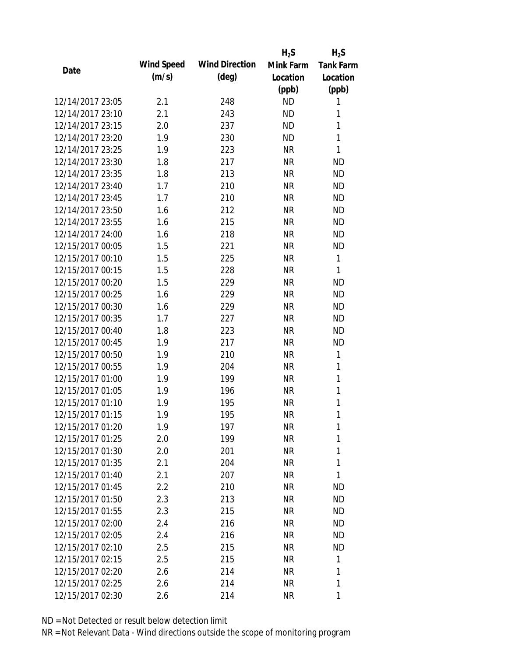|                  |            |                       | $H_2S$    | $H_2S$           |
|------------------|------------|-----------------------|-----------|------------------|
| Date             | Wind Speed | <b>Wind Direction</b> | Mink Farm | <b>Tank Farm</b> |
|                  | (m/s)      | $(\text{deg})$        | Location  | Location         |
|                  |            |                       | (ppb)     | (ppb)            |
| 12/14/2017 23:05 | 2.1        | 248                   | <b>ND</b> | 1                |
| 12/14/2017 23:10 | 2.1        | 243                   | <b>ND</b> | 1                |
| 12/14/2017 23:15 | 2.0        | 237                   | <b>ND</b> | 1                |
| 12/14/2017 23:20 | 1.9        | 230                   | <b>ND</b> | 1                |
| 12/14/2017 23:25 | 1.9        | 223                   | <b>NR</b> | 1                |
| 12/14/2017 23:30 | 1.8        | 217                   | <b>NR</b> | <b>ND</b>        |
| 12/14/2017 23:35 | 1.8        | 213                   | <b>NR</b> | <b>ND</b>        |
| 12/14/2017 23:40 | 1.7        | 210                   | <b>NR</b> | <b>ND</b>        |
| 12/14/2017 23:45 | 1.7        | 210                   | <b>NR</b> | <b>ND</b>        |
| 12/14/2017 23:50 | 1.6        | 212                   | <b>NR</b> | <b>ND</b>        |
| 12/14/2017 23:55 | 1.6        | 215                   | <b>NR</b> | <b>ND</b>        |
| 12/14/2017 24:00 | 1.6        | 218                   | <b>NR</b> | <b>ND</b>        |
| 12/15/2017 00:05 | 1.5        | 221                   | <b>NR</b> | <b>ND</b>        |
| 12/15/2017 00:10 | 1.5        | 225                   | <b>NR</b> | $\mathbf{1}$     |
| 12/15/2017 00:15 | 1.5        | 228                   | <b>NR</b> | 1                |
| 12/15/2017 00:20 | 1.5        | 229                   | <b>NR</b> | <b>ND</b>        |
| 12/15/2017 00:25 | 1.6        | 229                   | <b>NR</b> | <b>ND</b>        |
| 12/15/2017 00:30 | 1.6        | 229                   | <b>NR</b> | <b>ND</b>        |
| 12/15/2017 00:35 | 1.7        | 227                   | <b>NR</b> | <b>ND</b>        |
| 12/15/2017 00:40 | 1.8        | 223                   | <b>NR</b> | <b>ND</b>        |
| 12/15/2017 00:45 | 1.9        | 217                   | <b>NR</b> | <b>ND</b>        |
| 12/15/2017 00:50 | 1.9        | 210                   | <b>NR</b> | 1                |
| 12/15/2017 00:55 | 1.9        | 204                   | <b>NR</b> | 1                |
| 12/15/2017 01:00 | 1.9        | 199                   | <b>NR</b> | $\mathbf{1}$     |
| 12/15/2017 01:05 | 1.9        | 196                   | <b>NR</b> | 1                |
| 12/15/2017 01:10 | 1.9        | 195                   | <b>NR</b> | 1                |
| 12/15/2017 01:15 | 1.9        | 195                   | <b>NR</b> | 1                |
| 12/15/2017 01:20 | 1.9        | 197                   | <b>NR</b> | 1                |
| 12/15/2017 01:25 | 2.0        | 199                   | <b>NR</b> | 1                |
| 12/15/2017 01:30 | 2.0        | 201                   | NR        | 1                |
| 12/15/2017 01:35 | 2.1        | 204                   | NR        | 1                |
| 12/15/2017 01:40 | 2.1        | 207                   | <b>NR</b> | 1                |
| 12/15/2017 01:45 | 2.2        | 210                   | NR        | <b>ND</b>        |
| 12/15/2017 01:50 | 2.3        | 213                   | <b>NR</b> | <b>ND</b>        |
| 12/15/2017 01:55 | 2.3        | 215                   | NR        | <b>ND</b>        |
| 12/15/2017 02:00 | 2.4        | 216                   | NR        | <b>ND</b>        |
| 12/15/2017 02:05 | 2.4        | 216                   | NR        | <b>ND</b>        |
| 12/15/2017 02:10 | 2.5        | 215                   | NR        | <b>ND</b>        |
| 12/15/2017 02:15 | 2.5        | 215                   | <b>NR</b> | 1                |
| 12/15/2017 02:20 | 2.6        | 214                   | <b>NR</b> | 1                |
| 12/15/2017 02:25 | 2.6        | 214                   | <b>NR</b> | 1                |
| 12/15/2017 02:30 | 2.6        | 214                   | <b>NR</b> | 1                |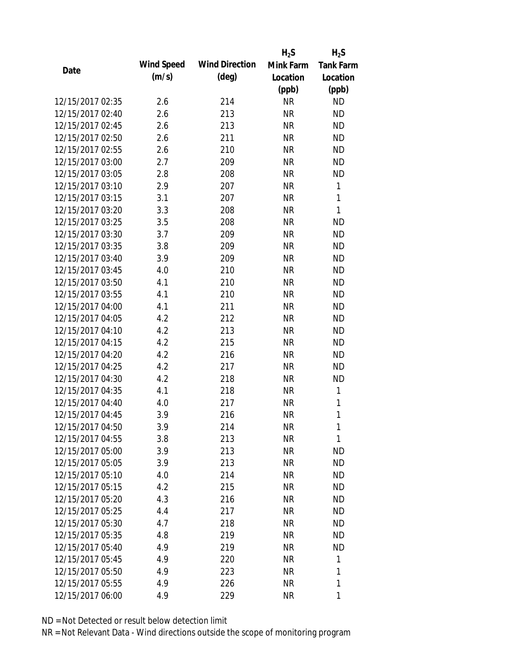|                  |            |                       | $H_2S$    | $H_2S$           |
|------------------|------------|-----------------------|-----------|------------------|
| Date             | Wind Speed | <b>Wind Direction</b> | Mink Farm | <b>Tank Farm</b> |
|                  | (m/s)      | $(\text{deg})$        | Location  | Location         |
|                  |            |                       | (ppb)     | (ppb)            |
| 12/15/2017 02:35 | 2.6        | 214                   | <b>NR</b> | <b>ND</b>        |
| 12/15/2017 02:40 | 2.6        | 213                   | <b>NR</b> | <b>ND</b>        |
| 12/15/2017 02:45 | 2.6        | 213                   | <b>NR</b> | <b>ND</b>        |
| 12/15/2017 02:50 | 2.6        | 211                   | <b>NR</b> | <b>ND</b>        |
| 12/15/2017 02:55 | 2.6        | 210                   | <b>NR</b> | <b>ND</b>        |
| 12/15/2017 03:00 | 2.7        | 209                   | <b>NR</b> | <b>ND</b>        |
| 12/15/2017 03:05 | 2.8        | 208                   | <b>NR</b> | <b>ND</b>        |
| 12/15/2017 03:10 | 2.9        | 207                   | <b>NR</b> | $\mathbf{1}$     |
| 12/15/2017 03:15 | 3.1        | 207                   | <b>NR</b> | $\mathbf{1}$     |
| 12/15/2017 03:20 | 3.3        | 208                   | <b>NR</b> | $\mathbf{1}$     |
| 12/15/2017 03:25 | 3.5        | 208                   | <b>NR</b> | <b>ND</b>        |
| 12/15/2017 03:30 | 3.7        | 209                   | <b>NR</b> | <b>ND</b>        |
| 12/15/2017 03:35 | 3.8        | 209                   | <b>NR</b> | <b>ND</b>        |
| 12/15/2017 03:40 | 3.9        | 209                   | <b>NR</b> | <b>ND</b>        |
| 12/15/2017 03:45 | 4.0        | 210                   | <b>NR</b> | <b>ND</b>        |
| 12/15/2017 03:50 | 4.1        | 210                   | <b>NR</b> | <b>ND</b>        |
| 12/15/2017 03:55 | 4.1        | 210                   | <b>NR</b> | <b>ND</b>        |
| 12/15/2017 04:00 | 4.1        | 211                   | <b>NR</b> | <b>ND</b>        |
| 12/15/2017 04:05 | 4.2        | 212                   | <b>NR</b> | <b>ND</b>        |
| 12/15/2017 04:10 | 4.2        | 213                   | <b>NR</b> | <b>ND</b>        |
| 12/15/2017 04:15 | 4.2        | 215                   | <b>NR</b> | <b>ND</b>        |
| 12/15/2017 04:20 | 4.2        | 216                   | <b>NR</b> | <b>ND</b>        |
| 12/15/2017 04:25 | 4.2        | 217                   | <b>NR</b> | <b>ND</b>        |
| 12/15/2017 04:30 | 4.2        | 218                   | <b>NR</b> | <b>ND</b>        |
| 12/15/2017 04:35 | 4.1        | 218                   | <b>NR</b> | 1                |
| 12/15/2017 04:40 | 4.0        | 217                   | <b>NR</b> | 1                |
| 12/15/2017 04:45 | 3.9        | 216                   | <b>NR</b> | 1                |
| 12/15/2017 04:50 | 3.9        | 214                   | NR        | 1                |
| 12/15/2017 04:55 | 3.8        | 213                   | <b>NR</b> | 1                |
| 12/15/2017 05:00 | 3.9        | 213                   | <b>NR</b> | ND               |
| 12/15/2017 05:05 | 3.9        | 213                   | <b>NR</b> | <b>ND</b>        |
| 12/15/2017 05:10 | 4.0        | 214                   | <b>NR</b> | ND               |
| 12/15/2017 05:15 | 4.2        | 215                   | <b>NR</b> | <b>ND</b>        |
| 12/15/2017 05:20 | 4.3        | 216                   | <b>NR</b> | <b>ND</b>        |
| 12/15/2017 05:25 | 4.4        | 217                   | <b>NR</b> | ND               |
| 12/15/2017 05:30 | 4.7        | 218                   | <b>NR</b> | <b>ND</b>        |
| 12/15/2017 05:35 | 4.8        | 219                   | <b>NR</b> | ND               |
| 12/15/2017 05:40 | 4.9        | 219                   | <b>NR</b> | <b>ND</b>        |
| 12/15/2017 05:45 | 4.9        | 220                   | <b>NR</b> | 1                |
| 12/15/2017 05:50 | 4.9        | 223                   | <b>NR</b> | 1                |
| 12/15/2017 05:55 | 4.9        | 226                   | <b>NR</b> | 1                |
| 12/15/2017 06:00 | 4.9        | 229                   | <b>NR</b> | 1                |
|                  |            |                       |           |                  |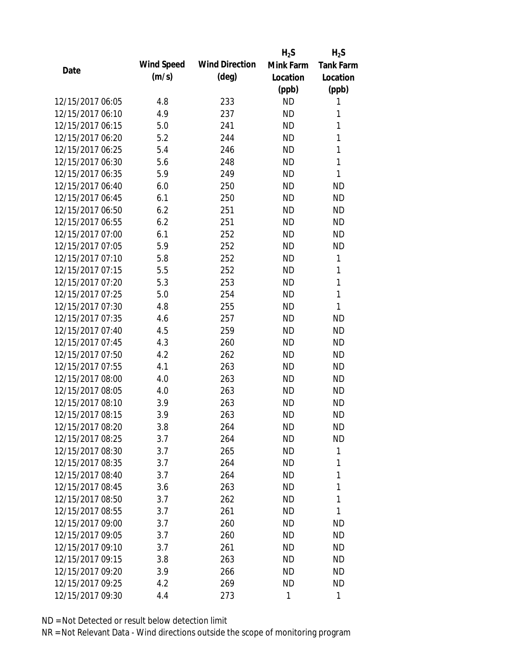|                  |            |                       | $H_2S$    | $H_2S$           |
|------------------|------------|-----------------------|-----------|------------------|
| Date             | Wind Speed | <b>Wind Direction</b> | Mink Farm | <b>Tank Farm</b> |
|                  | (m/s)      | $(\text{deg})$        | Location  | Location         |
|                  |            |                       | (ppb)     | (ppb)            |
| 12/15/2017 06:05 | 4.8        | 233                   | <b>ND</b> | 1                |
| 12/15/2017 06:10 | 4.9        | 237                   | <b>ND</b> | 1                |
| 12/15/2017 06:15 | 5.0        | 241                   | <b>ND</b> | 1                |
| 12/15/2017 06:20 | 5.2        | 244                   | <b>ND</b> | 1                |
| 12/15/2017 06:25 | 5.4        | 246                   | <b>ND</b> | 1                |
| 12/15/2017 06:30 | 5.6        | 248                   | <b>ND</b> | 1                |
| 12/15/2017 06:35 | 5.9        | 249                   | <b>ND</b> | 1                |
| 12/15/2017 06:40 | 6.0        | 250                   | <b>ND</b> | <b>ND</b>        |
| 12/15/2017 06:45 | 6.1        | 250                   | <b>ND</b> | <b>ND</b>        |
| 12/15/2017 06:50 | 6.2        | 251                   | <b>ND</b> | <b>ND</b>        |
| 12/15/2017 06:55 | 6.2        | 251                   | <b>ND</b> | <b>ND</b>        |
| 12/15/2017 07:00 | 6.1        | 252                   | <b>ND</b> | <b>ND</b>        |
| 12/15/2017 07:05 | 5.9        | 252                   | <b>ND</b> | <b>ND</b>        |
| 12/15/2017 07:10 | 5.8        | 252                   | <b>ND</b> | 1                |
| 12/15/2017 07:15 | 5.5        | 252                   | <b>ND</b> | 1                |
| 12/15/2017 07:20 | 5.3        | 253                   | <b>ND</b> | 1                |
| 12/15/2017 07:25 | 5.0        | 254                   | <b>ND</b> | 1                |
| 12/15/2017 07:30 | 4.8        | 255                   | <b>ND</b> | 1                |
| 12/15/2017 07:35 | 4.6        | 257                   | <b>ND</b> | <b>ND</b>        |
| 12/15/2017 07:40 | 4.5        | 259                   | <b>ND</b> | <b>ND</b>        |
| 12/15/2017 07:45 | 4.3        | 260                   | <b>ND</b> | <b>ND</b>        |
| 12/15/2017 07:50 | 4.2        | 262                   | <b>ND</b> | <b>ND</b>        |
| 12/15/2017 07:55 | 4.1        | 263                   | <b>ND</b> | <b>ND</b>        |
| 12/15/2017 08:00 | 4.0        | 263                   | <b>ND</b> | <b>ND</b>        |
| 12/15/2017 08:05 | 4.0        | 263                   | <b>ND</b> | <b>ND</b>        |
| 12/15/2017 08:10 | 3.9        | 263                   | <b>ND</b> | <b>ND</b>        |
| 12/15/2017 08:15 | 3.9        | 263                   | <b>ND</b> | <b>ND</b>        |
| 12/15/2017 08:20 | 3.8        | 264                   | <b>ND</b> | <b>ND</b>        |
| 12/15/2017 08:25 | 3.7        | 264                   | <b>ND</b> | <b>ND</b>        |
| 12/15/2017 08:30 | 3.7        | 265                   | <b>ND</b> | 1                |
| 12/15/2017 08:35 | 3.7        | 264                   | <b>ND</b> | 1                |
| 12/15/2017 08:40 | 3.7        | 264                   | <b>ND</b> | 1                |
| 12/15/2017 08:45 | 3.6        | 263                   | ND        | 1                |
| 12/15/2017 08:50 | 3.7        | 262                   | <b>ND</b> | 1                |
| 12/15/2017 08:55 | 3.7        | 261                   | <b>ND</b> | 1                |
| 12/15/2017 09:00 | 3.7        | 260                   | ND        | <b>ND</b>        |
| 12/15/2017 09:05 | 3.7        | 260                   | <b>ND</b> | <b>ND</b>        |
| 12/15/2017 09:10 | 3.7        | 261                   | <b>ND</b> | <b>ND</b>        |
| 12/15/2017 09:15 | 3.8        | 263                   | <b>ND</b> | <b>ND</b>        |
| 12/15/2017 09:20 | 3.9        | 266                   | ND        | <b>ND</b>        |
| 12/15/2017 09:25 | 4.2        | 269                   | <b>ND</b> | <b>ND</b>        |
| 12/15/2017 09:30 | 4.4        | 273                   | 1         | 1                |
|                  |            |                       |           |                  |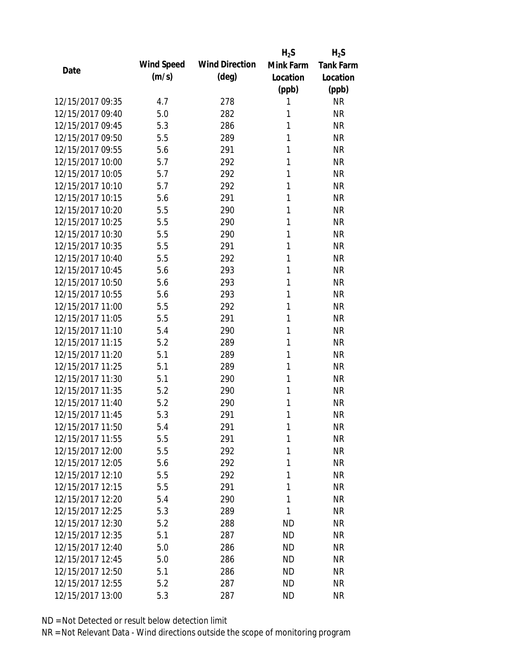|                  |            |                       | $H_2S$    | $H_2S$           |
|------------------|------------|-----------------------|-----------|------------------|
| Date             | Wind Speed | <b>Wind Direction</b> | Mink Farm | <b>Tank Farm</b> |
|                  | (m/s)      | $(\text{deg})$        | Location  | Location         |
|                  |            |                       | (ppb)     | (ppb)            |
| 12/15/2017 09:35 | 4.7        | 278                   | 1         | <b>NR</b>        |
| 12/15/2017 09:40 | 5.0        | 282                   | 1         | <b>NR</b>        |
| 12/15/2017 09:45 | 5.3        | 286                   | 1         | <b>NR</b>        |
| 12/15/2017 09:50 | 5.5        | 289                   | 1         | <b>NR</b>        |
| 12/15/2017 09:55 | 5.6        | 291                   | 1         | <b>NR</b>        |
| 12/15/2017 10:00 | 5.7        | 292                   | 1         | <b>NR</b>        |
| 12/15/2017 10:05 | 5.7        | 292                   | 1         | <b>NR</b>        |
| 12/15/2017 10:10 | 5.7        | 292                   | 1         | <b>NR</b>        |
| 12/15/2017 10:15 | 5.6        | 291                   | 1         | <b>NR</b>        |
| 12/15/2017 10:20 | 5.5        | 290                   | 1         | <b>NR</b>        |
| 12/15/2017 10:25 | 5.5        | 290                   | 1         | <b>NR</b>        |
| 12/15/2017 10:30 | 5.5        | 290                   | 1         | <b>NR</b>        |
| 12/15/2017 10:35 | 5.5        | 291                   | 1         | <b>NR</b>        |
| 12/15/2017 10:40 | 5.5        | 292                   | 1         | <b>NR</b>        |
| 12/15/2017 10:45 | 5.6        | 293                   | 1         | <b>NR</b>        |
| 12/15/2017 10:50 | 5.6        | 293                   | 1         | <b>NR</b>        |
| 12/15/2017 10:55 | 5.6        | 293                   | 1         | <b>NR</b>        |
| 12/15/2017 11:00 | 5.5        | 292                   | 1         | <b>NR</b>        |
| 12/15/2017 11:05 | 5.5        | 291                   | 1         | <b>NR</b>        |
| 12/15/2017 11:10 | 5.4        | 290                   | 1         | <b>NR</b>        |
| 12/15/2017 11:15 | 5.2        | 289                   | 1         | <b>NR</b>        |
| 12/15/2017 11:20 | 5.1        | 289                   | 1         | <b>NR</b>        |
| 12/15/2017 11:25 | 5.1        | 289                   | 1         | <b>NR</b>        |
| 12/15/2017 11:30 | 5.1        | 290                   | 1         | <b>NR</b>        |
| 12/15/2017 11:35 | 5.2        | 290                   | 1         | <b>NR</b>        |
| 12/15/2017 11:40 | 5.2        | 290                   | 1         | <b>NR</b>        |
| 12/15/2017 11:45 | 5.3        | 291                   | 1         | <b>NR</b>        |
| 12/15/2017 11:50 | 5.4        | 291                   | 1         | <b>NR</b>        |
| 12/15/2017 11:55 | 5.5        | 291                   | 1         | <b>NR</b>        |
| 12/15/2017 12:00 | 5.5        | 292                   | 1         | <b>NR</b>        |
| 12/15/2017 12:05 | 5.6        | 292                   | 1         | <b>NR</b>        |
| 12/15/2017 12:10 | 5.5        | 292                   | 1         | <b>NR</b>        |
| 12/15/2017 12:15 | 5.5        | 291                   | 1         | <b>NR</b>        |
| 12/15/2017 12:20 | 5.4        | 290                   | 1         | <b>NR</b>        |
| 12/15/2017 12:25 | 5.3        | 289                   | 1         | <b>NR</b>        |
| 12/15/2017 12:30 | 5.2        | 288                   | <b>ND</b> | <b>NR</b>        |
| 12/15/2017 12:35 | 5.1        | 287                   | <b>ND</b> | <b>NR</b>        |
| 12/15/2017 12:40 | 5.0        | 286                   | <b>ND</b> | <b>NR</b>        |
| 12/15/2017 12:45 | 5.0        | 286                   | <b>ND</b> | <b>NR</b>        |
| 12/15/2017 12:50 | 5.1        | 286                   | ND        | <b>NR</b>        |
| 12/15/2017 12:55 | 5.2        | 287                   | <b>ND</b> | <b>NR</b>        |
| 12/15/2017 13:00 | 5.3        | 287                   | <b>ND</b> | <b>NR</b>        |
|                  |            |                       |           |                  |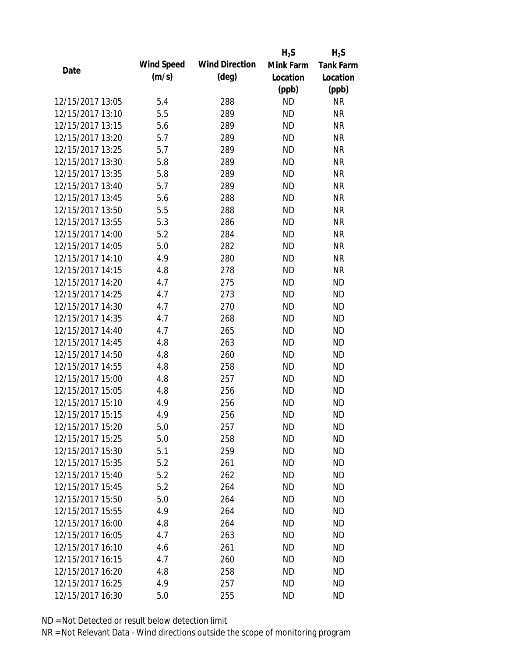|                  |            |                       | $H_2S$    | $H_2S$           |
|------------------|------------|-----------------------|-----------|------------------|
| Date             | Wind Speed | <b>Wind Direction</b> | Mink Farm | <b>Tank Farm</b> |
|                  | (m/s)      | $(\text{deg})$        | Location  | Location         |
|                  |            |                       | (ppb)     | (ppb)            |
| 12/15/2017 13:05 | 5.4        | 288                   | <b>ND</b> | <b>NR</b>        |
| 12/15/2017 13:10 | 5.5        | 289                   | <b>ND</b> | <b>NR</b>        |
| 12/15/2017 13:15 | 5.6        | 289                   | <b>ND</b> | <b>NR</b>        |
| 12/15/2017 13:20 | 5.7        | 289                   | <b>ND</b> | <b>NR</b>        |
| 12/15/2017 13:25 | 5.7        | 289                   | <b>ND</b> | <b>NR</b>        |
| 12/15/2017 13:30 | 5.8        | 289                   | <b>ND</b> | <b>NR</b>        |
| 12/15/2017 13:35 | 5.8        | 289                   | <b>ND</b> | <b>NR</b>        |
| 12/15/2017 13:40 | 5.7        | 289                   | <b>ND</b> | <b>NR</b>        |
| 12/15/2017 13:45 | 5.6        | 288                   | <b>ND</b> | <b>NR</b>        |
| 12/15/2017 13:50 | 5.5        | 288                   | <b>ND</b> | <b>NR</b>        |
| 12/15/2017 13:55 | 5.3        | 286                   | <b>ND</b> | <b>NR</b>        |
| 12/15/2017 14:00 | 5.2        | 284                   | <b>ND</b> | <b>NR</b>        |
| 12/15/2017 14:05 | 5.0        | 282                   | <b>ND</b> | <b>NR</b>        |
| 12/15/2017 14:10 | 4.9        | 280                   | <b>ND</b> | <b>NR</b>        |
| 12/15/2017 14:15 | 4.8        | 278                   | <b>ND</b> | <b>NR</b>        |
| 12/15/2017 14:20 | 4.7        | 275                   | <b>ND</b> | <b>ND</b>        |
| 12/15/2017 14:25 | 4.7        | 273                   | <b>ND</b> | <b>ND</b>        |
| 12/15/2017 14:30 | 4.7        | 270                   | <b>ND</b> | <b>ND</b>        |
| 12/15/2017 14:35 | 4.7        | 268                   | <b>ND</b> | <b>ND</b>        |
| 12/15/2017 14:40 | 4.7        | 265                   | <b>ND</b> | <b>ND</b>        |
| 12/15/2017 14:45 | 4.8        | 263                   | <b>ND</b> | <b>ND</b>        |
| 12/15/2017 14:50 | 4.8        | 260                   | <b>ND</b> | <b>ND</b>        |
| 12/15/2017 14:55 | 4.8        | 258                   | <b>ND</b> | <b>ND</b>        |
| 12/15/2017 15:00 | 4.8        | 257                   | <b>ND</b> | <b>ND</b>        |
| 12/15/2017 15:05 | 4.8        | 256                   | <b>ND</b> | <b>ND</b>        |
| 12/15/2017 15:10 | 4.9        | 256                   | <b>ND</b> | <b>ND</b>        |
| 12/15/2017 15:15 | 4.9        | 256                   | <b>ND</b> | <b>ND</b>        |
| 12/15/2017 15:20 | 5.0        | 257                   | <b>ND</b> | <b>ND</b>        |
| 12/15/2017 15:25 | 5.0        | 258                   | <b>ND</b> | <b>ND</b>        |
| 12/15/2017 15:30 | 5.1        | 259                   | ND        | <b>ND</b>        |
| 12/15/2017 15:35 | 5.2        | 261                   | <b>ND</b> | <b>ND</b>        |
| 12/15/2017 15:40 | 5.2        | 262                   | <b>ND</b> | <b>ND</b>        |
| 12/15/2017 15:45 | 5.2        | 264                   | <b>ND</b> | <b>ND</b>        |
| 12/15/2017 15:50 | 5.0        | 264                   | <b>ND</b> | <b>ND</b>        |
| 12/15/2017 15:55 | 4.9        | 264                   | <b>ND</b> | <b>ND</b>        |
| 12/15/2017 16:00 | 4.8        | 264                   | <b>ND</b> | <b>ND</b>        |
| 12/15/2017 16:05 | 4.7        | 263                   | ND.       | <b>ND</b>        |
| 12/15/2017 16:10 | 4.6        | 261                   | ND        | <b>ND</b>        |
| 12/15/2017 16:15 | 4.7        | 260                   | <b>ND</b> | <b>ND</b>        |
| 12/15/2017 16:20 | 4.8        | 258                   | <b>ND</b> | <b>ND</b>        |
| 12/15/2017 16:25 | 4.9        | 257                   | <b>ND</b> | <b>ND</b>        |
| 12/15/2017 16:30 | 5.0        | 255                   | <b>ND</b> | <b>ND</b>        |
|                  |            |                       |           |                  |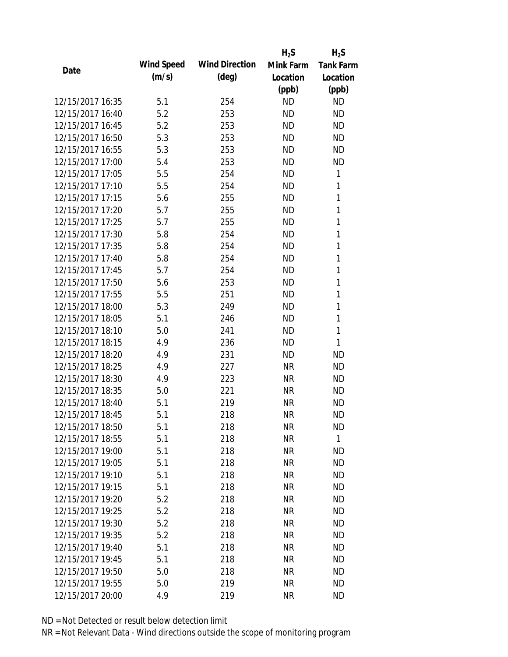|                  |            |                       | $H_2S$    | $H_2S$           |
|------------------|------------|-----------------------|-----------|------------------|
| Date             | Wind Speed | <b>Wind Direction</b> | Mink Farm | <b>Tank Farm</b> |
|                  | (m/s)      | $(\text{deg})$        | Location  | Location         |
|                  |            |                       | (ppb)     | (ppb)            |
| 12/15/2017 16:35 | 5.1        | 254                   | <b>ND</b> | <b>ND</b>        |
| 12/15/2017 16:40 | 5.2        | 253                   | <b>ND</b> | <b>ND</b>        |
| 12/15/2017 16:45 | 5.2        | 253                   | <b>ND</b> | <b>ND</b>        |
| 12/15/2017 16:50 | 5.3        | 253                   | <b>ND</b> | <b>ND</b>        |
| 12/15/2017 16:55 | 5.3        | 253                   | <b>ND</b> | <b>ND</b>        |
| 12/15/2017 17:00 | 5.4        | 253                   | <b>ND</b> | <b>ND</b>        |
| 12/15/2017 17:05 | 5.5        | 254                   | <b>ND</b> | 1                |
| 12/15/2017 17:10 | 5.5        | 254                   | <b>ND</b> | 1                |
| 12/15/2017 17:15 | 5.6        | 255                   | <b>ND</b> | $\mathbf{1}$     |
| 12/15/2017 17:20 | 5.7        | 255                   | <b>ND</b> | $\mathbf{1}$     |
| 12/15/2017 17:25 | 5.7        | 255                   | <b>ND</b> | 1                |
| 12/15/2017 17:30 | 5.8        | 254                   | <b>ND</b> | 1                |
| 12/15/2017 17:35 | 5.8        | 254                   | <b>ND</b> | 1                |
| 12/15/2017 17:40 | 5.8        | 254                   | <b>ND</b> | 1                |
| 12/15/2017 17:45 | 5.7        | 254                   | <b>ND</b> | $\mathbf{1}$     |
| 12/15/2017 17:50 | 5.6        | 253                   | <b>ND</b> | 1                |
| 12/15/2017 17:55 | 5.5        | 251                   | <b>ND</b> | 1                |
| 12/15/2017 18:00 | 5.3        | 249                   | <b>ND</b> | 1                |
| 12/15/2017 18:05 | 5.1        | 246                   | <b>ND</b> | 1                |
| 12/15/2017 18:10 | 5.0        | 241                   | <b>ND</b> | 1                |
| 12/15/2017 18:15 | 4.9        | 236                   | <b>ND</b> | 1                |
| 12/15/2017 18:20 | 4.9        | 231                   | <b>ND</b> | <b>ND</b>        |
| 12/15/2017 18:25 | 4.9        | 227                   | <b>NR</b> | <b>ND</b>        |
| 12/15/2017 18:30 | 4.9        | 223                   | <b>NR</b> | <b>ND</b>        |
| 12/15/2017 18:35 | 5.0        | 221                   | <b>NR</b> | <b>ND</b>        |
| 12/15/2017 18:40 | 5.1        | 219                   | <b>NR</b> | <b>ND</b>        |
| 12/15/2017 18:45 | 5.1        | 218                   | <b>NR</b> | <b>ND</b>        |
| 12/15/2017 18:50 | 5.1        | 218                   | <b>NR</b> | <b>ND</b>        |
| 12/15/2017 18:55 | 5.1        | 218                   | <b>NR</b> | $\mathbf{1}$     |
| 12/15/2017 19:00 | 5.1        | 218                   | <b>NR</b> | <b>ND</b>        |
| 12/15/2017 19:05 | 5.1        | 218                   | <b>NR</b> | <b>ND</b>        |
| 12/15/2017 19:10 | 5.1        | 218                   | <b>NR</b> | <b>ND</b>        |
| 12/15/2017 19:15 | 5.1        | 218                   | <b>NR</b> | <b>ND</b>        |
| 12/15/2017 19:20 | 5.2        | 218                   | <b>NR</b> | <b>ND</b>        |
| 12/15/2017 19:25 | 5.2        | 218                   | <b>NR</b> | <b>ND</b>        |
| 12/15/2017 19:30 | 5.2        | 218                   | <b>NR</b> | <b>ND</b>        |
| 12/15/2017 19:35 | 5.2        | 218                   | <b>NR</b> | <b>ND</b>        |
| 12/15/2017 19:40 | 5.1        | 218                   | NR        | <b>ND</b>        |
| 12/15/2017 19:45 | 5.1        | 218                   | <b>NR</b> | <b>ND</b>        |
| 12/15/2017 19:50 | 5.0        | 218                   | <b>NR</b> | <b>ND</b>        |
| 12/15/2017 19:55 | 5.0        | 219                   | <b>NR</b> | <b>ND</b>        |
| 12/15/2017 20:00 | 4.9        | 219                   | <b>NR</b> | <b>ND</b>        |
|                  |            |                       |           |                  |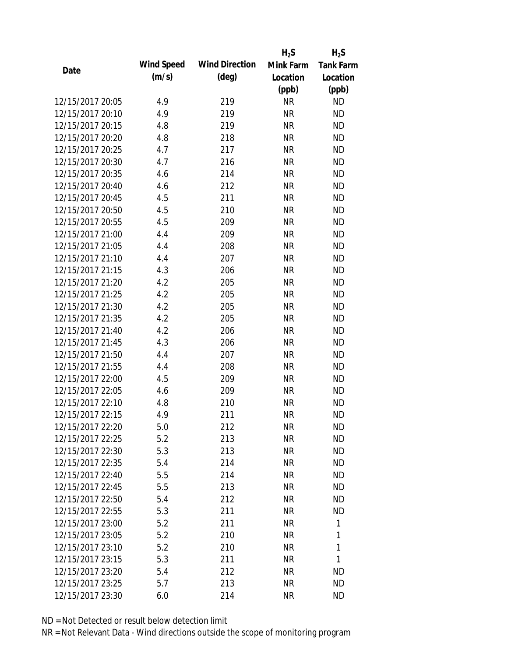|                  |            |                       | $H_2S$    | $H_2S$           |
|------------------|------------|-----------------------|-----------|------------------|
| Date             | Wind Speed | <b>Wind Direction</b> | Mink Farm | <b>Tank Farm</b> |
|                  | (m/s)      | $(\text{deg})$        | Location  | Location         |
|                  |            |                       | (ppb)     | (ppb)            |
| 12/15/2017 20:05 | 4.9        | 219                   | <b>NR</b> | <b>ND</b>        |
| 12/15/2017 20:10 | 4.9        | 219                   | <b>NR</b> | <b>ND</b>        |
| 12/15/2017 20:15 | 4.8        | 219                   | <b>NR</b> | <b>ND</b>        |
| 12/15/2017 20:20 | 4.8        | 218                   | <b>NR</b> | <b>ND</b>        |
| 12/15/2017 20:25 | 4.7        | 217                   | <b>NR</b> | <b>ND</b>        |
| 12/15/2017 20:30 | 4.7        | 216                   | <b>NR</b> | <b>ND</b>        |
| 12/15/2017 20:35 | 4.6        | 214                   | <b>NR</b> | <b>ND</b>        |
| 12/15/2017 20:40 | 4.6        | 212                   | <b>NR</b> | <b>ND</b>        |
| 12/15/2017 20:45 | 4.5        | 211                   | <b>NR</b> | <b>ND</b>        |
| 12/15/2017 20:50 | 4.5        | 210                   | <b>NR</b> | <b>ND</b>        |
| 12/15/2017 20:55 | 4.5        | 209                   | <b>NR</b> | <b>ND</b>        |
| 12/15/2017 21:00 | 4.4        | 209                   | <b>NR</b> | <b>ND</b>        |
| 12/15/2017 21:05 | 4.4        | 208                   | <b>NR</b> | <b>ND</b>        |
| 12/15/2017 21:10 | 4.4        | 207                   | <b>NR</b> | <b>ND</b>        |
| 12/15/2017 21:15 | 4.3        | 206                   | <b>NR</b> | <b>ND</b>        |
| 12/15/2017 21:20 | 4.2        | 205                   | <b>NR</b> | <b>ND</b>        |
| 12/15/2017 21:25 | 4.2        | 205                   | <b>NR</b> | <b>ND</b>        |
| 12/15/2017 21:30 | 4.2        | 205                   | <b>NR</b> | <b>ND</b>        |
| 12/15/2017 21:35 | 4.2        | 205                   | <b>NR</b> | <b>ND</b>        |
| 12/15/2017 21:40 | 4.2        | 206                   | <b>NR</b> | <b>ND</b>        |
| 12/15/2017 21:45 | 4.3        | 206                   | <b>NR</b> | <b>ND</b>        |
| 12/15/2017 21:50 | 4.4        | 207                   | <b>NR</b> | <b>ND</b>        |
| 12/15/2017 21:55 | 4.4        | 208                   | <b>NR</b> | <b>ND</b>        |
| 12/15/2017 22:00 | 4.5        | 209                   | <b>NR</b> | <b>ND</b>        |
| 12/15/2017 22:05 | 4.6        | 209                   | <b>NR</b> | <b>ND</b>        |
| 12/15/2017 22:10 | 4.8        | 210                   | <b>NR</b> | <b>ND</b>        |
| 12/15/2017 22:15 | 4.9        | 211                   | <b>NR</b> | <b>ND</b>        |
| 12/15/2017 22:20 | 5.0        | 212                   | NR        | <b>ND</b>        |
| 12/15/2017 22:25 | 5.2        | 213                   | <b>NR</b> | <b>ND</b>        |
| 12/15/2017 22:30 | 5.3        | 213                   | NR        | <b>ND</b>        |
| 12/15/2017 22:35 | 5.4        | 214                   | <b>NR</b> | <b>ND</b>        |
| 12/15/2017 22:40 | 5.5        | 214                   | <b>NR</b> | <b>ND</b>        |
| 12/15/2017 22:45 | 5.5        | 213                   | <b>NR</b> | <b>ND</b>        |
| 12/15/2017 22:50 | 5.4        | 212                   | <b>NR</b> | <b>ND</b>        |
| 12/15/2017 22:55 | 5.3        | 211                   | <b>NR</b> | <b>ND</b>        |
| 12/15/2017 23:00 | 5.2        | 211                   | <b>NR</b> | 1                |
| 12/15/2017 23:05 | 5.2        | 210                   | <b>NR</b> | 1                |
| 12/15/2017 23:10 | 5.2        | 210                   | NR        | 1                |
| 12/15/2017 23:15 | 5.3        | 211                   | <b>NR</b> | 1                |
| 12/15/2017 23:20 | 5.4        | 212                   | <b>NR</b> | ND               |
| 12/15/2017 23:25 | 5.7        | 213                   | <b>NR</b> | <b>ND</b>        |
| 12/15/2017 23:30 | 6.0        | 214                   | <b>NR</b> | <b>ND</b>        |
|                  |            |                       |           |                  |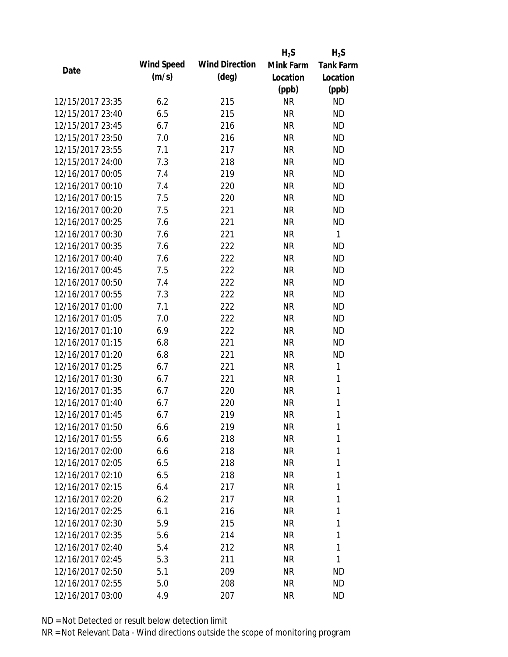|                  |            |                       | $H_2S$    | $H_2S$           |
|------------------|------------|-----------------------|-----------|------------------|
| Date             | Wind Speed | <b>Wind Direction</b> | Mink Farm | <b>Tank Farm</b> |
|                  | (m/s)      | (deg)                 | Location  | Location         |
|                  |            |                       | (ppb)     | (ppb)            |
| 12/15/2017 23:35 | 6.2        | 215                   | <b>NR</b> | <b>ND</b>        |
| 12/15/2017 23:40 | 6.5        | 215                   | <b>NR</b> | <b>ND</b>        |
| 12/15/2017 23:45 | 6.7        | 216                   | <b>NR</b> | <b>ND</b>        |
| 12/15/2017 23:50 | 7.0        | 216                   | <b>NR</b> | <b>ND</b>        |
| 12/15/2017 23:55 | 7.1        | 217                   | <b>NR</b> | <b>ND</b>        |
| 12/15/2017 24:00 | 7.3        | 218                   | <b>NR</b> | <b>ND</b>        |
| 12/16/2017 00:05 | 7.4        | 219                   | <b>NR</b> | <b>ND</b>        |
| 12/16/2017 00:10 | 7.4        | 220                   | <b>NR</b> | <b>ND</b>        |
| 12/16/2017 00:15 | 7.5        | 220                   | <b>NR</b> | <b>ND</b>        |
| 12/16/2017 00:20 | 7.5        | 221                   | <b>NR</b> | <b>ND</b>        |
| 12/16/2017 00:25 | 7.6        | 221                   | <b>NR</b> | <b>ND</b>        |
| 12/16/2017 00:30 | 7.6        | 221                   | <b>NR</b> | $\mathbf{1}$     |
| 12/16/2017 00:35 | 7.6        | 222                   | <b>NR</b> | <b>ND</b>        |
| 12/16/2017 00:40 | 7.6        | 222                   | <b>NR</b> | <b>ND</b>        |
| 12/16/2017 00:45 | 7.5        | 222                   | <b>NR</b> | <b>ND</b>        |
| 12/16/2017 00:50 | 7.4        | 222                   | <b>NR</b> | <b>ND</b>        |
| 12/16/2017 00:55 | 7.3        | 222                   | <b>NR</b> | <b>ND</b>        |
| 12/16/2017 01:00 | 7.1        | 222                   | <b>NR</b> | <b>ND</b>        |
| 12/16/2017 01:05 | 7.0        | 222                   | <b>NR</b> | <b>ND</b>        |
| 12/16/2017 01:10 | 6.9        | 222                   | <b>NR</b> | <b>ND</b>        |
| 12/16/2017 01:15 | 6.8        | 221                   | <b>NR</b> | <b>ND</b>        |
| 12/16/2017 01:20 | 6.8        | 221                   | <b>NR</b> | <b>ND</b>        |
| 12/16/2017 01:25 | 6.7        | 221                   | <b>NR</b> | 1                |
| 12/16/2017 01:30 | 6.7        | 221                   | <b>NR</b> | 1                |
| 12/16/2017 01:35 | 6.7        | 220                   | <b>NR</b> | $\mathbf{1}$     |
| 12/16/2017 01:40 | 6.7        | 220                   | <b>NR</b> | $\mathbf{1}$     |
| 12/16/2017 01:45 | 6.7        | 219                   | <b>NR</b> | 1                |
| 12/16/2017 01:50 | 6.6        | 219                   | <b>NR</b> | 1                |
| 12/16/2017 01:55 | 6.6        | 218                   | <b>NR</b> | 1                |
| 12/16/2017 02:00 | 6.6        | 218                   | NR        | 1                |
| 12/16/2017 02:05 | 6.5        | 218                   | NR        | 1                |
| 12/16/2017 02:10 | 6.5        | 218                   | <b>NR</b> | 1                |
| 12/16/2017 02:15 | 6.4        | 217                   | NR        | 1                |
| 12/16/2017 02:20 | 6.2        | 217                   | <b>NR</b> | 1                |
| 12/16/2017 02:25 | 6.1        | 216                   | <b>NR</b> | 1                |
| 12/16/2017 02:30 | 5.9        | 215                   | NR        | 1                |
| 12/16/2017 02:35 | 5.6        | 214                   | NR        | 1                |
| 12/16/2017 02:40 | 5.4        | 212                   | NR        | 1                |
| 12/16/2017 02:45 | 5.3        | 211                   | <b>NR</b> | 1                |
| 12/16/2017 02:50 | 5.1        | 209                   | <b>NR</b> | ND               |
| 12/16/2017 02:55 | 5.0        | 208                   | <b>NR</b> | ND               |
| 12/16/2017 03:00 | 4.9        | 207                   | <b>NR</b> | ND               |
|                  |            |                       |           |                  |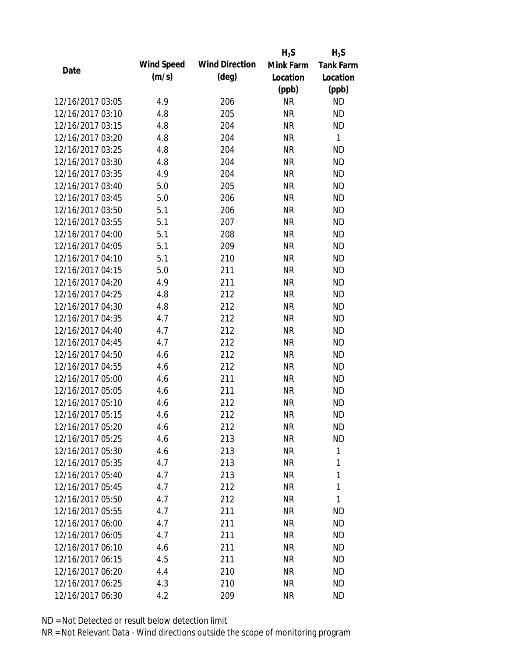|                  |            |                       | $H_2S$    | $H_2S$           |
|------------------|------------|-----------------------|-----------|------------------|
| Date             | Wind Speed | <b>Wind Direction</b> | Mink Farm | <b>Tank Farm</b> |
|                  | (m/s)      | $(\text{deg})$        | Location  | Location         |
|                  |            |                       | (ppb)     | (ppb)            |
| 12/16/2017 03:05 | 4.9        | 206                   | <b>NR</b> | <b>ND</b>        |
| 12/16/2017 03:10 | 4.8        | 205                   | <b>NR</b> | <b>ND</b>        |
| 12/16/2017 03:15 | 4.8        | 204                   | <b>NR</b> | <b>ND</b>        |
| 12/16/2017 03:20 | 4.8        | 204                   | <b>NR</b> | $\mathbf{1}$     |
| 12/16/2017 03:25 | 4.8        | 204                   | <b>NR</b> | <b>ND</b>        |
| 12/16/2017 03:30 | 4.8        | 204                   | <b>NR</b> | <b>ND</b>        |
| 12/16/2017 03:35 | 4.9        | 204                   | <b>NR</b> | <b>ND</b>        |
| 12/16/2017 03:40 | 5.0        | 205                   | <b>NR</b> | <b>ND</b>        |
| 12/16/2017 03:45 | 5.0        | 206                   | <b>NR</b> | <b>ND</b>        |
| 12/16/2017 03:50 | 5.1        | 206                   | <b>NR</b> | <b>ND</b>        |
| 12/16/2017 03:55 | 5.1        | 207                   | <b>NR</b> | <b>ND</b>        |
| 12/16/2017 04:00 | 5.1        | 208                   | <b>NR</b> | <b>ND</b>        |
| 12/16/2017 04:05 | 5.1        | 209                   | <b>NR</b> | <b>ND</b>        |
| 12/16/2017 04:10 | 5.1        | 210                   | <b>NR</b> | <b>ND</b>        |
| 12/16/2017 04:15 | 5.0        | 211                   | <b>NR</b> | <b>ND</b>        |
| 12/16/2017 04:20 | 4.9        | 211                   | <b>NR</b> | <b>ND</b>        |
| 12/16/2017 04:25 | 4.8        | 212                   | <b>NR</b> | <b>ND</b>        |
| 12/16/2017 04:30 | 4.8        | 212                   | <b>NR</b> | <b>ND</b>        |
| 12/16/2017 04:35 | 4.7        | 212                   | <b>NR</b> | <b>ND</b>        |
| 12/16/2017 04:40 | 4.7        | 212                   | <b>NR</b> | <b>ND</b>        |
| 12/16/2017 04:45 | 4.7        | 212                   | <b>NR</b> | <b>ND</b>        |
| 12/16/2017 04:50 | 4.6        | 212                   | <b>NR</b> | <b>ND</b>        |
| 12/16/2017 04:55 | 4.6        | 212                   | <b>NR</b> | <b>ND</b>        |
| 12/16/2017 05:00 | 4.6        | 211                   | <b>NR</b> | <b>ND</b>        |
| 12/16/2017 05:05 | 4.6        | 211                   | <b>NR</b> | <b>ND</b>        |
| 12/16/2017 05:10 | 4.6        | 212                   | <b>NR</b> | <b>ND</b>        |
| 12/16/2017 05:15 | 4.6        | 212                   | <b>NR</b> | <b>ND</b>        |
| 12/16/2017 05:20 | 4.6        | 212                   | <b>NR</b> | <b>ND</b>        |
| 12/16/2017 05:25 | 4.6        | 213                   | <b>NR</b> | <b>ND</b>        |
| 12/16/2017 05:30 | 4.6        | 213                   | NR        | 1                |
| 12/16/2017 05:35 | 4.7        | 213                   | <b>NR</b> | 1                |
| 12/16/2017 05:40 | 4.7        | 213                   | <b>NR</b> | 1                |
| 12/16/2017 05:45 | 4.7        | 212                   | NR        | 1                |
| 12/16/2017 05:50 | 4.7        | 212                   | <b>NR</b> | 1                |
| 12/16/2017 05:55 | 4.7        | 211                   | <b>NR</b> | ND               |
| 12/16/2017 06:00 | 4.7        | 211                   | <b>NR</b> | <b>ND</b>        |
| 12/16/2017 06:05 |            |                       |           | <b>ND</b>        |
| 12/16/2017 06:10 | 4.7        | 211<br>211            | NR        | <b>ND</b>        |
|                  | 4.6        |                       | NR        |                  |
| 12/16/2017 06:15 | 4.5        | 211                   | <b>NR</b> | <b>ND</b>        |
| 12/16/2017 06:20 | 4.4        | 210                   | <b>NR</b> | <b>ND</b>        |
| 12/16/2017 06:25 | 4.3        | 210                   | <b>NR</b> | <b>ND</b>        |
| 12/16/2017 06:30 | 4.2        | 209                   | <b>NR</b> | <b>ND</b>        |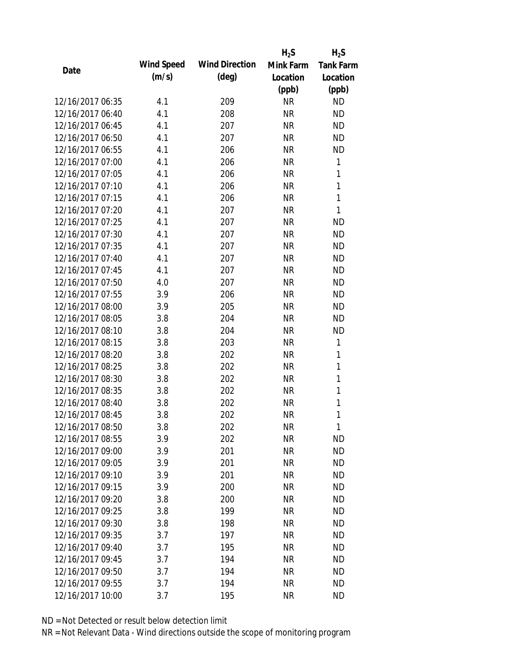|                  |            |                       | $H_2S$    | $H_2S$           |
|------------------|------------|-----------------------|-----------|------------------|
| Date             | Wind Speed | <b>Wind Direction</b> | Mink Farm | <b>Tank Farm</b> |
|                  | (m/s)      | $(\text{deg})$        | Location  | Location         |
|                  |            |                       | (ppb)     | (ppb)            |
| 12/16/2017 06:35 | 4.1        | 209                   | <b>NR</b> | <b>ND</b>        |
| 12/16/2017 06:40 | 4.1        | 208                   | <b>NR</b> | <b>ND</b>        |
| 12/16/2017 06:45 | 4.1        | 207                   | <b>NR</b> | <b>ND</b>        |
| 12/16/2017 06:50 | 4.1        | 207                   | <b>NR</b> | <b>ND</b>        |
| 12/16/2017 06:55 | 4.1        | 206                   | <b>NR</b> | <b>ND</b>        |
| 12/16/2017 07:00 | 4.1        | 206                   | <b>NR</b> | 1                |
| 12/16/2017 07:05 | 4.1        | 206                   | <b>NR</b> | 1                |
| 12/16/2017 07:10 | 4.1        | 206                   | <b>NR</b> | $\mathbf{1}$     |
| 12/16/2017 07:15 | 4.1        | 206                   | <b>NR</b> | 1                |
| 12/16/2017 07:20 | 4.1        | 207                   | <b>NR</b> | 1                |
| 12/16/2017 07:25 | 4.1        | 207                   | <b>NR</b> | <b>ND</b>        |
| 12/16/2017 07:30 | 4.1        | 207                   | <b>NR</b> | <b>ND</b>        |
| 12/16/2017 07:35 | 4.1        | 207                   | <b>NR</b> | <b>ND</b>        |
| 12/16/2017 07:40 | 4.1        | 207                   | <b>NR</b> | <b>ND</b>        |
| 12/16/2017 07:45 | 4.1        | 207                   | <b>NR</b> | <b>ND</b>        |
| 12/16/2017 07:50 | 4.0        | 207                   | <b>NR</b> | <b>ND</b>        |
| 12/16/2017 07:55 | 3.9        | 206                   | <b>NR</b> | <b>ND</b>        |
| 12/16/2017 08:00 | 3.9        | 205                   | <b>NR</b> | <b>ND</b>        |
| 12/16/2017 08:05 | 3.8        | 204                   | <b>NR</b> | <b>ND</b>        |
| 12/16/2017 08:10 | 3.8        | 204                   | <b>NR</b> | <b>ND</b>        |
| 12/16/2017 08:15 | 3.8        | 203                   | <b>NR</b> | 1                |
| 12/16/2017 08:20 | 3.8        | 202                   | <b>NR</b> | $\mathbf{1}$     |
| 12/16/2017 08:25 | 3.8        | 202                   | <b>NR</b> | 1                |
| 12/16/2017 08:30 | 3.8        | 202                   | <b>NR</b> | 1                |
| 12/16/2017 08:35 | 3.8        | 202                   | <b>NR</b> | 1                |
| 12/16/2017 08:40 | 3.8        | 202                   | <b>NR</b> | 1                |
| 12/16/2017 08:45 | 3.8        | 202                   | <b>NR</b> | $\mathbf{1}$     |
| 12/16/2017 08:50 | 3.8        | 202                   | NR        | 1                |
| 12/16/2017 08:55 | 3.9        | 202                   | <b>NR</b> | <b>ND</b>        |
| 12/16/2017 09:00 | 3.9        | 201                   | NR        | <b>ND</b>        |
| 12/16/2017 09:05 | 3.9        | 201                   | <b>NR</b> | <b>ND</b>        |
| 12/16/2017 09:10 | 3.9        | 201                   | <b>NR</b> | <b>ND</b>        |
| 12/16/2017 09:15 | 3.9        | 200                   | <b>NR</b> | <b>ND</b>        |
| 12/16/2017 09:20 | 3.8        | 200                   | <b>NR</b> | <b>ND</b>        |
| 12/16/2017 09:25 | 3.8        | 199                   | <b>NR</b> | <b>ND</b>        |
| 12/16/2017 09:30 | 3.8        | 198                   | <b>NR</b> | <b>ND</b>        |
| 12/16/2017 09:35 | 3.7        | 197                   | <b>NR</b> | <b>ND</b>        |
| 12/16/2017 09:40 | 3.7        | 195                   | NR        | <b>ND</b>        |
| 12/16/2017 09:45 | 3.7        | 194                   | <b>NR</b> | <b>ND</b>        |
| 12/16/2017 09:50 | 3.7        | 194                   | <b>NR</b> | <b>ND</b>        |
| 12/16/2017 09:55 | 3.7        | 194                   | <b>NR</b> | <b>ND</b>        |
| 12/16/2017 10:00 | 3.7        | 195                   | <b>NR</b> | <b>ND</b>        |
|                  |            |                       |           |                  |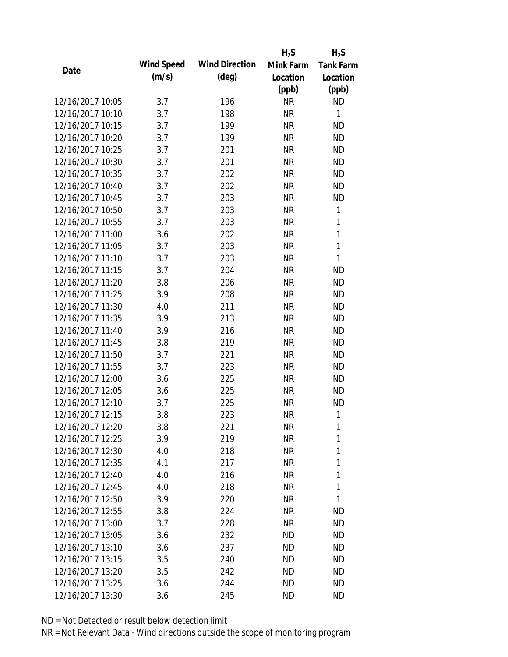|                  |            |                       | $H_2S$    | $H_2S$           |
|------------------|------------|-----------------------|-----------|------------------|
| Date             | Wind Speed | <b>Wind Direction</b> | Mink Farm | <b>Tank Farm</b> |
|                  | (m/s)      | $(\text{deg})$        | Location  | Location         |
|                  |            |                       | (ppb)     | (ppb)            |
| 12/16/2017 10:05 | 3.7        | 196                   | <b>NR</b> | <b>ND</b>        |
| 12/16/2017 10:10 | 3.7        | 198                   | <b>NR</b> | 1                |
| 12/16/2017 10:15 | 3.7        | 199                   | <b>NR</b> | <b>ND</b>        |
| 12/16/2017 10:20 | 3.7        | 199                   | <b>NR</b> | <b>ND</b>        |
| 12/16/2017 10:25 | 3.7        | 201                   | <b>NR</b> | <b>ND</b>        |
| 12/16/2017 10:30 | 3.7        | 201                   | NR        | <b>ND</b>        |
| 12/16/2017 10:35 | 3.7        | 202                   | <b>NR</b> | <b>ND</b>        |
| 12/16/2017 10:40 | 3.7        | 202                   | <b>NR</b> | <b>ND</b>        |
| 12/16/2017 10:45 | 3.7        | 203                   | <b>NR</b> | <b>ND</b>        |
| 12/16/2017 10:50 | 3.7        | 203                   | <b>NR</b> | 1                |
| 12/16/2017 10:55 | 3.7        | 203                   | <b>NR</b> | 1                |
| 12/16/2017 11:00 | 3.6        | 202                   | <b>NR</b> | $\mathbf{1}$     |
| 12/16/2017 11:05 | 3.7        | 203                   | <b>NR</b> | $\mathbf{1}$     |
| 12/16/2017 11:10 | 3.7        | 203                   | <b>NR</b> | 1                |
| 12/16/2017 11:15 | 3.7        | 204                   | <b>NR</b> | <b>ND</b>        |
| 12/16/2017 11:20 | 3.8        | 206                   | <b>NR</b> | <b>ND</b>        |
| 12/16/2017 11:25 | 3.9        | 208                   | <b>NR</b> | <b>ND</b>        |
| 12/16/2017 11:30 | 4.0        | 211                   | <b>NR</b> | <b>ND</b>        |
| 12/16/2017 11:35 | 3.9        | 213                   | <b>NR</b> | <b>ND</b>        |
| 12/16/2017 11:40 | 3.9        | 216                   | <b>NR</b> | <b>ND</b>        |
| 12/16/2017 11:45 | 3.8        | 219                   | <b>NR</b> | <b>ND</b>        |
| 12/16/2017 11:50 | 3.7        | 221                   | <b>NR</b> | <b>ND</b>        |
| 12/16/2017 11:55 | 3.7        | 223                   | <b>NR</b> | <b>ND</b>        |
| 12/16/2017 12:00 | 3.6        | 225                   | <b>NR</b> | <b>ND</b>        |
| 12/16/2017 12:05 | 3.6        | 225                   | <b>NR</b> | <b>ND</b>        |
| 12/16/2017 12:10 | 3.7        | 225                   | <b>NR</b> | <b>ND</b>        |
| 12/16/2017 12:15 | 3.8        | 223                   | <b>NR</b> | 1                |
| 12/16/2017 12:20 | 3.8        | 221                   | <b>NR</b> | 1                |
| 12/16/2017 12:25 | 3.9        | 219                   | <b>NR</b> | 1                |
| 12/16/2017 12:30 | 4.0        | 218                   | NR        | 1                |
| 12/16/2017 12:35 | 4.1        | 217                   | NR        | 1                |
| 12/16/2017 12:40 | 4.0        | 216                   | <b>NR</b> | 1                |
| 12/16/2017 12:45 | 4.0        | 218                   | NR        | 1                |
| 12/16/2017 12:50 | 3.9        | 220                   | <b>NR</b> | 1                |
| 12/16/2017 12:55 | 3.8        | 224                   | <b>NR</b> | ND               |
| 12/16/2017 13:00 | 3.7        | 228                   | NR        | ND               |
| 12/16/2017 13:05 | 3.6        | 232                   | ND        | ND               |
| 12/16/2017 13:10 | 3.6        | 237                   | ND        | ND               |
| 12/16/2017 13:15 | 3.5        | 240                   | <b>ND</b> | ND               |
| 12/16/2017 13:20 | 3.5        | 242                   | <b>ND</b> | ND               |
| 12/16/2017 13:25 | 3.6        | 244                   | ΝD        | ND               |
| 12/16/2017 13:30 | 3.6        | 245                   | ΝD        | ND               |
|                  |            |                       |           |                  |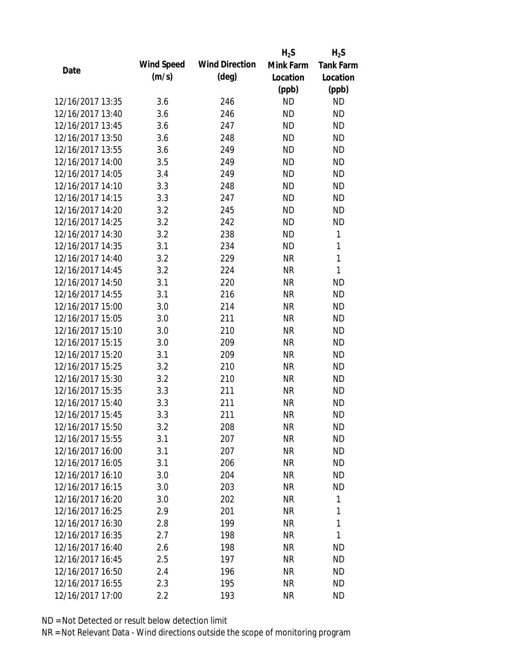|                  |            |                       | $H_2S$    | $H_2S$           |
|------------------|------------|-----------------------|-----------|------------------|
| Date             | Wind Speed | <b>Wind Direction</b> | Mink Farm | <b>Tank Farm</b> |
|                  | (m/s)      | (deg)                 | Location  | Location         |
|                  |            |                       | (ppb)     | (ppb)            |
| 12/16/2017 13:35 | 3.6        | 246                   | <b>ND</b> | <b>ND</b>        |
| 12/16/2017 13:40 | 3.6        | 246                   | <b>ND</b> | <b>ND</b>        |
| 12/16/2017 13:45 | 3.6        | 247                   | <b>ND</b> | <b>ND</b>        |
| 12/16/2017 13:50 | 3.6        | 248                   | <b>ND</b> | <b>ND</b>        |
| 12/16/2017 13:55 | 3.6        | 249                   | <b>ND</b> | <b>ND</b>        |
| 12/16/2017 14:00 | 3.5        | 249                   | <b>ND</b> | <b>ND</b>        |
| 12/16/2017 14:05 | 3.4        | 249                   | <b>ND</b> | <b>ND</b>        |
| 12/16/2017 14:10 | 3.3        | 248                   | <b>ND</b> | <b>ND</b>        |
| 12/16/2017 14:15 | 3.3        | 247                   | <b>ND</b> | <b>ND</b>        |
| 12/16/2017 14:20 | 3.2        | 245                   | <b>ND</b> | <b>ND</b>        |
| 12/16/2017 14:25 | 3.2        | 242                   | <b>ND</b> | <b>ND</b>        |
| 12/16/2017 14:30 | 3.2        | 238                   | <b>ND</b> | 1                |
| 12/16/2017 14:35 | 3.1        | 234                   | <b>ND</b> | $\mathbf{1}$     |
| 12/16/2017 14:40 | 3.2        | 229                   | <b>NR</b> | $\mathbf{1}$     |
| 12/16/2017 14:45 | 3.2        | 224                   | <b>NR</b> | 1                |
| 12/16/2017 14:50 | 3.1        | 220                   | <b>NR</b> | <b>ND</b>        |
| 12/16/2017 14:55 | 3.1        | 216                   | <b>NR</b> | <b>ND</b>        |
| 12/16/2017 15:00 | 3.0        | 214                   | <b>NR</b> | <b>ND</b>        |
| 12/16/2017 15:05 | 3.0        | 211                   | <b>NR</b> | <b>ND</b>        |
| 12/16/2017 15:10 | 3.0        | 210                   | <b>NR</b> | <b>ND</b>        |
| 12/16/2017 15:15 | 3.0        | 209                   | <b>NR</b> | <b>ND</b>        |
| 12/16/2017 15:20 | 3.1        | 209                   | <b>NR</b> | <b>ND</b>        |
| 12/16/2017 15:25 | 3.2        | 210                   | <b>NR</b> | <b>ND</b>        |
| 12/16/2017 15:30 | 3.2        | 210                   | <b>NR</b> | <b>ND</b>        |
| 12/16/2017 15:35 | 3.3        | 211                   | <b>NR</b> | <b>ND</b>        |
| 12/16/2017 15:40 | 3.3        | 211                   | <b>NR</b> | <b>ND</b>        |
| 12/16/2017 15:45 | 3.3        | 211                   | <b>NR</b> | <b>ND</b>        |
| 12/16/2017 15:50 | 3.2        | 208                   | <b>NR</b> | ND               |
| 12/16/2017 15:55 | 3.1        | 207                   | <b>NR</b> | <b>ND</b>        |
| 12/16/2017 16:00 | 3.1        | 207                   | NR        | ND               |
| 12/16/2017 16:05 | 3.1        | 206                   | <b>NR</b> | <b>ND</b>        |
| 12/16/2017 16:10 | 3.0        | 204                   | <b>NR</b> | ND               |
| 12/16/2017 16:15 | 3.0        | 203                   | <b>NR</b> | <b>ND</b>        |
| 12/16/2017 16:20 | 3.0        | 202                   | <b>NR</b> | 1                |
| 12/16/2017 16:25 | 2.9        | 201                   | <b>NR</b> | 1                |
| 12/16/2017 16:30 | 2.8        | 199                   | <b>NR</b> | $\mathbf{1}$     |
| 12/16/2017 16:35 | 2.7        | 198                   | <b>NR</b> | 1                |
| 12/16/2017 16:40 | 2.6        | 198                   | NR        | ND               |
| 12/16/2017 16:45 | 2.5        | 197                   | <b>NR</b> | <b>ND</b>        |
| 12/16/2017 16:50 | 2.4        | 196                   | <b>NR</b> | ND               |
| 12/16/2017 16:55 | 2.3        | 195                   | <b>NR</b> | <b>ND</b>        |
| 12/16/2017 17:00 | 2.2        | 193                   | <b>NR</b> | <b>ND</b>        |
|                  |            |                       |           |                  |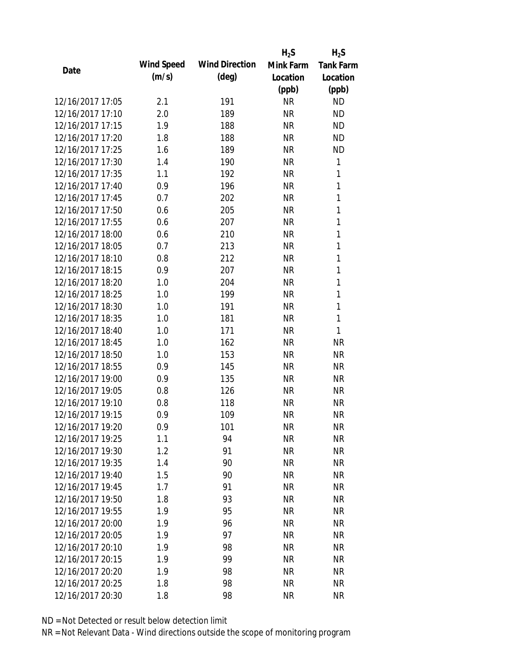|                  |            |                       | $H_2S$    | $H_2S$           |
|------------------|------------|-----------------------|-----------|------------------|
| Date             | Wind Speed | <b>Wind Direction</b> | Mink Farm | <b>Tank Farm</b> |
|                  | (m/s)      | $(\text{deg})$        | Location  | Location         |
|                  |            |                       | (ppb)     | (ppb)            |
| 12/16/2017 17:05 | 2.1        | 191                   | <b>NR</b> | <b>ND</b>        |
| 12/16/2017 17:10 | 2.0        | 189                   | <b>NR</b> | <b>ND</b>        |
| 12/16/2017 17:15 | 1.9        | 188                   | <b>NR</b> | <b>ND</b>        |
| 12/16/2017 17:20 | 1.8        | 188                   | <b>NR</b> | <b>ND</b>        |
| 12/16/2017 17:25 | 1.6        | 189                   | <b>NR</b> | <b>ND</b>        |
| 12/16/2017 17:30 | 1.4        | 190                   | <b>NR</b> | 1                |
| 12/16/2017 17:35 | 1.1        | 192                   | <b>NR</b> | 1                |
| 12/16/2017 17:40 | 0.9        | 196                   | <b>NR</b> | 1                |
| 12/16/2017 17:45 | 0.7        | 202                   | <b>NR</b> | 1                |
| 12/16/2017 17:50 | 0.6        | 205                   | <b>NR</b> | 1                |
| 12/16/2017 17:55 | 0.6        | 207                   | <b>NR</b> | 1                |
| 12/16/2017 18:00 | 0.6        | 210                   | <b>NR</b> | 1                |
| 12/16/2017 18:05 | 0.7        | 213                   | <b>NR</b> | 1                |
| 12/16/2017 18:10 | 0.8        | 212                   | <b>NR</b> | 1                |
| 12/16/2017 18:15 | 0.9        | 207                   | <b>NR</b> | 1                |
| 12/16/2017 18:20 | 1.0        | 204                   | <b>NR</b> | 1                |
| 12/16/2017 18:25 | 1.0        | 199                   | <b>NR</b> | 1                |
| 12/16/2017 18:30 | 1.0        | 191                   | <b>NR</b> | 1                |
| 12/16/2017 18:35 | 1.0        | 181                   | <b>NR</b> | 1                |
| 12/16/2017 18:40 | 1.0        | 171                   | <b>NR</b> | 1                |
| 12/16/2017 18:45 | 1.0        | 162                   | <b>NR</b> | <b>NR</b>        |
| 12/16/2017 18:50 | 1.0        | 153                   | <b>NR</b> | <b>NR</b>        |
| 12/16/2017 18:55 | 0.9        | 145                   | <b>NR</b> | <b>NR</b>        |
| 12/16/2017 19:00 | 0.9        | 135                   | <b>NR</b> | <b>NR</b>        |
| 12/16/2017 19:05 | 0.8        | 126                   | <b>NR</b> | <b>NR</b>        |
| 12/16/2017 19:10 | 0.8        | 118                   | <b>NR</b> | <b>NR</b>        |
| 12/16/2017 19:15 | 0.9        | 109                   | <b>NR</b> | <b>NR</b>        |
| 12/16/2017 19:20 | 0.9        | 101                   | <b>NR</b> | NR               |
| 12/16/2017 19:25 | 1.1        | 94                    | <b>NR</b> | <b>NR</b>        |
| 12/16/2017 19:30 | 1.2        | 91                    | <b>NR</b> | <b>NR</b>        |
| 12/16/2017 19:35 | 1.4        | 90                    | <b>NR</b> | <b>NR</b>        |
| 12/16/2017 19:40 | 1.5        | 90                    | <b>NR</b> | <b>NR</b>        |
| 12/16/2017 19:45 | 1.7        | 91                    | <b>NR</b> | <b>NR</b>        |
| 12/16/2017 19:50 | 1.8        | 93                    | <b>NR</b> | <b>NR</b>        |
| 12/16/2017 19:55 | 1.9        | 95                    | <b>NR</b> | <b>NR</b>        |
| 12/16/2017 20:00 | 1.9        | 96                    | <b>NR</b> | <b>NR</b>        |
| 12/16/2017 20:05 | 1.9        | 97                    | <b>NR</b> | <b>NR</b>        |
| 12/16/2017 20:10 | 1.9        | 98                    | <b>NR</b> | <b>NR</b>        |
| 12/16/2017 20:15 | 1.9        | 99                    | <b>NR</b> | <b>NR</b>        |
| 12/16/2017 20:20 | 1.9        | 98                    | <b>NR</b> | <b>NR</b>        |
| 12/16/2017 20:25 | 1.8        | 98                    | <b>NR</b> | <b>NR</b>        |
| 12/16/2017 20:30 | 1.8        | 98                    | <b>NR</b> | <b>NR</b>        |
|                  |            |                       |           |                  |